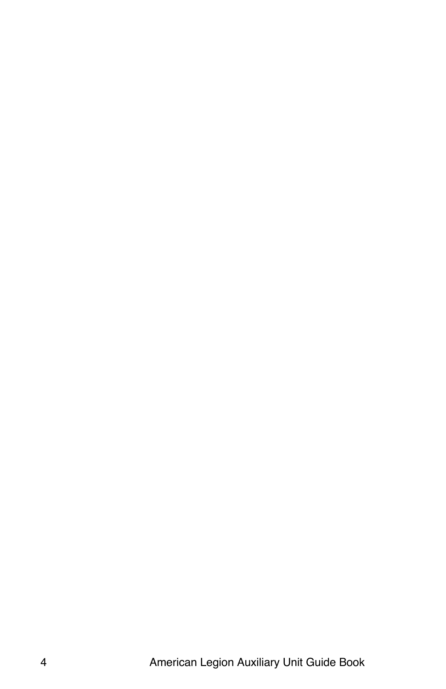American Legion Auxiliary Unit Guide Book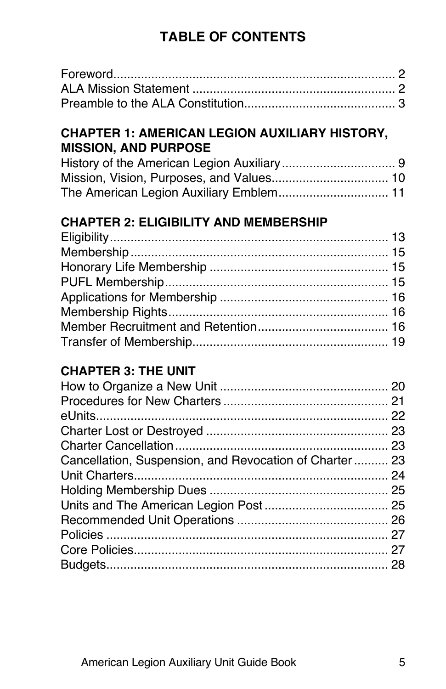# **TABLE OF CONTENTS**

#### **CHAPTER 1: AMERICAN LEGION AUXILIARY HISTORY, MISSION, AND PURPOSE**

### **CHAPTER 2: ELIGIBILITY AND MEMBERSHIP**

#### **CHAPTER 3: THE UNIT**

| Cancellation, Suspension, and Revocation of Charter 23 |  |
|--------------------------------------------------------|--|
|                                                        |  |
|                                                        |  |
|                                                        |  |
|                                                        |  |
|                                                        |  |
|                                                        |  |
|                                                        |  |
|                                                        |  |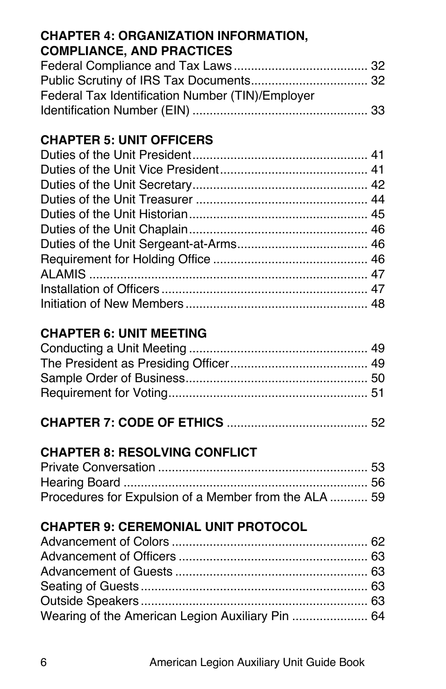#### **CHAPTER 4: ORGANIZATION INFORMATION, COMPLIANCE, AND PRACTICES**

| Federal Tax Identification Number (TIN)/Employer |  |
|--------------------------------------------------|--|
|                                                  |  |

# **CHAPTER 5: UNIT OFFICERS**

# **CHAPTER 6: UNIT MEETING**

# **CHAPTER 7: CODE OF ETHICS** ......................................... 52

# **CHAPTER 8: RESOLVING CONFLICT**

| Procedures for Expulsion of a Member from the ALA  59 |  |
|-------------------------------------------------------|--|

# **CHAPTER 9: CEREMONIAL UNIT PROTOCOL**

| Wearing of the American Legion Auxiliary Pin  64 |  |
|--------------------------------------------------|--|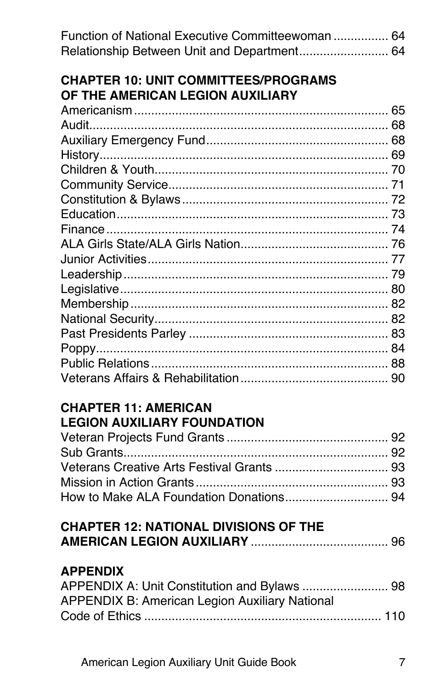| Function of National Executive Committeewoman  64 |  |
|---------------------------------------------------|--|
| Relationship Between Unit and Department 64       |  |

### **CHAPTER 10: UNIT COMMITTEES/PROGRAMS OF THE AMERICAN LEGION AUXILIARY**

| 65 |
|----|
|    |
|    |
|    |
|    |
|    |
|    |
|    |
|    |
|    |
|    |
|    |
|    |
|    |
|    |
|    |
|    |
|    |
|    |
|    |

# **CHAPTER 11: AMERICAN LEGION AUXILIARY FOUNDATION**

#### **CHAPTER 12: NATIONAL DIVISIONS OF THE AMERICAN LEGION AUXILIARY** ........................................ 96

#### **APPENDIX**

| APPENDIX A: Unit Constitution and Bylaws  98          |  |
|-------------------------------------------------------|--|
| <b>APPENDIX B: American Legion Auxiliary National</b> |  |
|                                                       |  |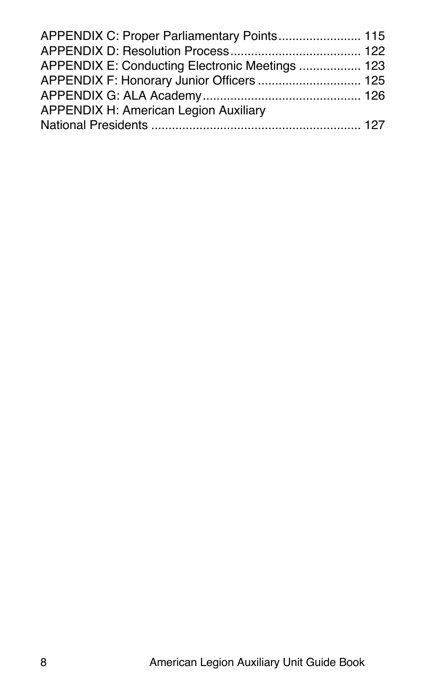| APPENDIX C: Proper Parliamentary Points 115     |  |
|-------------------------------------------------|--|
|                                                 |  |
| APPENDIX E: Conducting Electronic Meetings  123 |  |
| APPENDIX F: Honorary Junior Officers  125       |  |
|                                                 |  |
| <b>APPENDIX H: American Legion Auxiliary</b>    |  |
|                                                 |  |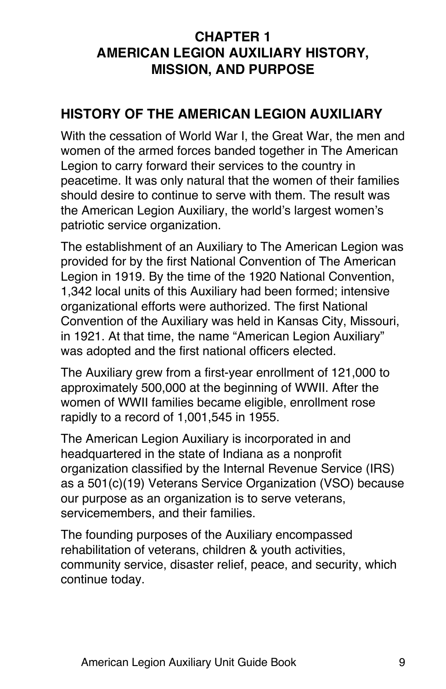# **CHAPTER 1 AMERICAN LEGION AUXILIARY HISTORY, MISSION, AND PURPOSE**

# **HISTORY OF THE AMERICAN LEGION AUXILIARY**

With the cessation of World War I, the Great War, the men and women of the armed forces banded together in The American Legion to carry forward their services to the country in peacetime. It was only natural that the women of their families should desire to continue to serve with them. The result was the American Legion Auxiliary, the world's largest women's patriotic service organization.

The establishment of an Auxiliary to The American Legion was provided for by the first National Convention of The American Legion in 1919. By the time of the 1920 National Convention, 1,342 local units of this Auxiliary had been formed; intensive organizational efforts were authorized. The first National Convention of the Auxiliary was held in Kansas City, Missouri, in 1921. At that time, the name "American Legion Auxiliary" was adopted and the first national officers elected.

The Auxiliary grew from a first-year enrollment of 121,000 to approximately 500,000 at the beginning of WWII. After the women of WWII families became eligible, enrollment rose rapidly to a record of 1,001,545 in 1955.

The American Legion Auxiliary is incorporated in and headquartered in the state of Indiana as a nonprofit organization classified by the Internal Revenue Service (IRS) as a 501(c)(19) Veterans Service Organization (VSO) because our purpose as an organization is to serve veterans, servicemembers, and their families.

The founding purposes of the Auxiliary encompassed rehabilitation of veterans, children & youth activities, community service, disaster relief, peace, and security, which continue today.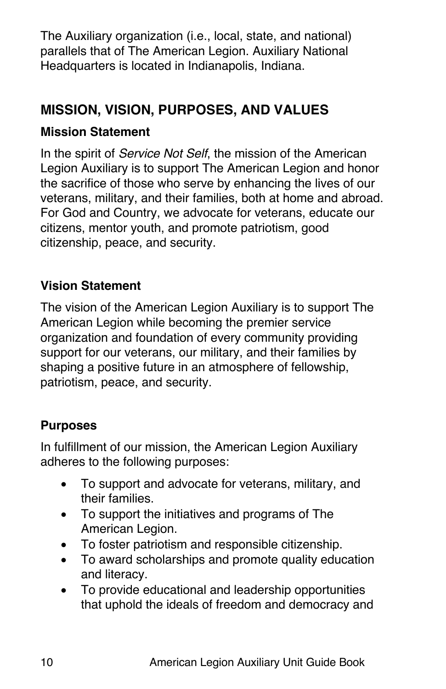The Auxiliary organization (i.e., local, state, and national) parallels that of The American Legion. Auxiliary National Headquarters is located in Indianapolis, Indiana.

# **MISSION, VISION, PURPOSES, AND VALUES**

#### **Mission Statement**

In the spirit of *Service Not Self*, the mission of the American Legion Auxiliary is to support The American Legion and honor the sacrifice of those who serve by enhancing the lives of our veterans, military, and their families, both at home and abroad. For God and Country, we advocate for veterans, educate our citizens, mentor youth, and promote patriotism, good citizenship, peace, and security.

### **Vision Statement**

The vision of the American Legion Auxiliary is to support The American Legion while becoming the premier service organization and foundation of every community providing support for our veterans, our military, and their families by shaping a positive future in an atmosphere of fellowship, patriotism, peace, and security.

#### **Purposes**

In fulfillment of our mission, the American Legion Auxiliary adheres to the following purposes:

- To support and advocate for veterans, military, and their families.
- To support the initiatives and programs of The American Legion.
- To foster patriotism and responsible citizenship.
- To award scholarships and promote quality education and literacy.
- To provide educational and leadership opportunities that uphold the ideals of freedom and democracy and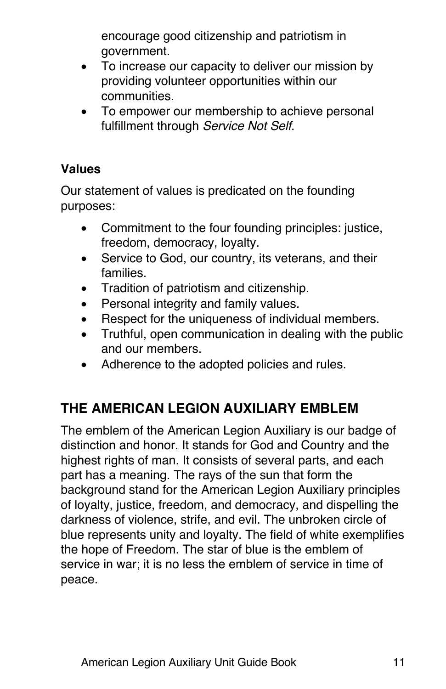encourage good citizenship and patriotism in government.

- To increase our capacity to deliver our mission by providing volunteer opportunities within our communities.
- To empower our membership to achieve personal fulfillment through *Service Not Self*.

### **Values**

Our statement of values is predicated on the founding purposes:

- Commitment to the four founding principles: justice, freedom, democracy, loyalty.
- Service to God, our country, its veterans, and their families.
- Tradition of patriotism and citizenship.
- Personal integrity and family values.
- Respect for the uniqueness of individual members.
- Truthful, open communication in dealing with the public and our members.
- Adherence to the adopted policies and rules.

# **THE AMERICAN LEGION AUXILIARY EMBLEM**

The emblem of the American Legion Auxiliary is our badge of distinction and honor. It stands for God and Country and the highest rights of man. It consists of several parts, and each part has a meaning. The rays of the sun that form the background stand for the American Legion Auxiliary principles of loyalty, justice, freedom, and democracy, and dispelling the darkness of violence, strife, and evil. The unbroken circle of blue represents unity and loyalty. The field of white exemplifies the hope of Freedom. The star of blue is the emblem of service in war; it is no less the emblem of service in time of peace.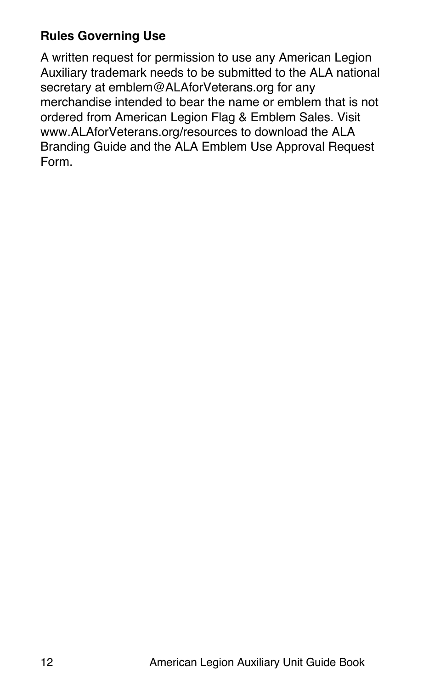### **Rules Governing Use**

A written request for permission to use any American Legion Auxiliary trademark needs to be submitted to the ALA national secretary at emblem@ALAforVeterans.org for any merchandise intended to bear the name or emblem that is not ordered from American Legion Flag & Emblem Sales. Visit www.ALAforVeterans.org/resources to download the ALA Branding Guide and the ALA Emblem Use Approval Request Form.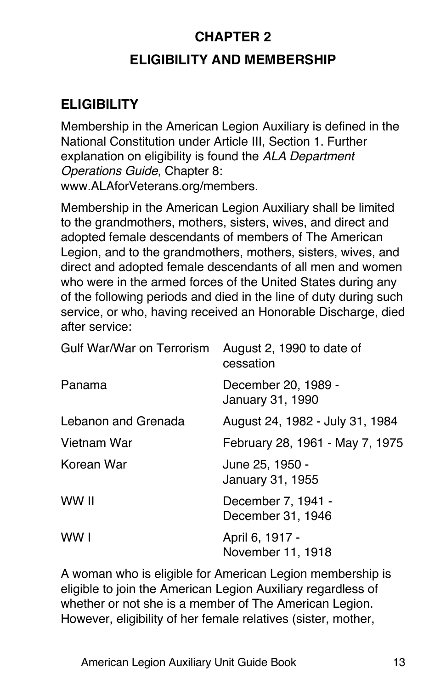# **CHAPTER 2 ELIGIBILITY AND MEMBERSHIP**

# **ELIGIBILITY**

Membership in the American Legion Auxiliary is defined in the National Constitution under Article III, Section 1. Further explanation on eligibility is found the *ALA Department Operations Guide*, Chapter 8: www.ALAforVeterans.org/members.

Membership in the American Legion Auxiliary shall be limited to the grandmothers, mothers, sisters, wives, and direct and adopted female descendants of members of The American Legion, and to the grandmothers, mothers, sisters, wives, and direct and adopted female descendants of all men and women who were in the armed forces of the United States during any of the following periods and died in the line of duty during such service, or who, having received an Honorable Discharge, died after service:

| Gulf War/War on Terrorism | August 2, 1990 to date of<br>cessation  |
|---------------------------|-----------------------------------------|
| Panama                    | December 20, 1989 -<br>January 31, 1990 |
| Lebanon and Grenada       | August 24, 1982 - July 31, 1984         |
| Vietnam War               | February 28, 1961 - May 7, 1975         |
| Korean War                | June 25, 1950 -<br>January 31, 1955     |
| WW II                     | December 7, 1941 -<br>December 31, 1946 |
| WW I                      | April 6, 1917 -<br>November 11, 1918    |

A woman who is eligible for American Legion membership is eligible to join the American Legion Auxiliary regardless of whether or not she is a member of The American Legion. However, eligibility of her female relatives (sister, mother,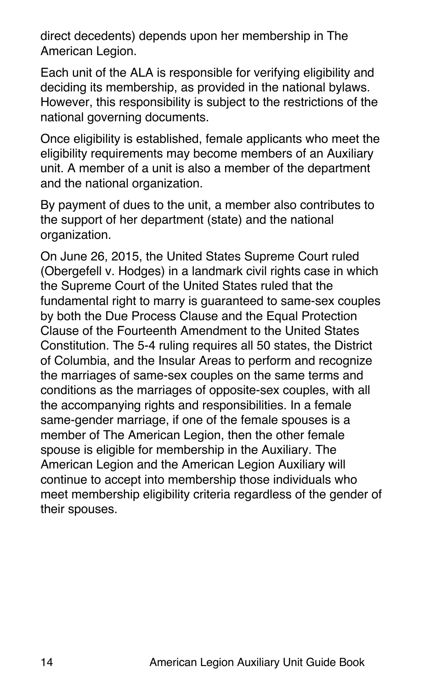direct decedents) depends upon her membership in The American Legion.

Each unit of the ALA is responsible for verifying eligibility and deciding its membership, as provided in the national bylaws. However, this responsibility is subject to the restrictions of the national governing documents.

Once eligibility is established, female applicants who meet the eligibility requirements may become members of an Auxiliary unit. A member of a unit is also a member of the department and the national organization.

By payment of dues to the unit, a member also contributes to the support of her department (state) and the national organization.

On June 26, 2015, the United States Supreme Court ruled (Obergefell v. Hodges) in a landmark civil rights case in which the Supreme Court of the United States ruled that the fundamental right to marry is guaranteed to same-sex couples by both the Due Process Clause and the Equal Protection Clause of the Fourteenth Amendment to the United States Constitution. The 5-4 ruling requires all 50 states, the District of Columbia, and the Insular Areas to perform and recognize the marriages of same-sex couples on the same terms and conditions as the marriages of opposite-sex couples, with all the accompanying rights and responsibilities. In a female same-gender marriage, if one of the female spouses is a member of The American Legion, then the other female spouse is eligible for membership in the Auxiliary. The American Legion and the American Legion Auxiliary will continue to accept into membership those individuals who meet membership eligibility criteria regardless of the gender of their spouses.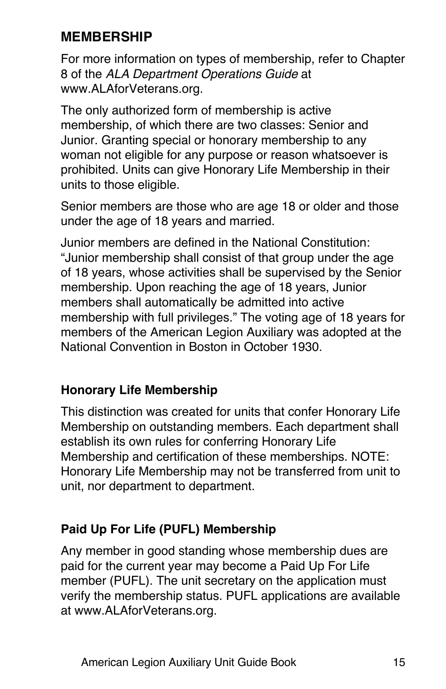# **MEMBERSHIP**

For more information on types of membership, refer to Chapter 8 of the *ALA Department Operations Guide* at www.ALAforVeterans.org.

The only authorized form of membership is active membership, of which there are two classes: Senior and Junior. Granting special or honorary membership to any woman not eligible for any purpose or reason whatsoever is prohibited. Units can give Honorary Life Membership in their units to those eligible.

Senior members are those who are age 18 or older and those under the age of 18 years and married.

Junior members are defined in the National Constitution: "Junior membership shall consist of that group under the age of 18 years, whose activities shall be supervised by the Senior membership. Upon reaching the age of 18 years, Junior members shall automatically be admitted into active membership with full privileges." The voting age of 18 years for members of the American Legion Auxiliary was adopted at the National Convention in Boston in October 1930.

#### **Honorary Life Membership**

This distinction was created for units that confer Honorary Life Membership on outstanding members. Each department shall establish its own rules for conferring Honorary Life Membership and certification of these memberships. NOTE: Honorary Life Membership may not be transferred from unit to unit, nor department to department.

#### **Paid Up For Life (PUFL) Membership**

Any member in good standing whose membership dues are paid for the current year may become a Paid Up For Life member (PUFL). The unit secretary on the application must verify the membership status. PUFL applications are available at www.ALAforVeterans.org.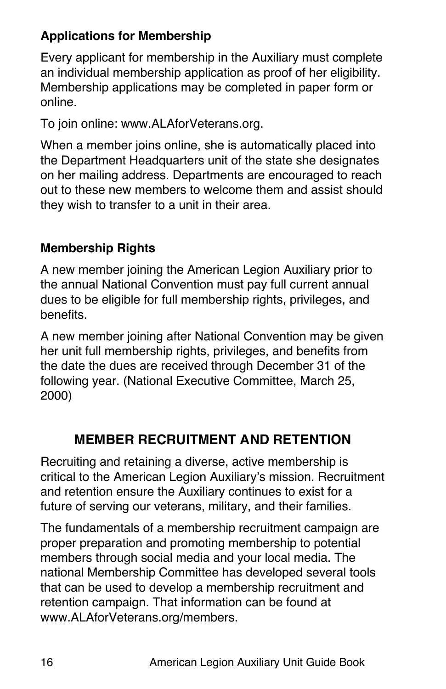# **Applications for Membership**

Every applicant for membership in the Auxiliary must complete an individual membership application as proof of her eligibility. Membership applications may be completed in paper form or online.

To join online: www.ALAforVeterans.org.

When a member joins online, she is automatically placed into the Department Headquarters unit of the state she designates on her mailing address. Departments are encouraged to reach out to these new members to welcome them and assist should they wish to transfer to a unit in their area.

#### **Membership Rights**

A new member joining the American Legion Auxiliary prior to the annual National Convention must pay full current annual dues to be eligible for full membership rights, privileges, and benefits.

A new member joining after National Convention may be given her unit full membership rights, privileges, and benefits from the date the dues are received through December 31 of the following year. (National Executive Committee, March 25, 2000)

# **MEMBER RECRUITMENT AND RETENTION**

Recruiting and retaining a diverse, active membership is critical to the American Legion Auxiliary's mission. Recruitment and retention ensure the Auxiliary continues to exist for a future of serving our veterans, military, and their families.

The fundamentals of a membership recruitment campaign are proper preparation and promoting membership to potential members through social media and your local media. The national Membership Committee has developed several tools that can be used to develop a membership recruitment and retention campaign. That information can be found at www.ALAforVeterans.org/members.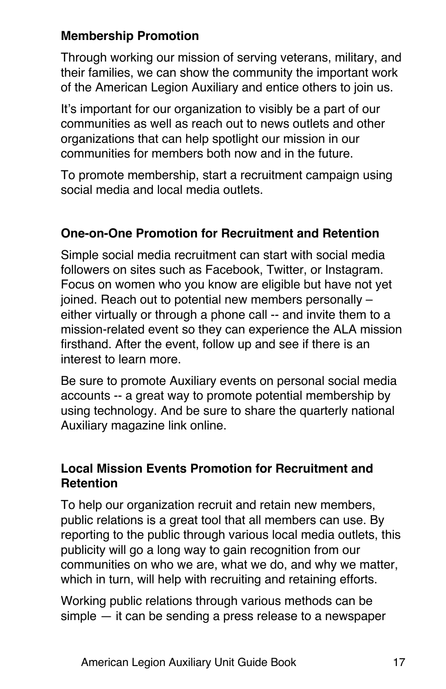#### **Membership Promotion**

Through working our mission of serving veterans, military, and their families, we can show the community the important work of the American Legion Auxiliary and entice others to join us.

It's important for our organization to visibly be a part of our communities as well as reach out to news outlets and other organizations that can help spotlight our mission in our communities for members both now and in the future.

To promote membership, start a recruitment campaign using social media and local media outlets.

### **One-on-One Promotion for Recruitment and Retention**

Simple social media recruitment can start with social media followers on sites such as Facebook, Twitter, or Instagram. Focus on women who you know are eligible but have not yet joined. Reach out to potential new members personally – either virtually or through a phone call -- and invite them to a mission-related event so they can experience the ALA mission firsthand. After the event, follow up and see if there is an interest to learn more.

Be sure to promote Auxiliary events on personal social media accounts -- a great way to promote potential membership by using technology. And be sure to share the quarterly national Auxiliary magazine link online.

#### **Local Mission Events Promotion for Recruitment and Retention**

To help our organization recruit and retain new members, public relations is a great tool that all members can use. By reporting to the public through various local media outlets, this publicity will go a long way to gain recognition from our communities on who we are, what we do, and why we matter, which in turn, will help with recruiting and retaining efforts.

Working public relations through various methods can be simple — it can be sending a press release to a newspaper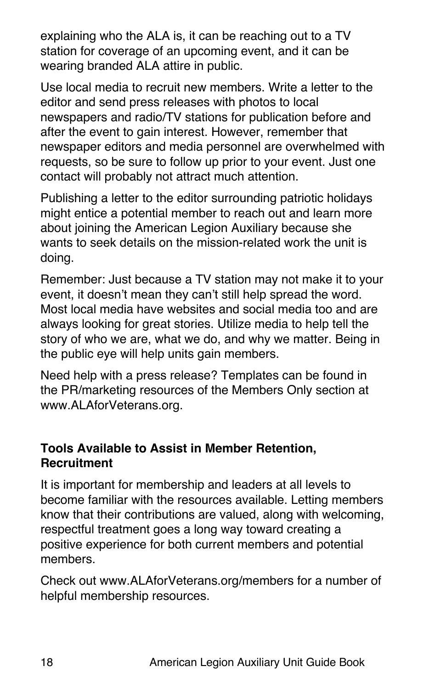explaining who the ALA is, it can be reaching out to a TV station for coverage of an upcoming event, and it can be wearing branded ALA attire in public.

Use local media to recruit new members. Write a letter to the editor and send press releases with photos to local newspapers and radio/TV stations for publication before and after the event to gain interest. However, remember that newspaper editors and media personnel are overwhelmed with requests, so be sure to follow up prior to your event. Just one contact will probably not attract much attention.

Publishing a letter to the editor surrounding patriotic holidays might entice a potential member to reach out and learn more about joining the American Legion Auxiliary because she wants to seek details on the mission-related work the unit is doing.

Remember: Just because a TV station may not make it to your event, it doesn't mean they can't still help spread the word. Most local media have websites and social media too and are always looking for great stories. Utilize media to help tell the story of who we are, what we do, and why we matter. Being in the public eye will help units gain members.

Need help with a press release? Templates can be found in the PR/marketing resources of the Members Only section at www.ALAforVeterans.org.

### **Tools Available to Assist in Member Retention, Recruitment**

It is important for membership and leaders at all levels to become familiar with the resources available. Letting members know that their contributions are valued, along with welcoming, respectful treatment goes a long way toward creating a positive experience for both current members and potential members.

Check out www.ALAforVeterans.org/members for a number of helpful membership resources.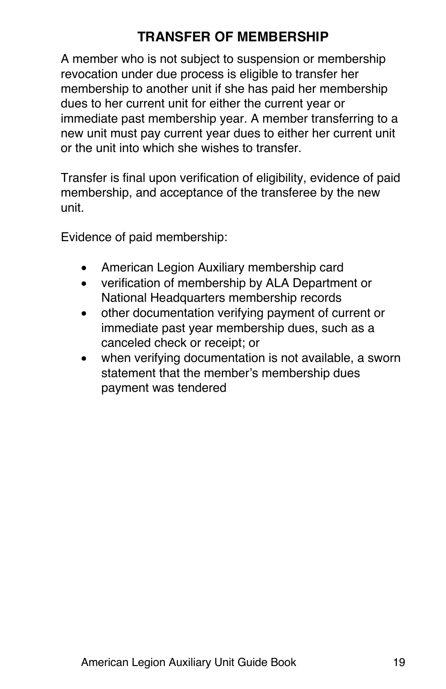# **TRANSFER OF MEMBERSHIP**

A member who is not subject to suspension or membership revocation under due process is eligible to transfer her membership to another unit if she has paid her membership dues to her current unit for either the current year or immediate past membership year. A member transferring to a new unit must pay current year dues to either her current unit or the unit into which she wishes to transfer.

Transfer is final upon verification of eligibility, evidence of paid membership, and acceptance of the transferee by the new unit.

Evidence of paid membership:

- American Legion Auxiliary membership card
- verification of membership by ALA Department or National Headquarters membership records
- other documentation verifying payment of current or immediate past year membership dues, such as a canceled check or receipt; or
- when verifying documentation is not available, a sworn statement that the member's membership dues payment was tendered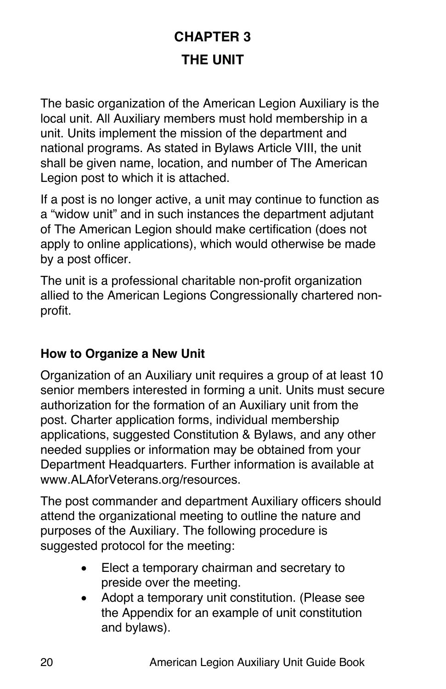# **CHAPTER 3 THE UNIT**

The basic organization of the American Legion Auxiliary is the local unit. All Auxiliary members must hold membership in a unit. Units implement the mission of the department and national programs. As stated in Bylaws Article VIII, the unit shall be given name, location, and number of The American Legion post to which it is attached.

If a post is no longer active, a unit may continue to function as a "widow unit" and in such instances the department adjutant of The American Legion should make certification (does not apply to online applications), which would otherwise be made by a post officer.

The unit is a professional charitable non-profit organization allied to the American Legions Congressionally chartered nonprofit.

# **How to Organize a New Unit**

Organization of an Auxiliary unit requires a group of at least 10 senior members interested in forming a unit. Units must secure authorization for the formation of an Auxiliary unit from the post. Charter application forms, individual membership applications, suggested Constitution & Bylaws, and any other needed supplies or information may be obtained from your Department Headquarters. Further information is available at www.ALAforVeterans.org/resources.

The post commander and department Auxiliary officers should attend the organizational meeting to outline the nature and purposes of the Auxiliary. The following procedure is suggested protocol for the meeting:

- Elect a temporary chairman and secretary to preside over the meeting.
- Adopt a temporary unit constitution. (Please see the Appendix for an example of unit constitution and bylaws).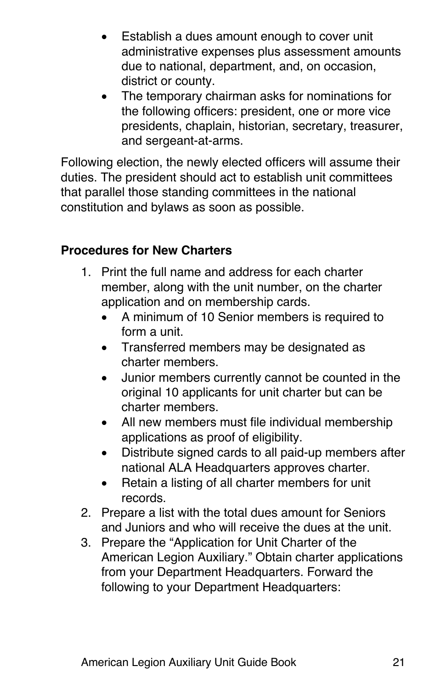- Establish a dues amount enough to cover unit administrative expenses plus assessment amounts due to national, department, and, on occasion, district or county.
- The temporary chairman asks for nominations for the following officers: president, one or more vice presidents, chaplain, historian, secretary, treasurer, and sergeant-at-arms.

Following election, the newly elected officers will assume their duties. The president should act to establish unit committees that parallel those standing committees in the national constitution and bylaws as soon as possible.

#### **Procedures for New Charters**

- 1. Print the full name and address for each charter member, along with the unit number, on the charter application and on membership cards.
	- A minimum of 10 Senior members is required to form a unit.
	- Transferred members may be designated as charter members.
	- Junior members currently cannot be counted in the original 10 applicants for unit charter but can be charter members.
	- All new members must file individual membership applications as proof of eligibility.
	- Distribute signed cards to all paid-up members after national ALA Headquarters approves charter.
	- Retain a listing of all charter members for unit records.
- 2. Prepare a list with the total dues amount for Seniors and Juniors and who will receive the dues at the unit.
- 3. Prepare the "Application for Unit Charter of the American Legion Auxiliary." Obtain charter applications from your Department Headquarters. Forward the following to your Department Headquarters: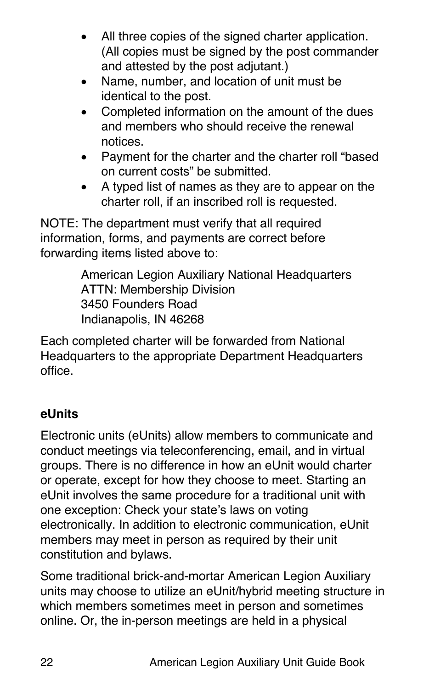- All three copies of the signed charter application. (All copies must be signed by the post commander and attested by the post adjutant.)
- Name, number, and location of unit must be identical to the post.
- Completed information on the amount of the dues and members who should receive the renewal notices.
- Payment for the charter and the charter roll "based on current costs" be submitted.
- A typed list of names as they are to appear on the charter roll, if an inscribed roll is requested.

NOTE: The department must verify that all required information, forms, and payments are correct before forwarding items listed above to:

> American Legion Auxiliary National Headquarters ATTN: Membership Division 3450 Founders Road Indianapolis, IN 46268

Each completed charter will be forwarded from National Headquarters to the appropriate Department Headquarters office.

# **eUnits**

Electronic units (eUnits) allow members to communicate and conduct meetings via teleconferencing, email, and in virtual groups. There is no difference in how an eUnit would charter or operate, except for how they choose to meet. Starting an eUnit involves the same procedure for a traditional unit with one exception: Check your state's laws on voting electronically. In addition to electronic communication, eUnit members may meet in person as required by their unit constitution and bylaws.

Some traditional brick-and-mortar American Legion Auxiliary units may choose to utilize an eUnit/hybrid meeting structure in which members sometimes meet in person and sometimes online. Or, the in-person meetings are held in a physical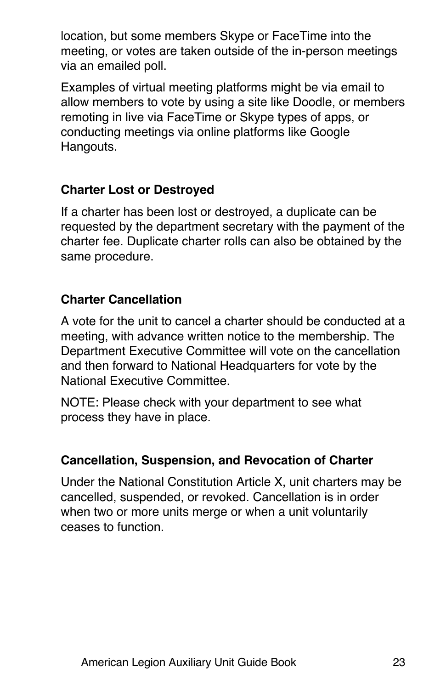location, but some members Skype or FaceTime into the meeting, or votes are taken outside of the in-person meetings via an emailed poll.

Examples of virtual meeting platforms might be via email to allow members to vote by using a site like Doodle, or members remoting in live via FaceTime or Skype types of apps, or conducting meetings via online platforms like Google Hangouts.

#### **Charter Lost or Destroyed**

If a charter has been lost or destroyed, a duplicate can be requested by the department secretary with the payment of the charter fee. Duplicate charter rolls can also be obtained by the same procedure.

#### **Charter Cancellation**

A vote for the unit to cancel a charter should be conducted at a meeting, with advance written notice to the membership. The Department Executive Committee will vote on the cancellation and then forward to National Headquarters for vote by the National Executive Committee.

NOTE: Please check with your department to see what process they have in place.

#### **Cancellation, Suspension, and Revocation of Charter**

Under the National Constitution Article X, unit charters may be cancelled, suspended, or revoked. Cancellation is in order when two or more units merge or when a unit voluntarily ceases to function.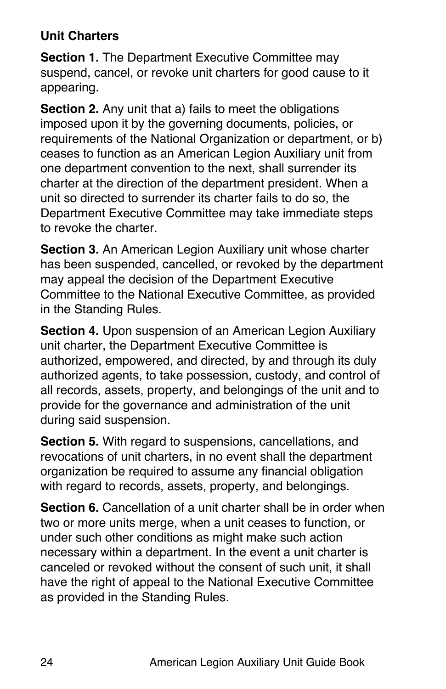### **Unit Charters**

**Section 1.** The Department Executive Committee may suspend, cancel, or revoke unit charters for good cause to it appearing.

**Section 2.** Any unit that a) fails to meet the obligations imposed upon it by the governing documents, policies, or requirements of the National Organization or department, or b) ceases to function as an American Legion Auxiliary unit from one department convention to the next, shall surrender its charter at the direction of the department president. When a unit so directed to surrender its charter fails to do so, the Department Executive Committee may take immediate steps to revoke the charter.

**Section 3.** An American Legion Auxiliary unit whose charter has been suspended, cancelled, or revoked by the department may appeal the decision of the Department Executive Committee to the National Executive Committee, as provided in the Standing Rules.

**Section 4.** Upon suspension of an American Legion Auxiliary unit charter, the Department Executive Committee is authorized, empowered, and directed, by and through its duly authorized agents, to take possession, custody, and control of all records, assets, property, and belongings of the unit and to provide for the governance and administration of the unit during said suspension.

**Section 5.** With regard to suspensions, cancellations, and revocations of unit charters, in no event shall the department organization be required to assume any financial obligation with regard to records, assets, property, and belongings.

**Section 6.** Cancellation of a unit charter shall be in order when two or more units merge, when a unit ceases to function, or under such other conditions as might make such action necessary within a department. In the event a unit charter is canceled or revoked without the consent of such unit, it shall have the right of appeal to the National Executive Committee as provided in the Standing Rules.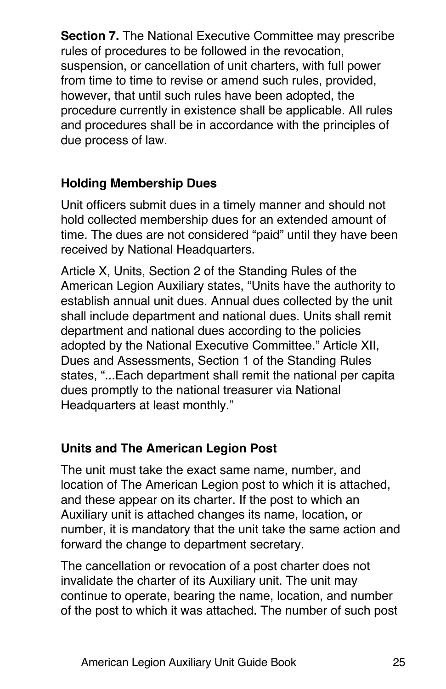**Section 7.** The National Executive Committee may prescribe rules of procedures to be followed in the revocation, suspension, or cancellation of unit charters, with full power from time to time to revise or amend such rules, provided, however, that until such rules have been adopted, the procedure currently in existence shall be applicable. All rules and procedures shall be in accordance with the principles of due process of law.

# **Holding Membership Dues**

Unit officers submit dues in a timely manner and should not hold collected membership dues for an extended amount of time. The dues are not considered "paid" until they have been received by National Headquarters.

Article X, Units, Section 2 of the Standing Rules of the American Legion Auxiliary states, "Units have the authority to establish annual unit dues. Annual dues collected by the unit shall include department and national dues. Units shall remit department and national dues according to the policies adopted by the National Executive Committee." Article XII, Dues and Assessments, Section 1 of the Standing Rules states, "...Each department shall remit the national per capita dues promptly to the national treasurer via National Headquarters at least monthly."

# **Units and The American Legion Post**

The unit must take the exact same name, number, and location of The American Legion post to which it is attached, and these appear on its charter. If the post to which an Auxiliary unit is attached changes its name, location, or number, it is mandatory that the unit take the same action and forward the change to department secretary.

The cancellation or revocation of a post charter does not invalidate the charter of its Auxiliary unit. The unit may continue to operate, bearing the name, location, and number of the post to which it was attached. The number of such post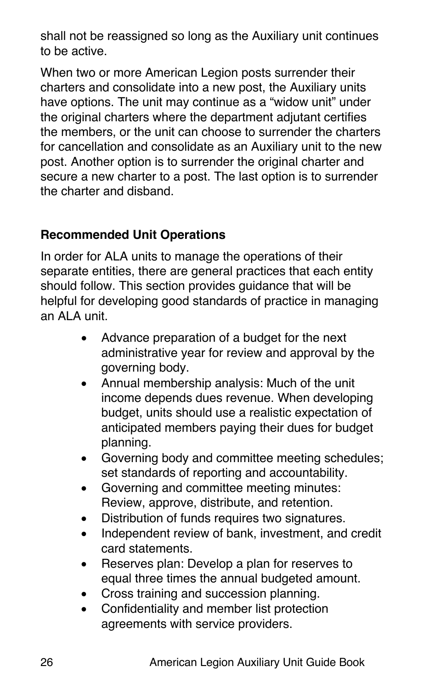shall not be reassigned so long as the Auxiliary unit continues to be active.

When two or more American Legion posts surrender their charters and consolidate into a new post, the Auxiliary units have options. The unit may continue as a "widow unit" under the original charters where the department adjutant certifies the members, or the unit can choose to surrender the charters for cancellation and consolidate as an Auxiliary unit to the new post. Another option is to surrender the original charter and secure a new charter to a post. The last option is to surrender the charter and disband.

### **Recommended Unit Operations**

In order for ALA units to manage the operations of their separate entities, there are general practices that each entity should follow. This section provides guidance that will be helpful for developing good standards of practice in managing an ALA unit.

- Advance preparation of a budget for the next administrative year for review and approval by the governing body.
- Annual membership analysis: Much of the unit income depends dues revenue. When developing budget, units should use a realistic expectation of anticipated members paying their dues for budget planning.
- Governing body and committee meeting schedules; set standards of reporting and accountability.
- Governing and committee meeting minutes: Review, approve, distribute, and retention.
- Distribution of funds requires two signatures.
- Independent review of bank, investment, and credit card statements.
- Reserves plan: Develop a plan for reserves to equal three times the annual budgeted amount.
- Cross training and succession planning.
- Confidentiality and member list protection agreements with service providers.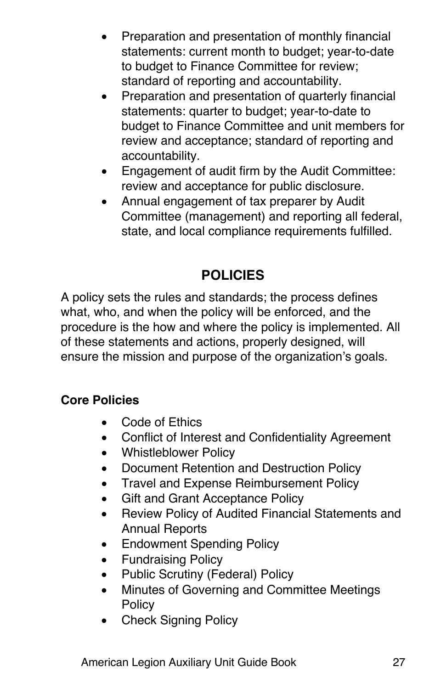- Preparation and presentation of monthly financial statements: current month to budget; year-to-date to budget to Finance Committee for review; standard of reporting and accountability.
- Preparation and presentation of quarterly financial statements: quarter to budget; year-to-date to budget to Finance Committee and unit members for review and acceptance; standard of reporting and accountability.
- Engagement of audit firm by the Audit Committee: review and acceptance for public disclosure.
- Annual engagement of tax preparer by Audit Committee (management) and reporting all federal, state, and local compliance requirements fulfilled.

# **POLICIES**

A policy sets the rules and standards; the process defines what, who, and when the policy will be enforced, and the procedure is the how and where the policy is implemented. All of these statements and actions, properly designed, will ensure the mission and purpose of the organization's goals.

#### **Core Policies**

- Code of Ethics
- Conflict of Interest and Confidentiality Agreement
- Whistleblower Policy
- Document Retention and Destruction Policy
- Travel and Expense Reimbursement Policy
- Gift and Grant Acceptance Policy
- Review Policy of Audited Financial Statements and Annual Reports
- Endowment Spending Policy
- Fundraising Policy
- Public Scrutiny (Federal) Policy
- Minutes of Governing and Committee Meetings Policy
- Check Signing Policy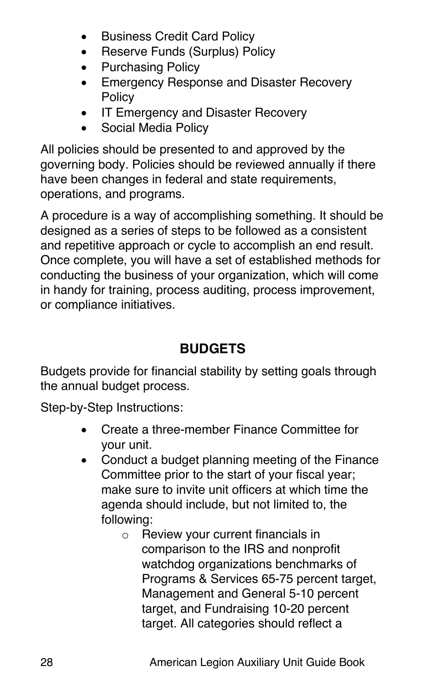- Business Credit Card Policy
- Reserve Funds (Surplus) Policy
- Purchasing Policy
- Emergency Response and Disaster Recovery **Policy**
- IT Emergency and Disaster Recovery
- Social Media Policy

All policies should be presented to and approved by the governing body. Policies should be reviewed annually if there have been changes in federal and state requirements, operations, and programs.

A procedure is a way of accomplishing something. It should be designed as a series of steps to be followed as a consistent and repetitive approach or cycle to accomplish an end result. Once complete, you will have a set of established methods for conducting the business of your organization, which will come in handy for training, process auditing, process improvement, or compliance initiatives.

# **BUDGETS**

Budgets provide for financial stability by setting goals through the annual budget process.

Step-by-Step Instructions:

- Create a three-member Finance Committee for your unit.
- Conduct a budget planning meeting of the Finance Committee prior to the start of your fiscal year; make sure to invite unit officers at which time the agenda should include, but not limited to, the following:
	- o Review your current financials in comparison to the IRS and nonprofit watchdog organizations benchmarks of Programs & Services 65-75 percent target, Management and General 5-10 percent target, and Fundraising 10-20 percent target. All categories should reflect a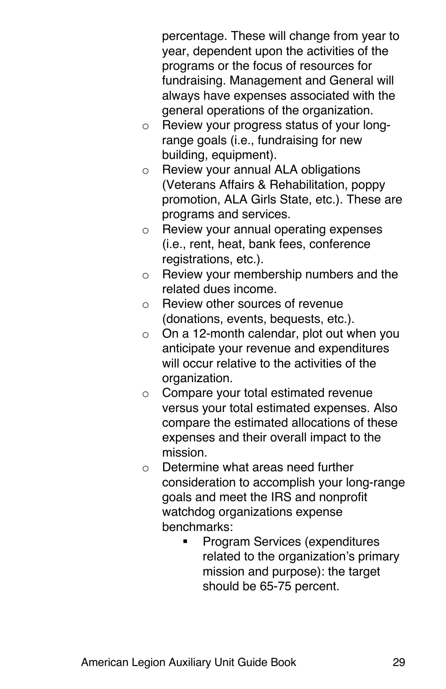percentage. These will change from year to year, dependent upon the activities of the programs or the focus of resources for fundraising. Management and General will always have expenses associated with the general operations of the organization.

- o Review your progress status of your longrange goals (i.e., fundraising for new building, equipment).
- o Review your annual ALA obligations (Veterans Affairs & Rehabilitation, poppy promotion, ALA Girls State, etc.). These are programs and services.
- o Review your annual operating expenses (i.e., rent, heat, bank fees, conference registrations, etc.).
- o Review your membership numbers and the related dues income.
- o Review other sources of revenue (donations, events, bequests, etc.).
- o On a 12-month calendar, plot out when you anticipate your revenue and expenditures will occur relative to the activities of the organization.
- o Compare your total estimated revenue versus your total estimated expenses. Also compare the estimated allocations of these expenses and their overall impact to the mission.
- o Determine what areas need further consideration to accomplish your long-range goals and meet the IRS and nonprofit watchdog organizations expense benchmarks:
	- § Program Services (expenditures related to the organization's primary mission and purpose): the target should be 65-75 percent.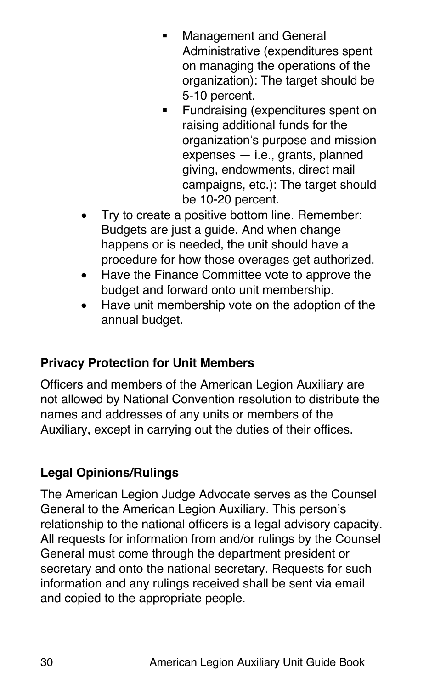- Management and General Administrative (expenditures spent on managing the operations of the organization): The target should be 5-10 percent.
- **•** Fundraising (expenditures spent on raising additional funds for the organization's purpose and mission expenses — i.e., grants, planned giving, endowments, direct mail campaigns, etc.): The target should be 10-20 percent.
- Try to create a positive bottom line. Remember: Budgets are just a guide. And when change happens or is needed, the unit should have a procedure for how those overages get authorized.
- Have the Finance Committee vote to approve the budget and forward onto unit membership.
- Have unit membership vote on the adoption of the annual budget.

# **Privacy Protection for Unit Members**

Officers and members of the American Legion Auxiliary are not allowed by National Convention resolution to distribute the names and addresses of any units or members of the Auxiliary, except in carrying out the duties of their offices.

# **Legal Opinions/Rulings**

The American Legion Judge Advocate serves as the Counsel General to the American Legion Auxiliary. This person's relationship to the national officers is a legal advisory capacity. All requests for information from and/or rulings by the Counsel General must come through the department president or secretary and onto the national secretary. Requests for such information and any rulings received shall be sent via email and copied to the appropriate people.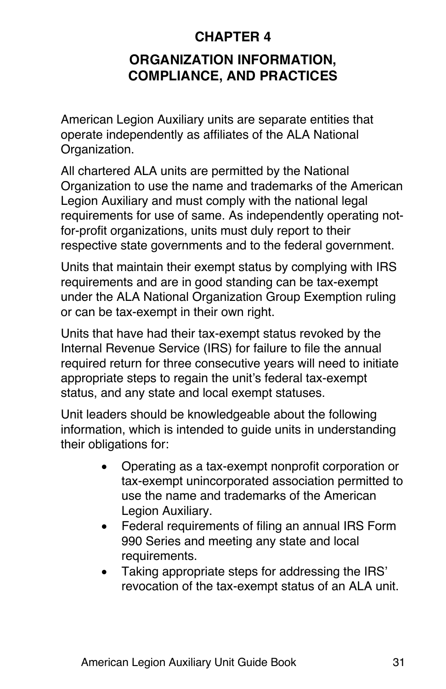# **CHAPTER 4**

# **ORGANIZATION INFORMATION, COMPLIANCE, AND PRACTICES**

American Legion Auxiliary units are separate entities that operate independently as affiliates of the ALA National Organization.

All chartered ALA units are permitted by the National Organization to use the name and trademarks of the American Legion Auxiliary and must comply with the national legal requirements for use of same. As independently operating notfor-profit organizations, units must duly report to their respective state governments and to the federal government.

Units that maintain their exempt status by complying with IRS requirements and are in good standing can be tax-exempt under the ALA National Organization Group Exemption ruling or can be tax-exempt in their own right.

Units that have had their tax-exempt status revoked by the Internal Revenue Service (IRS) for failure to file the annual required return for three consecutive years will need to initiate appropriate steps to regain the unit's federal tax-exempt status, and any state and local exempt statuses.

Unit leaders should be knowledgeable about the following information, which is intended to guide units in understanding their obligations for:

- Operating as a tax-exempt nonprofit corporation or tax-exempt unincorporated association permitted to use the name and trademarks of the American Legion Auxiliary.
- Federal requirements of filing an annual IRS Form 990 Series and meeting any state and local requirements.
- Taking appropriate steps for addressing the IRS' revocation of the tax-exempt status of an ALA unit.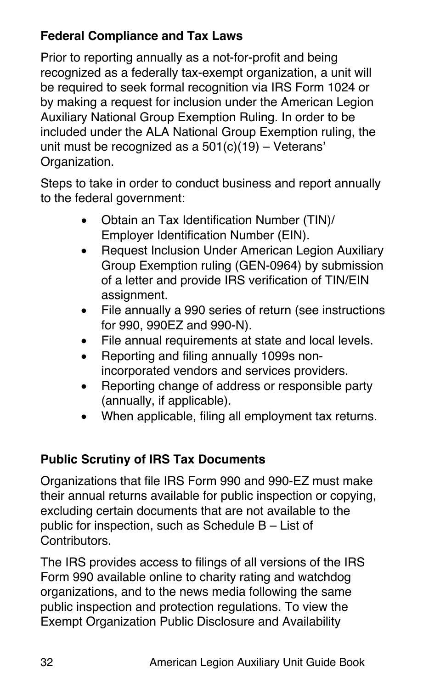# **Federal Compliance and Tax Laws**

Prior to reporting annually as a not-for-profit and being recognized as a federally tax-exempt organization, a unit will be required to seek formal recognition via IRS Form 1024 or by making a request for inclusion under the American Legion Auxiliary National Group Exemption Ruling. In order to be included under the ALA National Group Exemption ruling, the unit must be recognized as a  $501(c)(19) -$  Veterans' Organization.

Steps to take in order to conduct business and report annually to the federal government:

- Obtain an Tax Identification Number (TIN)/ Employer Identification Number (EIN).
- Request Inclusion Under American Legion Auxiliary Group Exemption ruling (GEN-0964) by submission of a letter and provide IRS verification of TIN/EIN assignment.
- File annually a 990 series of return (see instructions for 990, 990EZ and 990-N).
- File annual requirements at state and local levels.
- Reporting and filing annually 1099s nonincorporated vendors and services providers.
- Reporting change of address or responsible party (annually, if applicable).
- When applicable, filing all employment tax returns.

# **Public Scrutiny of IRS Tax Documents**

Organizations that file IRS Form 990 and 990-EZ must make their annual returns available for public inspection or copying, excluding certain documents that are not available to the public for inspection, such as Schedule B – List of Contributors.

The IRS provides access to filings of all versions of the IRS Form 990 available online to charity rating and watchdog organizations, and to the news media following the same public inspection and protection regulations. To view the Exempt Organization Public Disclosure and Availability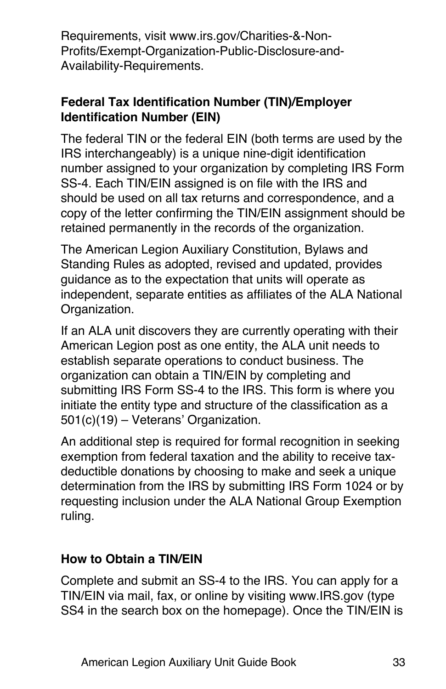Requirements, visit www.irs.gov/Charities-&-Non-Profits/Exempt-Organization-Public-Disclosure-and-Availability-Requirements.

#### **Federal Tax Identification Number (TIN)/Employer Identification Number (EIN)**

The federal TIN or the federal EIN (both terms are used by the IRS interchangeably) is a unique nine-digit identification number assigned to your organization by completing IRS Form SS-4. Each TIN/EIN assigned is on file with the IRS and should be used on all tax returns and correspondence, and a copy of the letter confirming the TIN/EIN assignment should be retained permanently in the records of the organization.

The American Legion Auxiliary Constitution, Bylaws and Standing Rules as adopted, revised and updated, provides guidance as to the expectation that units will operate as independent, separate entities as affiliates of the ALA National Organization.

If an ALA unit discovers they are currently operating with their American Legion post as one entity, the ALA unit needs to establish separate operations to conduct business. The organization can obtain a TIN/EIN by completing and submitting IRS Form SS-4 to the IRS. This form is where you initiate the entity type and structure of the classification as a 501(c)(19) – Veterans' Organization.

An additional step is required for formal recognition in seeking exemption from federal taxation and the ability to receive taxdeductible donations by choosing to make and seek a unique determination from the IRS by submitting IRS Form 1024 or by requesting inclusion under the ALA National Group Exemption ruling.

#### **How to Obtain a TIN/EIN**

Complete and submit an SS-4 to the IRS. You can apply for a TIN/EIN via mail, fax, or online by visiting www.IRS.gov (type SS4 in the search box on the homepage). Once the TIN/EIN is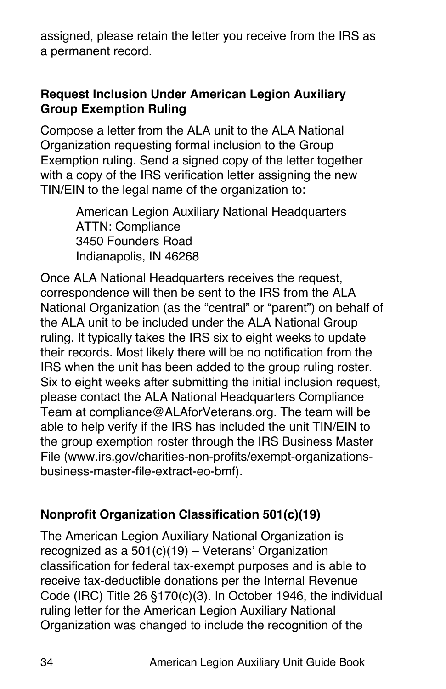assigned, please retain the letter you receive from the IRS as a permanent record.

### **Request Inclusion Under American Legion Auxiliary Group Exemption Ruling**

Compose a letter from the ALA unit to the ALA National Organization requesting formal inclusion to the Group Exemption ruling. Send a signed copy of the letter together with a copy of the IRS verification letter assigning the new TIN/EIN to the legal name of the organization to:

> American Legion Auxiliary National Headquarters ATTN: Compliance 3450 Founders Road Indianapolis, IN 46268

Once ALA National Headquarters receives the request, correspondence will then be sent to the IRS from the ALA National Organization (as the "central" or "parent") on behalf of the ALA unit to be included under the ALA National Group ruling. It typically takes the IRS six to eight weeks to update their records. Most likely there will be no notification from the IRS when the unit has been added to the group ruling roster. Six to eight weeks after submitting the initial inclusion request, please contact the ALA National Headquarters Compliance Team at compliance@ALAforVeterans.org. The team will be able to help verify if the IRS has included the unit TIN/EIN to the group exemption roster through the IRS Business Master File (www.irs.gov/charities-non-profits/exempt-organizationsbusiness-master-file-extract-eo-bmf).

# **Nonprofit Organization Classification 501(c)(19)**

The American Legion Auxiliary National Organization is recognized as a 501(c)(19) – Veterans' Organization classification for federal tax-exempt purposes and is able to receive tax-deductible donations per the Internal Revenue Code (IRC) Title 26 §170(c)(3). In October 1946, the individual ruling letter for the American Legion Auxiliary National Organization was changed to include the recognition of the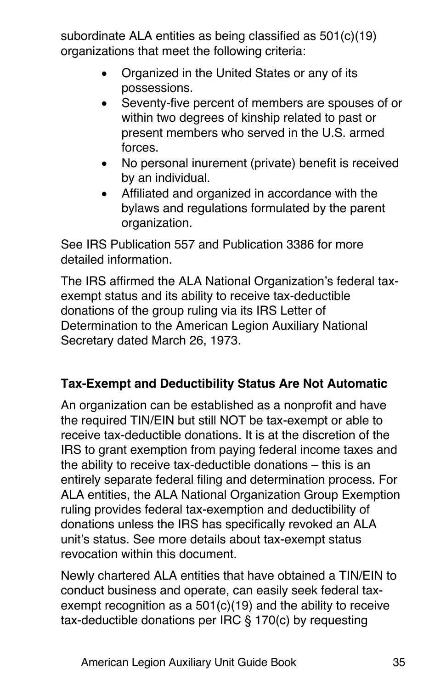subordinate ALA entities as being classified as 501(c)(19) organizations that meet the following criteria:

- Organized in the United States or any of its possessions.
- Seventy-five percent of members are spouses of or within two degrees of kinship related to past or present members who served in the U.S. armed forces.
- No personal inurement (private) benefit is received by an individual.
- Affiliated and organized in accordance with the bylaws and regulations formulated by the parent organization.

See IRS Publication 557 and Publication 3386 for more detailed information.

The IRS affirmed the ALA National Organization's federal taxexempt status and its ability to receive tax-deductible donations of the group ruling via its IRS Letter of Determination to the American Legion Auxiliary National Secretary dated March 26, 1973.

# **Tax-Exempt and Deductibility Status Are Not Automatic**

An organization can be established as a nonprofit and have the required TIN/EIN but still NOT be tax-exempt or able to receive tax-deductible donations. It is at the discretion of the IRS to grant exemption from paying federal income taxes and the ability to receive tax-deductible donations – this is an entirely separate federal filing and determination process. For ALA entities, the ALA National Organization Group Exemption ruling provides federal tax-exemption and deductibility of donations unless the IRS has specifically revoked an ALA unit's status. See more details about tax-exempt status revocation within this document.

Newly chartered ALA entities that have obtained a TIN/EIN to conduct business and operate, can easily seek federal taxexempt recognition as a 501(c)(19) and the ability to receive tax-deductible donations per IRC § 170(c) by requesting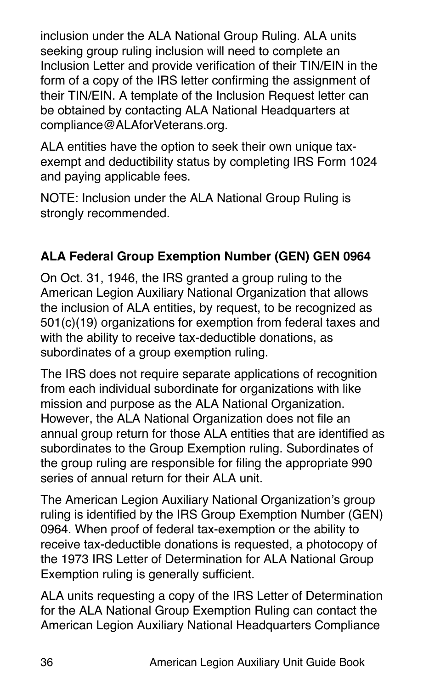inclusion under the ALA National Group Ruling. ALA units seeking group ruling inclusion will need to complete an Inclusion Letter and provide verification of their TIN/EIN in the form of a copy of the IRS letter confirming the assignment of their TIN/EIN. A template of the Inclusion Request letter can be obtained by contacting ALA National Headquarters at compliance@ALAforVeterans.org.

ALA entities have the option to seek their own unique taxexempt and deductibility status by completing IRS Form 1024 and paying applicable fees.

NOTE: Inclusion under the ALA National Group Ruling is strongly recommended.

# **ALA Federal Group Exemption Number (GEN) GEN 0964**

On Oct. 31, 1946, the IRS granted a group ruling to the American Legion Auxiliary National Organization that allows the inclusion of ALA entities, by request, to be recognized as 501(c)(19) organizations for exemption from federal taxes and with the ability to receive tax-deductible donations, as subordinates of a group exemption ruling.

The IRS does not require separate applications of recognition from each individual subordinate for organizations with like mission and purpose as the ALA National Organization. However, the ALA National Organization does not file an annual group return for those ALA entities that are identified as subordinates to the Group Exemption ruling. Subordinates of the group ruling are responsible for filing the appropriate 990 series of annual return for their ALA unit.

The American Legion Auxiliary National Organization's group ruling is identified by the IRS Group Exemption Number (GEN) 0964. When proof of federal tax-exemption or the ability to receive tax-deductible donations is requested, a photocopy of the 1973 IRS Letter of Determination for ALA National Group Exemption ruling is generally sufficient.

ALA units requesting a copy of the IRS Letter of Determination for the ALA National Group Exemption Ruling can contact the American Legion Auxiliary National Headquarters Compliance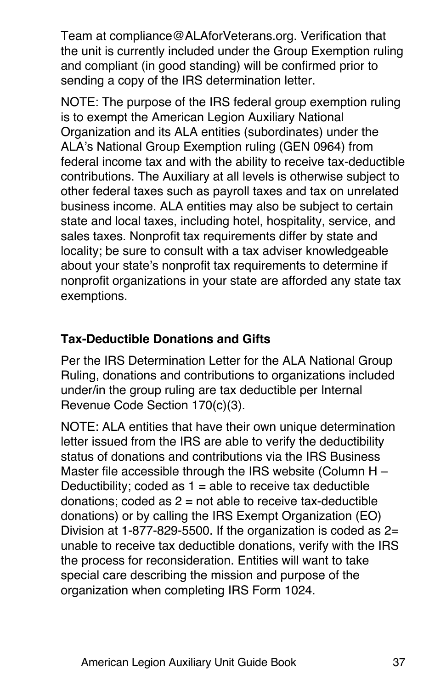Team at compliance@ALAforVeterans.org. Verification that the unit is currently included under the Group Exemption ruling and compliant (in good standing) will be confirmed prior to sending a copy of the IRS determination letter.

NOTE: The purpose of the IRS federal group exemption ruling is to exempt the American Legion Auxiliary National Organization and its ALA entities (subordinates) under the ALA's National Group Exemption ruling (GEN 0964) from federal income tax and with the ability to receive tax-deductible contributions. The Auxiliary at all levels is otherwise subject to other federal taxes such as payroll taxes and tax on unrelated business income. ALA entities may also be subject to certain state and local taxes, including hotel, hospitality, service, and sales taxes. Nonprofit tax requirements differ by state and locality; be sure to consult with a tax adviser knowledgeable about your state's nonprofit tax requirements to determine if nonprofit organizations in your state are afforded any state tax exemptions.

#### **Tax-Deductible Donations and Gifts**

Per the IRS Determination Letter for the ALA National Group Ruling, donations and contributions to organizations included under/in the group ruling are tax deductible per Internal Revenue Code Section 170(c)(3).

NOTE: ALA entities that have their own unique determination letter issued from the IRS are able to verify the deductibility status of donations and contributions via the IRS Business Master file accessible through the IRS website (Column H – Deductibility; coded as  $1 =$  able to receive tax deductible donations; coded as  $2 = not$  able to receive tax-deductible donations) or by calling the IRS Exempt Organization (EO) Division at 1-877-829-5500. If the organization is coded as 2= unable to receive tax deductible donations, verify with the IRS the process for reconsideration. Entities will want to take special care describing the mission and purpose of the organization when completing IRS Form 1024.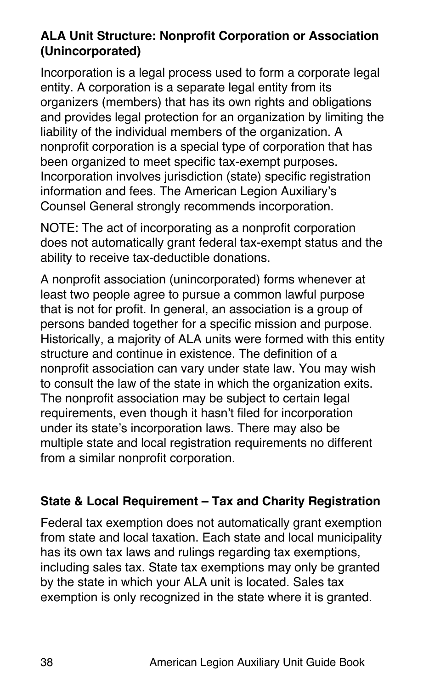#### **ALA Unit Structure: Nonprofit Corporation or Association (Unincorporated)**

Incorporation is a legal process used to form a corporate legal entity. A corporation is a separate legal entity from its organizers (members) that has its own rights and obligations and provides legal protection for an organization by limiting the liability of the individual members of the organization. A nonprofit corporation is a special type of corporation that has been organized to meet specific tax-exempt purposes. Incorporation involves jurisdiction (state) specific registration information and fees. The American Legion Auxiliary's Counsel General strongly recommends incorporation.

NOTE: The act of incorporating as a nonprofit corporation does not automatically grant federal tax-exempt status and the ability to receive tax-deductible donations.

A nonprofit association (unincorporated) forms whenever at least two people agree to pursue a common lawful purpose that is not for profit. In general, an association is a group of persons banded together for a specific mission and purpose. Historically, a majority of ALA units were formed with this entity structure and continue in existence. The definition of a nonprofit association can vary under state law. You may wish to consult the law of the state in which the organization exits. The nonprofit association may be subject to certain legal requirements, even though it hasn't filed for incorporation under its state's incorporation laws. There may also be multiple state and local registration requirements no different from a similar nonprofit corporation.

#### **State & Local Requirement – Tax and Charity Registration**

Federal tax exemption does not automatically grant exemption from state and local taxation. Each state and local municipality has its own tax laws and rulings regarding tax exemptions, including sales tax. State tax exemptions may only be granted by the state in which your ALA unit is located. Sales tax exemption is only recognized in the state where it is granted.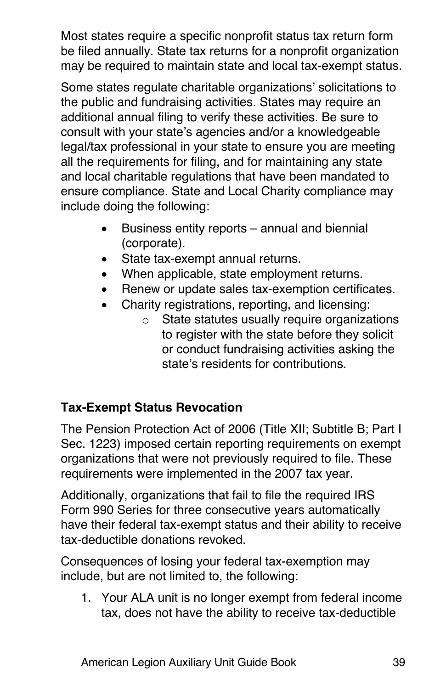Most states require a specific nonprofit status tax return form be filed annually. State tax returns for a nonprofit organization may be required to maintain state and local tax-exempt status.

Some states regulate charitable organizations' solicitations to the public and fundraising activities. States may require an additional annual filing to verify these activities. Be sure to consult with your state's agencies and/or a knowledgeable legal/tax professional in your state to ensure you are meeting all the requirements for filing, and for maintaining any state and local charitable regulations that have been mandated to ensure compliance. State and Local Charity compliance may include doing the following:

- Business entity reports annual and biennial (corporate).
- State tax-exempt annual returns.
- When applicable, state employment returns.
- Renew or update sales tax-exemption certificates.
- Charity registrations, reporting, and licensing:
	- o State statutes usually require organizations to register with the state before they solicit or conduct fundraising activities asking the state's residents for contributions.

# **Tax-Exempt Status Revocation**

The Pension Protection Act of 2006 (Title XII; Subtitle B; Part I Sec. 1223) imposed certain reporting requirements on exempt organizations that were not previously required to file. These requirements were implemented in the 2007 tax year.

Additionally, organizations that fail to file the required IRS Form 990 Series for three consecutive years automatically have their federal tax-exempt status and their ability to receive tax-deductible donations revoked.

Consequences of losing your federal tax-exemption may include, but are not limited to, the following:

1. Your ALA unit is no longer exempt from federal income tax, does not have the ability to receive tax-deductible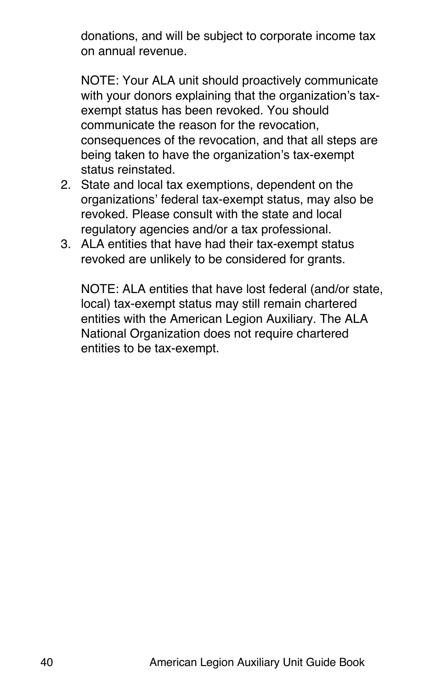donations, and will be subject to corporate income tax on annual revenue.

NOTE: Your ALA unit should proactively communicate with your donors explaining that the organization's taxexempt status has been revoked. You should communicate the reason for the revocation, consequences of the revocation, and that all steps are being taken to have the organization's tax-exempt status reinstated.

- 2. State and local tax exemptions, dependent on the organizations' federal tax-exempt status, may also be revoked. Please consult with the state and local regulatory agencies and/or a tax professional.
- 3. ALA entities that have had their tax-exempt status revoked are unlikely to be considered for grants.

NOTE: ALA entities that have lost federal (and/or state, local) tax-exempt status may still remain chartered entities with the American Legion Auxiliary. The ALA National Organization does not require chartered entities to be tax-exempt.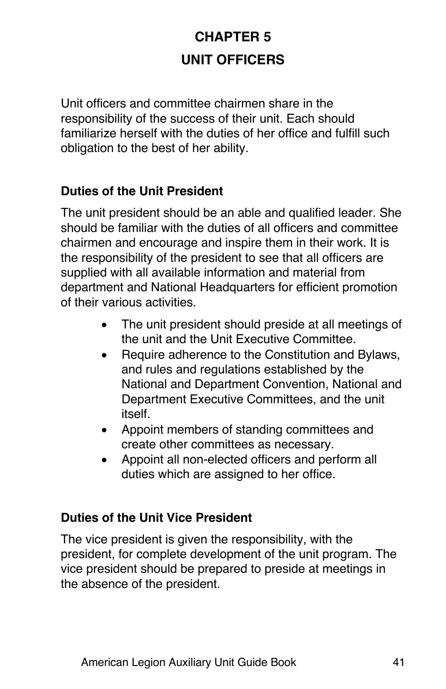# **CHAPTER 5 UNIT OFFICERS**

Unit officers and committee chairmen share in the responsibility of the success of their unit. Each should familiarize herself with the duties of her office and fulfill such obligation to the best of her ability.

#### **Duties of the Unit President**

The unit president should be an able and qualified leader. She should be familiar with the duties of all officers and committee chairmen and encourage and inspire them in their work. It is the responsibility of the president to see that all officers are supplied with all available information and material from department and National Headquarters for efficient promotion of their various activities.

- The unit president should preside at all meetings of the unit and the Unit Executive Committee.
- Require adherence to the Constitution and Bylaws, and rules and regulations established by the National and Department Convention, National and Department Executive Committees, and the unit itself.
- Appoint members of standing committees and create other committees as necessary.
- Appoint all non-elected officers and perform all duties which are assigned to her office.

#### **Duties of the Unit Vice President**

The vice president is given the responsibility, with the president, for complete development of the unit program. The vice president should be prepared to preside at meetings in the absence of the president.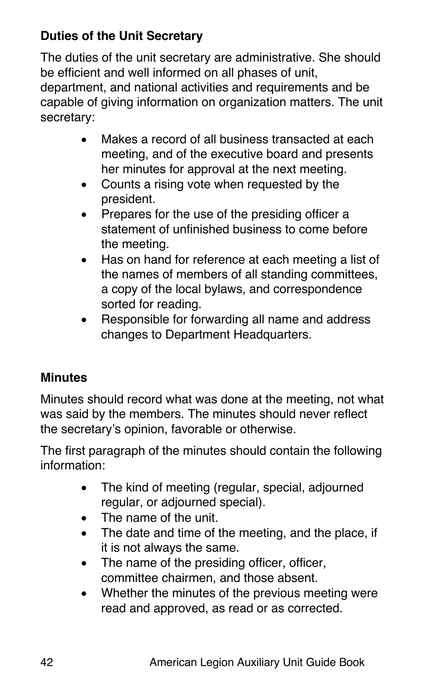# **Duties of the Unit Secretary**

The duties of the unit secretary are administrative. She should be efficient and well informed on all phases of unit, department, and national activities and requirements and be capable of giving information on organization matters. The unit secretary:

- Makes a record of all business transacted at each meeting, and of the executive board and presents her minutes for approval at the next meeting.
- Counts a rising vote when requested by the president.
- Prepares for the use of the presiding officer a statement of unfinished business to come before the meeting.
- Has on hand for reference at each meeting a list of the names of members of all standing committees, a copy of the local bylaws, and correspondence sorted for reading.
- Responsible for forwarding all name and address changes to Department Headquarters.

# **Minutes**

Minutes should record what was done at the meeting, not what was said by the members. The minutes should never reflect the secretary's opinion, favorable or otherwise.

The first paragraph of the minutes should contain the following information:

- The kind of meeting (regular, special, adjourned regular, or adjourned special).
- The name of the unit.
- The date and time of the meeting, and the place, if it is not always the same.
- The name of the presiding officer, officer, committee chairmen, and those absent.
- Whether the minutes of the previous meeting were read and approved, as read or as corrected.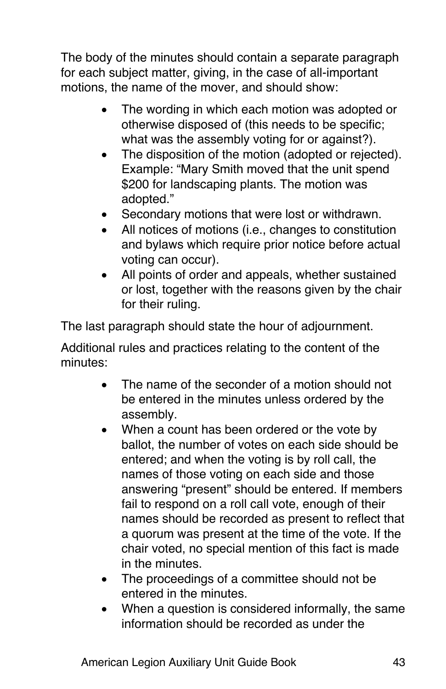The body of the minutes should contain a separate paragraph for each subject matter, giving, in the case of all-important motions, the name of the mover, and should show:

- The wording in which each motion was adopted or otherwise disposed of (this needs to be specific; what was the assembly voting for or against?).
- The disposition of the motion (adopted or rejected). Example: "Mary Smith moved that the unit spend \$200 for landscaping plants. The motion was adopted."
- Secondary motions that were lost or withdrawn.
- All notices of motions (i.e., changes to constitution and bylaws which require prior notice before actual voting can occur).
- All points of order and appeals, whether sustained or lost, together with the reasons given by the chair for their ruling.

The last paragraph should state the hour of adjournment.

Additional rules and practices relating to the content of the minutes:

- The name of the seconder of a motion should not be entered in the minutes unless ordered by the assembly.
- When a count has been ordered or the vote by ballot, the number of votes on each side should be entered; and when the voting is by roll call, the names of those voting on each side and those answering "present" should be entered. If members fail to respond on a roll call vote, enough of their names should be recorded as present to reflect that a quorum was present at the time of the vote. If the chair voted, no special mention of this fact is made in the minutes.
- The proceedings of a committee should not be entered in the minutes.
- When a question is considered informally, the same information should be recorded as under the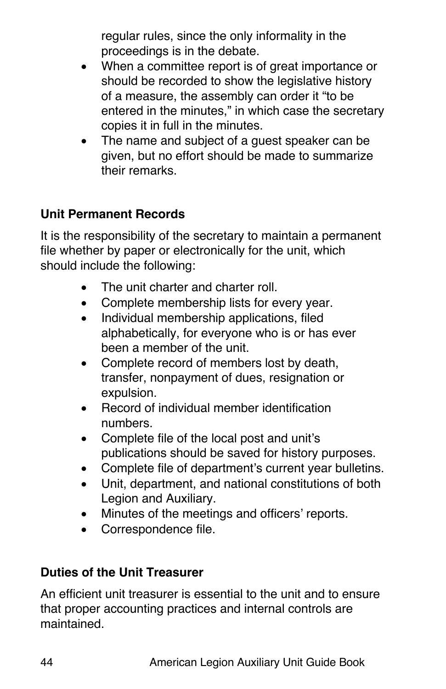regular rules, since the only informality in the proceedings is in the debate.

- When a committee report is of great importance or should be recorded to show the legislative history of a measure, the assembly can order it "to be entered in the minutes," in which case the secretary copies it in full in the minutes.
- The name and subject of a quest speaker can be given, but no effort should be made to summarize their remarks.

# **Unit Permanent Records**

It is the responsibility of the secretary to maintain a permanent file whether by paper or electronically for the unit, which should include the following:

- The unit charter and charter roll.
- Complete membership lists for every year.
- Individual membership applications, filed alphabetically, for everyone who is or has ever been a member of the unit.
- Complete record of members lost by death, transfer, nonpayment of dues, resignation or expulsion.
- Record of individual member identification numbers.
- Complete file of the local post and unit's publications should be saved for history purposes.
- Complete file of department's current year bulletins.
- Unit, department, and national constitutions of both Legion and Auxiliary.
- Minutes of the meetings and officers' reports.
- Correspondence file.

# **Duties of the Unit Treasurer**

An efficient unit treasurer is essential to the unit and to ensure that proper accounting practices and internal controls are maintained.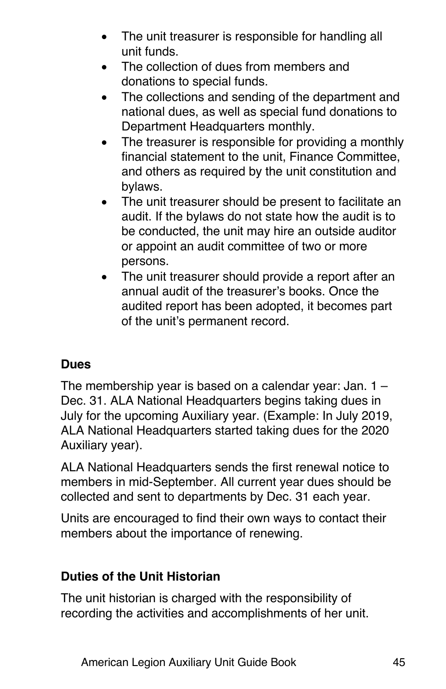- The unit treasurer is responsible for handling all unit funds.
- The collection of dues from members and donations to special funds.
- The collections and sending of the department and national dues, as well as special fund donations to Department Headquarters monthly.
- The treasurer is responsible for providing a monthly financial statement to the unit, Finance Committee, and others as required by the unit constitution and bylaws.
- The unit treasurer should be present to facilitate an audit. If the bylaws do not state how the audit is to be conducted, the unit may hire an outside auditor or appoint an audit committee of two or more persons.
- The unit treasurer should provide a report after an annual audit of the treasurer's books. Once the audited report has been adopted, it becomes part of the unit's permanent record.

#### **Dues**

The membership year is based on a calendar year: Jan. 1 – Dec. 31. ALA National Headquarters begins taking dues in July for the upcoming Auxiliary year. (Example: In July 2019, ALA National Headquarters started taking dues for the 2020 Auxiliary year).

ALA National Headquarters sends the first renewal notice to members in mid-September. All current year dues should be collected and sent to departments by Dec. 31 each year.

Units are encouraged to find their own ways to contact their members about the importance of renewing.

# **Duties of the Unit Historian**

The unit historian is charged with the responsibility of recording the activities and accomplishments of her unit.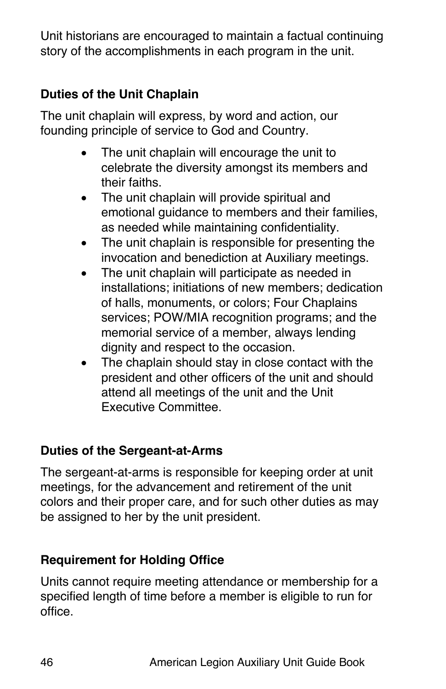Unit historians are encouraged to maintain a factual continuing story of the accomplishments in each program in the unit.

# **Duties of the Unit Chaplain**

The unit chaplain will express, by word and action, our founding principle of service to God and Country.

- The unit chaplain will encourage the unit to celebrate the diversity amongst its members and their faiths.
- The unit chaplain will provide spiritual and emotional guidance to members and their families, as needed while maintaining confidentiality.
- The unit chaplain is responsible for presenting the invocation and benediction at Auxiliary meetings.
- The unit chaplain will participate as needed in installations; initiations of new members; dedication of halls, monuments, or colors; Four Chaplains services; POW/MIA recognition programs; and the memorial service of a member, always lending dignity and respect to the occasion.
- The chaplain should stay in close contact with the president and other officers of the unit and should attend all meetings of the unit and the Unit Executive Committee.

# **Duties of the Sergeant-at-Arms**

The sergeant-at-arms is responsible for keeping order at unit meetings, for the advancement and retirement of the unit colors and their proper care, and for such other duties as may be assigned to her by the unit president.

# **Requirement for Holding Office**

Units cannot require meeting attendance or membership for a specified length of time before a member is eligible to run for office.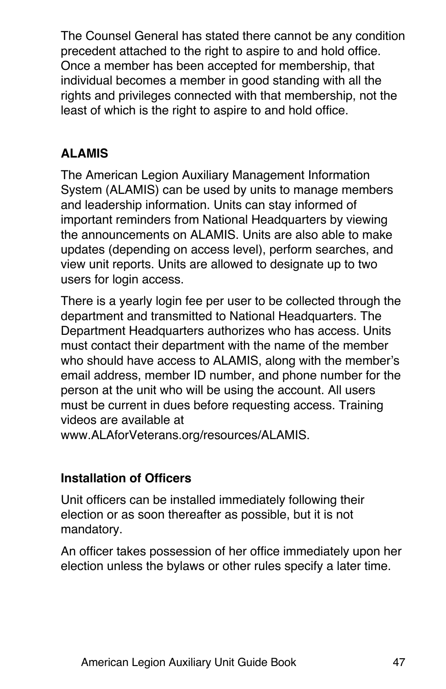The Counsel General has stated there cannot be any condition precedent attached to the right to aspire to and hold office. Once a member has been accepted for membership, that individual becomes a member in good standing with all the rights and privileges connected with that membership, not the least of which is the right to aspire to and hold office.

# **ALAMIS**

The American Legion Auxiliary Management Information System (ALAMIS) can be used by units to manage members and leadership information. Units can stay informed of important reminders from National Headquarters by viewing the announcements on ALAMIS. Units are also able to make updates (depending on access level), perform searches, and view unit reports. Units are allowed to designate up to two users for login access.

There is a yearly login fee per user to be collected through the department and transmitted to National Headquarters. The Department Headquarters authorizes who has access. Units must contact their department with the name of the member who should have access to ALAMIS, along with the member's email address, member ID number, and phone number for the person at the unit who will be using the account. All users must be current in dues before requesting access. Training videos are available at

www.ALAforVeterans.org/resources/ALAMIS.

#### **Installation of Officers**

Unit officers can be installed immediately following their election or as soon thereafter as possible, but it is not mandatory.

An officer takes possession of her office immediately upon her election unless the bylaws or other rules specify a later time.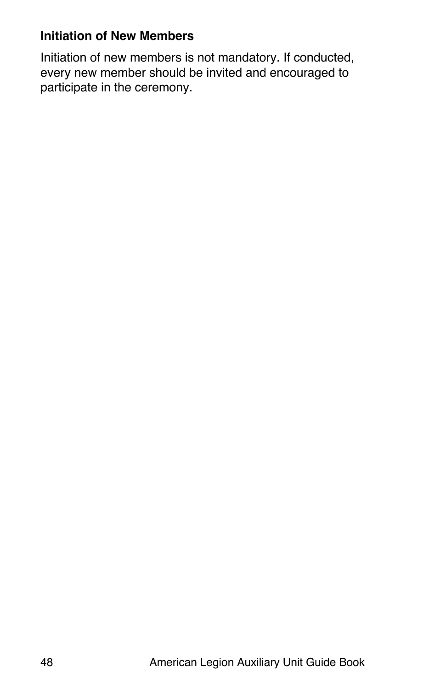#### **Initiation of New Members**

Initiation of new members is not mandatory. If conducted, every new member should be invited and encouraged to participate in the ceremony.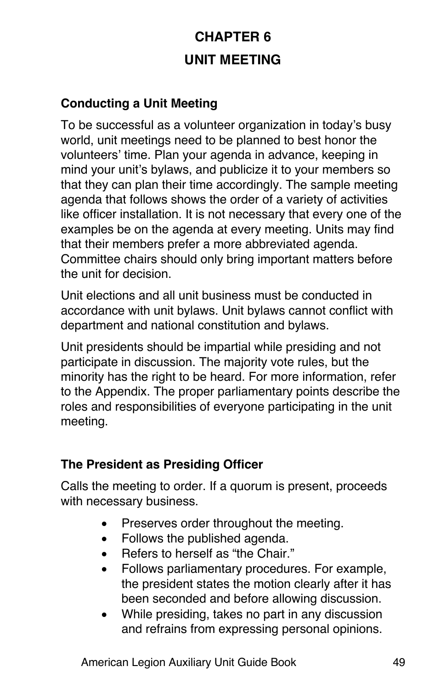# **CHAPTER 6 UNIT MEETING**

#### **Conducting a Unit Meeting**

To be successful as a volunteer organization in today's busy world, unit meetings need to be planned to best honor the volunteers' time. Plan your agenda in advance, keeping in mind your unit's bylaws, and publicize it to your members so that they can plan their time accordingly. The sample meeting agenda that follows shows the order of a variety of activities like officer installation. It is not necessary that every one of the examples be on the agenda at every meeting. Units may find that their members prefer a more abbreviated agenda. Committee chairs should only bring important matters before the unit for decision.

Unit elections and all unit business must be conducted in accordance with unit bylaws. Unit bylaws cannot conflict with department and national constitution and bylaws.

Unit presidents should be impartial while presiding and not participate in discussion. The majority vote rules, but the minority has the right to be heard. For more information, refer to the Appendix. The proper parliamentary points describe the roles and responsibilities of everyone participating in the unit meeting.

#### **The President as Presiding Officer**

Calls the meeting to order. If a quorum is present, proceeds with necessary business.

- Preserves order throughout the meeting.
- Follows the published agenda.
- Refers to herself as "the Chair."
- Follows parliamentary procedures. For example, the president states the motion clearly after it has been seconded and before allowing discussion.
- While presiding, takes no part in any discussion and refrains from expressing personal opinions.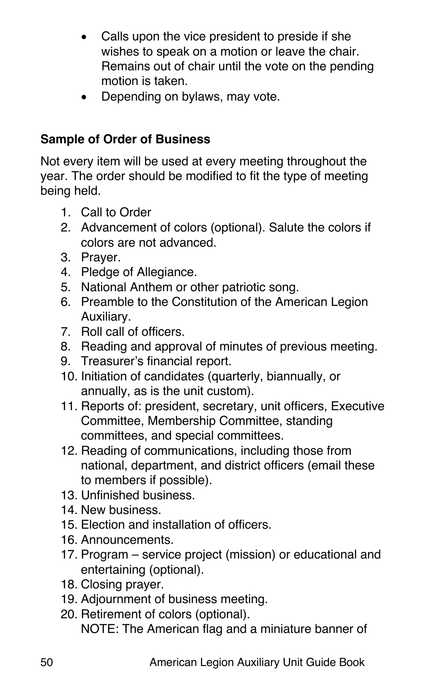- Calls upon the vice president to preside if she wishes to speak on a motion or leave the chair. Remains out of chair until the vote on the pending motion is taken.
- Depending on bylaws, may vote.

#### **Sample of Order of Business**

Not every item will be used at every meeting throughout the year. The order should be modified to fit the type of meeting being held.

- 1. Call to Order
- 2. Advancement of colors (optional). Salute the colors if colors are not advanced.
- 3. Prayer.
- 4. Pledge of Allegiance.
- 5. National Anthem or other patriotic song.
- 6. Preamble to the Constitution of the American Legion Auxiliary.
- 7. Roll call of officers.
- 8. Reading and approval of minutes of previous meeting.
- 9. Treasurer's financial report.
- 10. Initiation of candidates (quarterly, biannually, or annually, as is the unit custom).
- 11. Reports of: president, secretary, unit officers, Executive Committee, Membership Committee, standing committees, and special committees.
- 12. Reading of communications, including those from national, department, and district officers (email these to members if possible).
- 13. Unfinished business.
- 14. New business.
- 15. Election and installation of officers.
- 16. Announcements.
- 17. Program service project (mission) or educational and entertaining (optional).
- 18. Closing prayer.
- 19. Adjournment of business meeting.
- 20. Retirement of colors (optional). NOTE: The American flag and a miniature banner of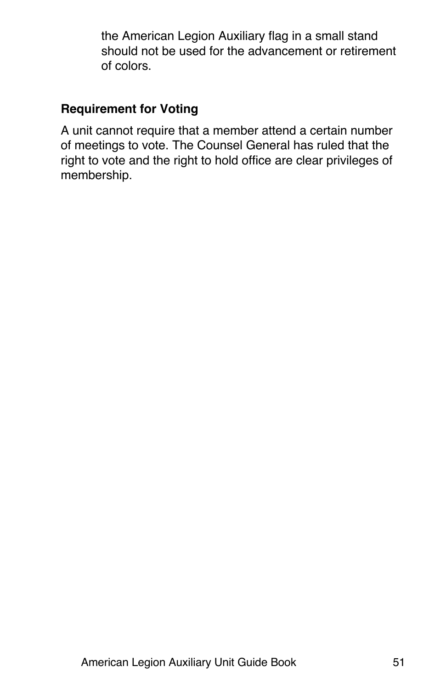the American Legion Auxiliary flag in a small stand should not be used for the advancement or retirement of colors.

#### **Requirement for Voting**

A unit cannot require that a member attend a certain number of meetings to vote. The Counsel General has ruled that the right to vote and the right to hold office are clear privileges of membership.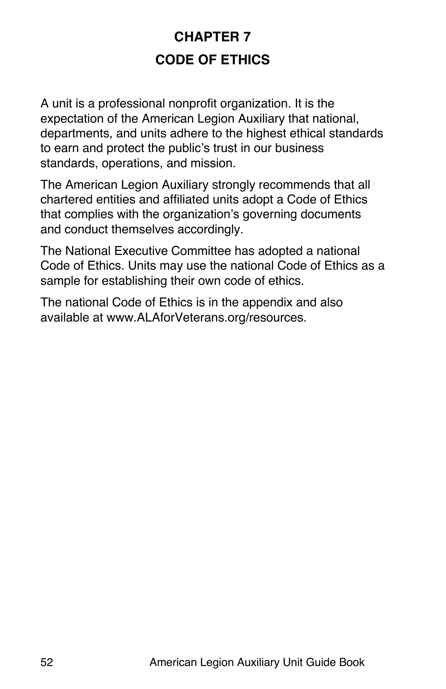# **CHAPTER 7 CODE OF ETHICS**

A unit is a professional nonprofit organization. It is the expectation of the American Legion Auxiliary that national, departments, and units adhere to the highest ethical standards to earn and protect the public's trust in our business standards, operations, and mission.

The American Legion Auxiliary strongly recommends that all chartered entities and affiliated units adopt a Code of Ethics that complies with the organization's governing documents and conduct themselves accordingly.

The National Executive Committee has adopted a national Code of Ethics. Units may use the national Code of Ethics as a sample for establishing their own code of ethics.

The national Code of Ethics is in the appendix and also available at www.ALAforVeterans.org/resources.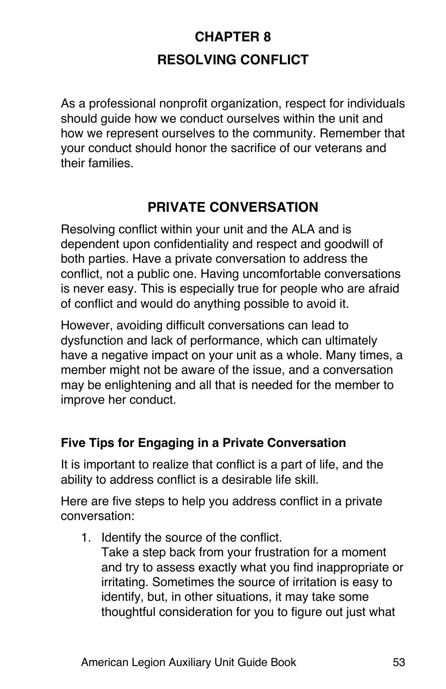# **CHAPTER 8 RESOLVING CONFLICT**

As a professional nonprofit organization, respect for individuals should guide how we conduct ourselves within the unit and how we represent ourselves to the community. Remember that your conduct should honor the sacrifice of our veterans and their families.

# **PRIVATE CONVERSATION**

Resolving conflict within your unit and the ALA and is dependent upon confidentiality and respect and goodwill of both parties. Have a private conversation to address the conflict, not a public one. Having uncomfortable conversations is never easy. This is especially true for people who are afraid of conflict and would do anything possible to avoid it.

However, avoiding difficult conversations can lead to dysfunction and lack of performance, which can ultimately have a negative impact on your unit as a whole. Many times, a member might not be aware of the issue, and a conversation may be enlightening and all that is needed for the member to improve her conduct.

# **Five Tips for Engaging in a Private Conversation**

It is important to realize that conflict is a part of life, and the ability to address conflict is a desirable life skill.

Here are five steps to help you address conflict in a private conversation:

1. Identify the source of the conflict.

Take a step back from your frustration for a moment and try to assess exactly what you find inappropriate or irritating. Sometimes the source of irritation is easy to identify, but, in other situations, it may take some thoughtful consideration for you to figure out just what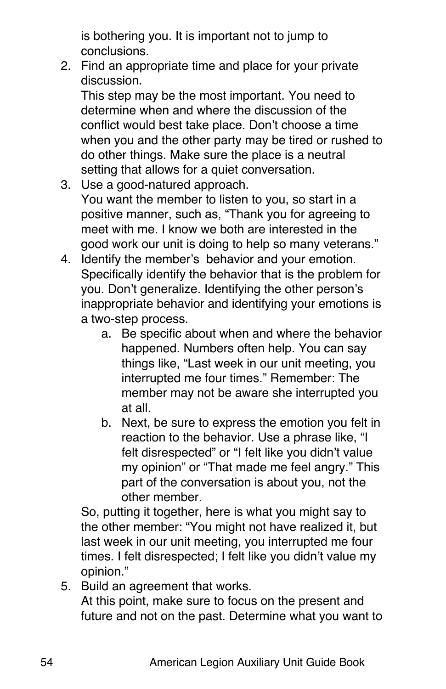is bothering you. It is important not to jump to conclusions.

2. Find an appropriate time and place for your private discussion.

This step may be the most important. You need to determine when and where the discussion of the conflict would best take place. Don't choose a time when you and the other party may be tired or rushed to do other things. Make sure the place is a neutral setting that allows for a quiet conversation.

- 3. Use a good-natured approach. You want the member to listen to you, so start in a positive manner, such as, "Thank you for agreeing to meet with me. I know we both are interested in the good work our unit is doing to help so many veterans."
- 4. Identify the member's behavior and your emotion. Specifically identify the behavior that is the problem for you. Don't generalize. Identifying the other person's inappropriate behavior and identifying your emotions is a two-step process.
	- a. Be specific about when and where the behavior happened. Numbers often help. You can say things like, "Last week in our unit meeting, you interrupted me four times." Remember: The member may not be aware she interrupted you at all.
	- b. Next, be sure to express the emotion you felt in reaction to the behavior. Use a phrase like, "I felt disrespected" or "I felt like you didn't value my opinion" or "That made me feel angry." This part of the conversation is about you, not the other member.

So, putting it together, here is what you might say to the other member: "You might not have realized it, but last week in our unit meeting, you interrupted me four times. I felt disrespected; I felt like you didn't value my opinion."

5. Build an agreement that works. At this point, make sure to focus on the present and future and not on the past. Determine what you want to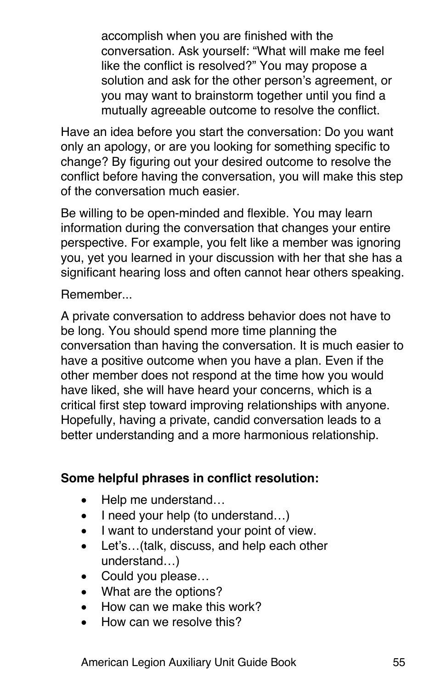accomplish when you are finished with the conversation. Ask yourself: "What will make me feel like the conflict is resolved?" You may propose a solution and ask for the other person's agreement, or you may want to brainstorm together until you find a mutually agreeable outcome to resolve the conflict.

Have an idea before you start the conversation: Do you want only an apology, or are you looking for something specific to change? By figuring out your desired outcome to resolve the conflict before having the conversation, you will make this step of the conversation much easier.

Be willing to be open-minded and flexible. You may learn information during the conversation that changes your entire perspective. For example, you felt like a member was ignoring you, yet you learned in your discussion with her that she has a significant hearing loss and often cannot hear others speaking.

Remember...

A private conversation to address behavior does not have to be long. You should spend more time planning the conversation than having the conversation. It is much easier to have a positive outcome when you have a plan. Even if the other member does not respond at the time how you would have liked, she will have heard your concerns, which is a critical first step toward improving relationships with anyone. Hopefully, having a private, candid conversation leads to a better understanding and a more harmonious relationship.

# **Some helpful phrases in conflict resolution:**

- Help me understand...
- I need your help (to understand…)
- I want to understand your point of view.
- Let's…(talk, discuss, and help each other understand…)
- Could you please…
- What are the options?
- How can we make this work?
- How can we resolve this?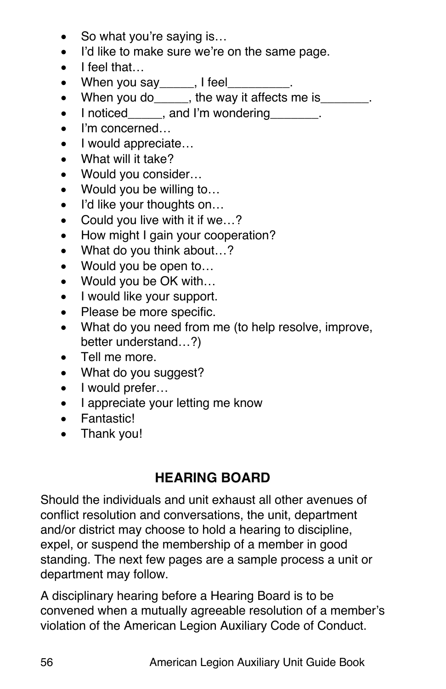- So what you're saying is...
- I'd like to make sure we're on the same page.
- I feel that
- When you say\_\_\_\_\_, I feel \_\_\_\_\_\_\_.
- When you do\_\_\_\_\_, the way it affects me is\_\_\_\_\_\_\_.
- I noticed\_\_\_\_\_\_, and I'm wondering and I'm wondering
- I'm concerned…
- I would appreciate...
- What will it take?
- Would you consider…
- Would you be willing to...
- I'd like your thoughts on...
- Could you live with it if we...?
- How might I gain your cooperation?
- What do you think about...?
- Would you be open to...
- Would you be OK with...
- I would like your support.
- Please be more specific.
- What do you need from me (to help resolve, improve, better understand…?)
- Tell me more.
- What do you suggest?
- I would prefer...
- I appreciate your letting me know
- Fantastic!
- Thank you!

# **HEARING BOARD**

Should the individuals and unit exhaust all other avenues of conflict resolution and conversations, the unit, department and/or district may choose to hold a hearing to discipline, expel, or suspend the membership of a member in good standing. The next few pages are a sample process a unit or department may follow.

A disciplinary hearing before a Hearing Board is to be convened when a mutually agreeable resolution of a member's violation of the American Legion Auxiliary Code of Conduct.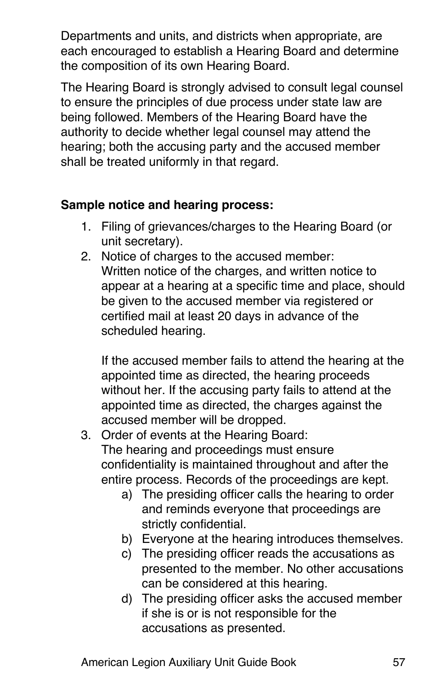Departments and units, and districts when appropriate, are each encouraged to establish a Hearing Board and determine the composition of its own Hearing Board.

The Hearing Board is strongly advised to consult legal counsel to ensure the principles of due process under state law are being followed. Members of the Hearing Board have the authority to decide whether legal counsel may attend the hearing; both the accusing party and the accused member shall be treated uniformly in that regard.

#### **Sample notice and hearing process:**

- 1. Filing of grievances/charges to the Hearing Board (or unit secretary).
- 2. Notice of charges to the accused member: Written notice of the charges, and written notice to appear at a hearing at a specific time and place, should be given to the accused member via registered or certified mail at least 20 days in advance of the scheduled hearing.

If the accused member fails to attend the hearing at the appointed time as directed, the hearing proceeds without her. If the accusing party fails to attend at the appointed time as directed, the charges against the accused member will be dropped.

- 3. Order of events at the Hearing Board: The hearing and proceedings must ensure confidentiality is maintained throughout and after the entire process. Records of the proceedings are kept.
	- a) The presiding officer calls the hearing to order and reminds everyone that proceedings are strictly confidential.
	- b) Everyone at the hearing introduces themselves.
	- c) The presiding officer reads the accusations as presented to the member. No other accusations can be considered at this hearing.
	- d) The presiding officer asks the accused member if she is or is not responsible for the accusations as presented.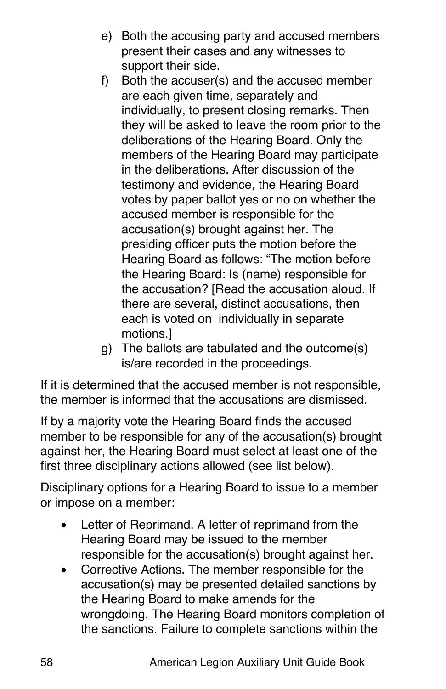- e) Both the accusing party and accused members present their cases and any witnesses to support their side.
- f) Both the accuser(s) and the accused member are each given time, separately and individually, to present closing remarks. Then they will be asked to leave the room prior to the deliberations of the Hearing Board. Only the members of the Hearing Board may participate in the deliberations. After discussion of the testimony and evidence, the Hearing Board votes by paper ballot yes or no on whether the accused member is responsible for the accusation(s) brought against her. The presiding officer puts the motion before the Hearing Board as follows: "The motion before the Hearing Board: Is (name) responsible for the accusation? [Read the accusation aloud. If there are several, distinct accusations, then each is voted on individually in separate motions.]
- g) The ballots are tabulated and the outcome(s) is/are recorded in the proceedings.

If it is determined that the accused member is not responsible, the member is informed that the accusations are dismissed.

If by a majority vote the Hearing Board finds the accused member to be responsible for any of the accusation(s) brought against her, the Hearing Board must select at least one of the first three disciplinary actions allowed (see list below).

Disciplinary options for a Hearing Board to issue to a member or impose on a member:

- Letter of Reprimand. A letter of reprimand from the Hearing Board may be issued to the member responsible for the accusation(s) brought against her.
- Corrective Actions. The member responsible for the accusation(s) may be presented detailed sanctions by the Hearing Board to make amends for the wrongdoing. The Hearing Board monitors completion of the sanctions. Failure to complete sanctions within the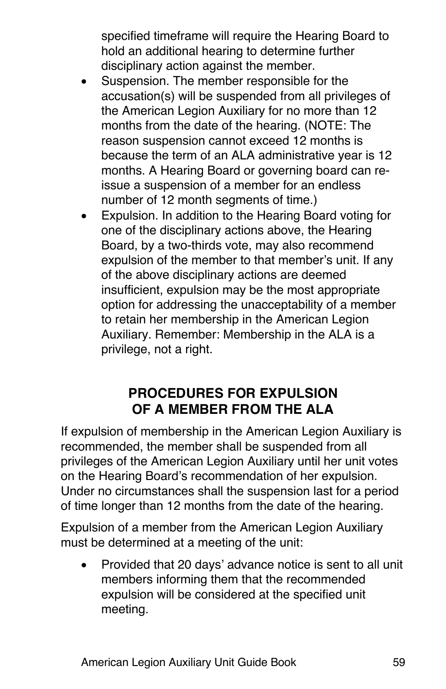specified timeframe will require the Hearing Board to hold an additional hearing to determine further disciplinary action against the member.

- Suspension. The member responsible for the accusation(s) will be suspended from all privileges of the American Legion Auxiliary for no more than 12 months from the date of the hearing. (NOTE: The reason suspension cannot exceed 12 months is because the term of an ALA administrative year is 12 months. A Hearing Board or governing board can reissue a suspension of a member for an endless number of 12 month segments of time.)
- Expulsion. In addition to the Hearing Board voting for one of the disciplinary actions above, the Hearing Board, by a two-thirds vote, may also recommend expulsion of the member to that member's unit. If any of the above disciplinary actions are deemed insufficient, expulsion may be the most appropriate option for addressing the unacceptability of a member to retain her membership in the American Legion Auxiliary. Remember: Membership in the ALA is a privilege, not a right.

# **PROCEDURES FOR EXPULSION OF A MEMBER FROM THE ALA**

If expulsion of membership in the American Legion Auxiliary is recommended, the member shall be suspended from all privileges of the American Legion Auxiliary until her unit votes on the Hearing Board's recommendation of her expulsion. Under no circumstances shall the suspension last for a period of time longer than 12 months from the date of the hearing.

Expulsion of a member from the American Legion Auxiliary must be determined at a meeting of the unit:

• Provided that 20 days' advance notice is sent to all unit members informing them that the recommended expulsion will be considered at the specified unit meeting.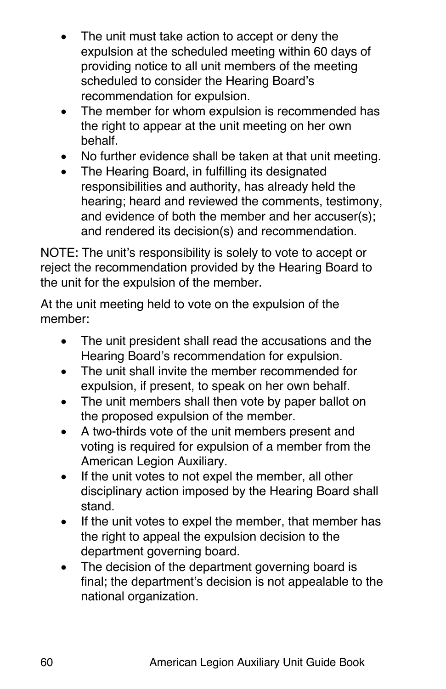- The unit must take action to accept or deny the expulsion at the scheduled meeting within 60 days of providing notice to all unit members of the meeting scheduled to consider the Hearing Board's recommendation for expulsion.
- The member for whom expulsion is recommended has the right to appear at the unit meeting on her own behalf.
- No further evidence shall be taken at that unit meeting.
- The Hearing Board, in fulfilling its designated responsibilities and authority, has already held the hearing; heard and reviewed the comments, testimony, and evidence of both the member and her accuser(s); and rendered its decision(s) and recommendation.

NOTE: The unit's responsibility is solely to vote to accept or reject the recommendation provided by the Hearing Board to the unit for the expulsion of the member.

At the unit meeting held to vote on the expulsion of the member:

- The unit president shall read the accusations and the Hearing Board's recommendation for expulsion.
- The unit shall invite the member recommended for expulsion, if present, to speak on her own behalf.
- The unit members shall then vote by paper ballot on the proposed expulsion of the member.
- A two-thirds vote of the unit members present and voting is required for expulsion of a member from the American Legion Auxiliary.
- If the unit votes to not expel the member, all other disciplinary action imposed by the Hearing Board shall stand.
- If the unit votes to expel the member, that member has the right to appeal the expulsion decision to the department governing board.
- The decision of the department governing board is final; the department's decision is not appealable to the national organization.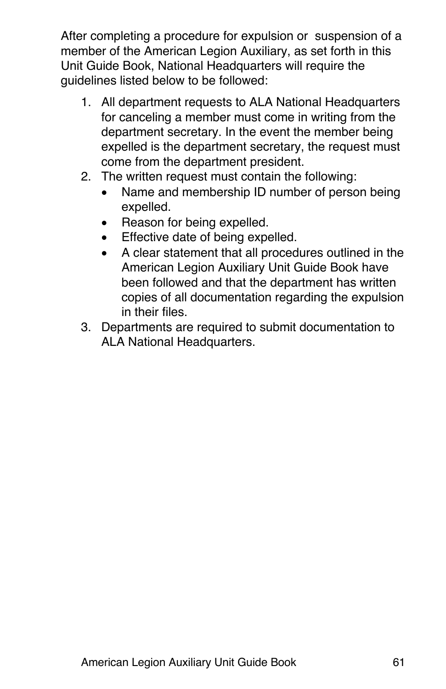After completing a procedure for expulsion or suspension of a member of the American Legion Auxiliary, as set forth in this Unit Guide Book, National Headquarters will require the guidelines listed below to be followed:

- 1. All department requests to ALA National Headquarters for canceling a member must come in writing from the department secretary. In the event the member being expelled is the department secretary, the request must come from the department president.
- 2. The written request must contain the following:
	- Name and membership ID number of person being expelled.
	- Reason for being expelled.
	- Effective date of being expelled.
	- A clear statement that all procedures outlined in the American Legion Auxiliary Unit Guide Book have been followed and that the department has written copies of all documentation regarding the expulsion in their files.
- 3. Departments are required to submit documentation to ALA National Headquarters.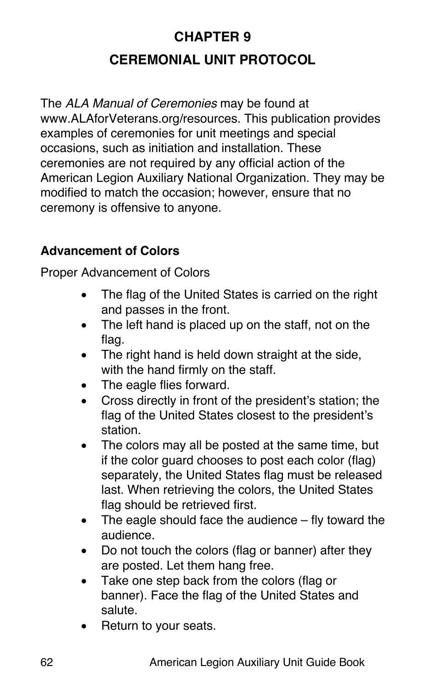# **CHAPTER 9 CEREMONIAL UNIT PROTOCOL**

The *ALA Manual of Ceremonies* may be found at www.ALAforVeterans.org/resources. This publication provides examples of ceremonies for unit meetings and special occasions, such as initiation and installation. These ceremonies are not required by any official action of the American Legion Auxiliary National Organization. They may be modified to match the occasion; however, ensure that no ceremony is offensive to anyone.

#### **Advancement of Colors**

Proper Advancement of Colors

- The flag of the United States is carried on the right and passes in the front.
- The left hand is placed up on the staff, not on the flag.
- The right hand is held down straight at the side, with the hand firmly on the staff.
- The eagle flies forward.
- Cross directly in front of the president's station; the flag of the United States closest to the president's station.
- The colors may all be posted at the same time, but if the color guard chooses to post each color (flag) separately, the United States flag must be released last. When retrieving the colors, the United States flag should be retrieved first.
- The eagle should face the audience fly toward the audience.
- Do not touch the colors (flag or banner) after they are posted. Let them hang free.
- Take one step back from the colors (flag or banner). Face the flag of the United States and salute.
- Return to your seats.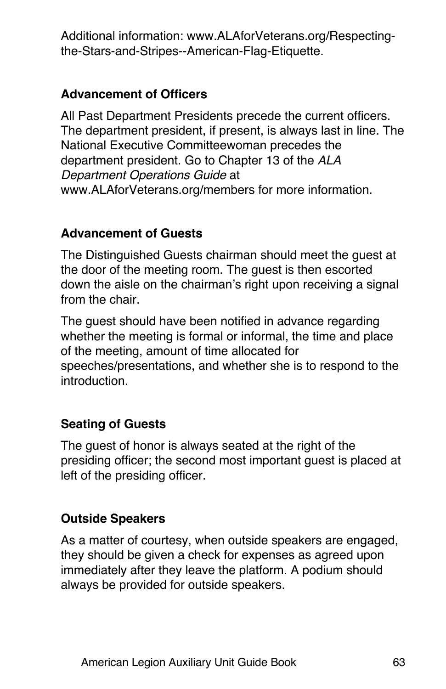Additional information: www.ALAforVeterans.org/Respectingthe-Stars-and-Stripes--American-Flag-Etiquette.

#### **Advancement of Officers**

All Past Department Presidents precede the current officers. The department president, if present, is always last in line. The National Executive Committeewoman precedes the department president. Go to Chapter 13 of the *ALA Department Operations Guide* at www.ALAforVeterans.org/members for more information.

#### **Advancement of Guests**

The Distinguished Guests chairman should meet the guest at the door of the meeting room. The guest is then escorted down the aisle on the chairman's right upon receiving a signal from the chair.

The guest should have been notified in advance regarding whether the meeting is formal or informal, the time and place of the meeting, amount of time allocated for speeches/presentations, and whether she is to respond to the introduction.

#### **Seating of Guests**

The guest of honor is always seated at the right of the presiding officer; the second most important guest is placed at left of the presiding officer.

# **Outside Speakers**

As a matter of courtesy, when outside speakers are engaged, they should be given a check for expenses as agreed upon immediately after they leave the platform. A podium should always be provided for outside speakers.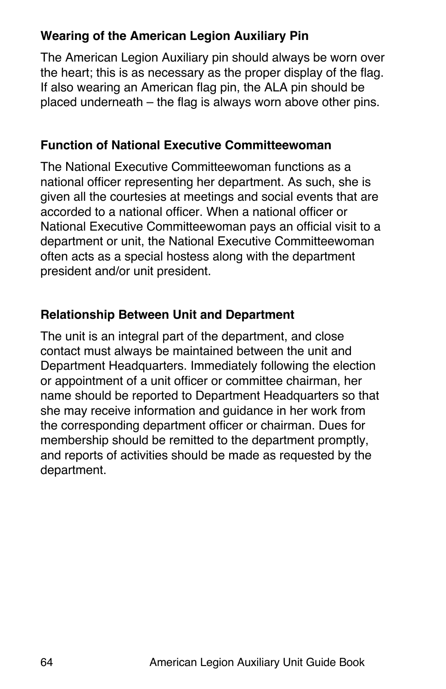#### **Wearing of the American Legion Auxiliary Pin**

The American Legion Auxiliary pin should always be worn over the heart; this is as necessary as the proper display of the flag. If also wearing an American flag pin, the ALA pin should be placed underneath – the flag is always worn above other pins.

#### **Function of National Executive Committeewoman**

The National Executive Committeewoman functions as a national officer representing her department. As such, she is given all the courtesies at meetings and social events that are accorded to a national officer. When a national officer or National Executive Committeewoman pays an official visit to a department or unit, the National Executive Committeewoman often acts as a special hostess along with the department president and/or unit president.

#### **Relationship Between Unit and Department**

The unit is an integral part of the department, and close contact must always be maintained between the unit and Department Headquarters. Immediately following the election or appointment of a unit officer or committee chairman, her name should be reported to Department Headquarters so that she may receive information and guidance in her work from the corresponding department officer or chairman. Dues for membership should be remitted to the department promptly, and reports of activities should be made as requested by the department.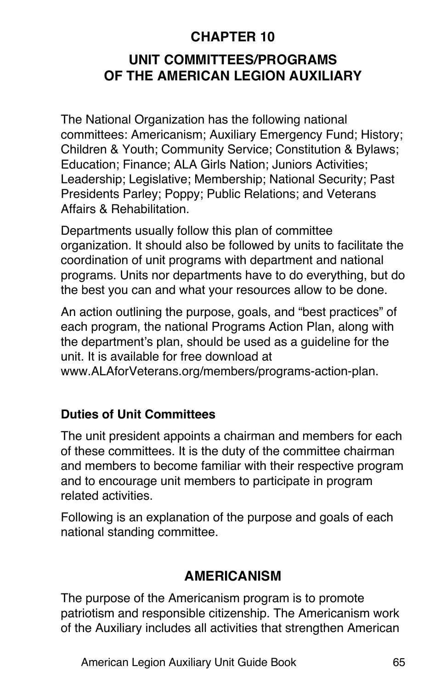# **CHAPTER 10**

# **UNIT COMMITTEES/PROGRAMS OF THE AMERICAN LEGION AUXILIARY**

The National Organization has the following national committees: Americanism; Auxiliary Emergency Fund; History; Children & Youth; Community Service; Constitution & Bylaws; Education; Finance; ALA Girls Nation; Juniors Activities; Leadership; Legislative; Membership; National Security; Past Presidents Parley; Poppy; Public Relations; and Veterans Affairs & Rehabilitation.

Departments usually follow this plan of committee organization. It should also be followed by units to facilitate the coordination of unit programs with department and national programs. Units nor departments have to do everything, but do the best you can and what your resources allow to be done.

An action outlining the purpose, goals, and "best practices" of each program, the national Programs Action Plan, along with the department's plan, should be used as a guideline for the unit. It is available for free download at

www.ALAforVeterans.org/members/programs-action-plan.

# **Duties of Unit Committees**

The unit president appoints a chairman and members for each of these committees. It is the duty of the committee chairman and members to become familiar with their respective program and to encourage unit members to participate in program related activities.

Following is an explanation of the purpose and goals of each national standing committee.

# **AMERICANISM**

The purpose of the Americanism program is to promote patriotism and responsible citizenship. The Americanism work of the Auxiliary includes all activities that strengthen American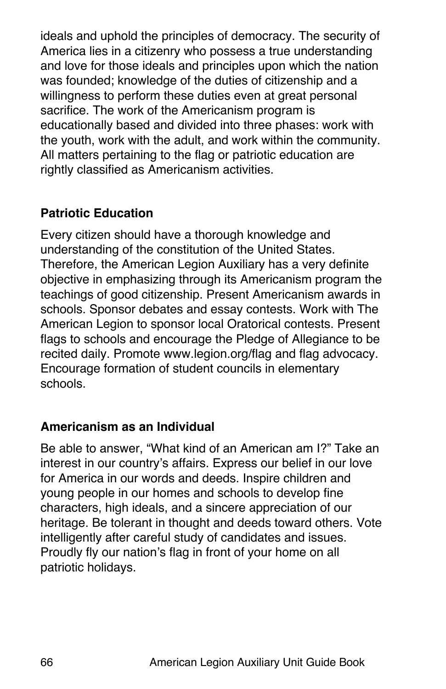ideals and uphold the principles of democracy. The security of America lies in a citizenry who possess a true understanding and love for those ideals and principles upon which the nation was founded; knowledge of the duties of citizenship and a willingness to perform these duties even at great personal sacrifice. The work of the Americanism program is educationally based and divided into three phases: work with the youth, work with the adult, and work within the community. All matters pertaining to the flag or patriotic education are rightly classified as Americanism activities.

# **Patriotic Education**

Every citizen should have a thorough knowledge and understanding of the constitution of the United States. Therefore, the American Legion Auxiliary has a very definite objective in emphasizing through its Americanism program the teachings of good citizenship. Present Americanism awards in schools. Sponsor debates and essay contests. Work with The American Legion to sponsor local Oratorical contests. Present flags to schools and encourage the Pledge of Allegiance to be recited daily. Promote www.legion.org/flag and flag advocacy. Encourage formation of student councils in elementary schools.

#### **Americanism as an Individual**

Be able to answer, "What kind of an American am I?" Take an interest in our country's affairs. Express our belief in our love for America in our words and deeds. Inspire children and young people in our homes and schools to develop fine characters, high ideals, and a sincere appreciation of our heritage. Be tolerant in thought and deeds toward others. Vote intelligently after careful study of candidates and issues. Proudly fly our nation's flag in front of your home on all patriotic holidays.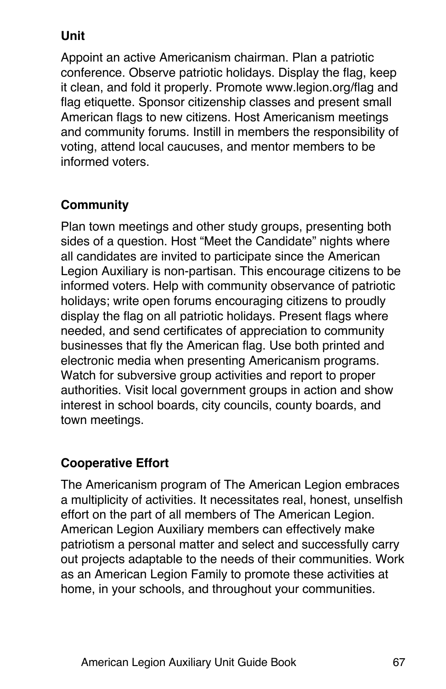# **Unit**

Appoint an active Americanism chairman. Plan a patriotic conference. Observe patriotic holidays. Display the flag, keep it clean, and fold it properly. Promote www.legion.org/flag and flag etiquette. Sponsor citizenship classes and present small American flags to new citizens. Host Americanism meetings and community forums. Instill in members the responsibility of voting, attend local caucuses, and mentor members to be informed voters.

# **Community**

Plan town meetings and other study groups, presenting both sides of a question. Host "Meet the Candidate" nights where all candidates are invited to participate since the American Legion Auxiliary is non-partisan. This encourage citizens to be informed voters. Help with community observance of patriotic holidays; write open forums encouraging citizens to proudly display the flag on all patriotic holidays. Present flags where needed, and send certificates of appreciation to community businesses that fly the American flag. Use both printed and electronic media when presenting Americanism programs. Watch for subversive group activities and report to proper authorities. Visit local government groups in action and show interest in school boards, city councils, county boards, and town meetings.

#### **Cooperative Effort**

The Americanism program of The American Legion embraces a multiplicity of activities. It necessitates real, honest, unselfish effort on the part of all members of The American Legion. American Legion Auxiliary members can effectively make patriotism a personal matter and select and successfully carry out projects adaptable to the needs of their communities. Work as an American Legion Family to promote these activities at home, in your schools, and throughout your communities.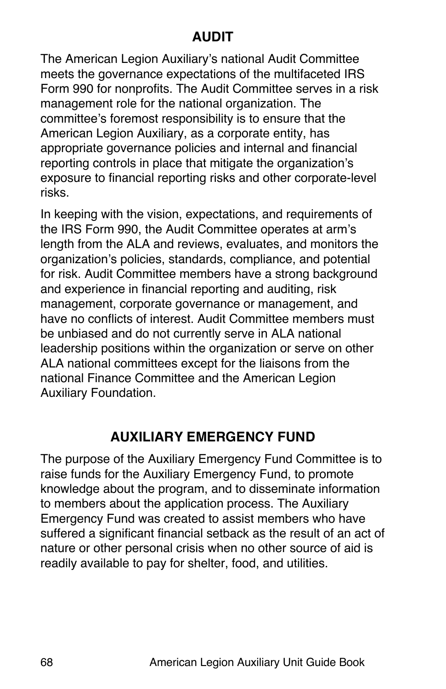# **AUDIT**

The American Legion Auxiliary's national Audit Committee meets the governance expectations of the multifaceted IRS Form 990 for nonprofits. The Audit Committee serves in a risk management role for the national organization. The committee's foremost responsibility is to ensure that the American Legion Auxiliary, as a corporate entity, has appropriate governance policies and internal and financial reporting controls in place that mitigate the organization's exposure to financial reporting risks and other corporate-level risks.

In keeping with the vision, expectations, and requirements of the IRS Form 990, the Audit Committee operates at arm's length from the ALA and reviews, evaluates, and monitors the organization's policies, standards, compliance, and potential for risk. Audit Committee members have a strong background and experience in financial reporting and auditing, risk management, corporate governance or management, and have no conflicts of interest. Audit Committee members must be unbiased and do not currently serve in ALA national leadership positions within the organization or serve on other ALA national committees except for the liaisons from the national Finance Committee and the American Legion Auxiliary Foundation.

# **AUXILIARY EMERGENCY FUND**

The purpose of the Auxiliary Emergency Fund Committee is to raise funds for the Auxiliary Emergency Fund, to promote knowledge about the program, and to disseminate information to members about the application process. The Auxiliary Emergency Fund was created to assist members who have suffered a significant financial setback as the result of an act of nature or other personal crisis when no other source of aid is readily available to pay for shelter, food, and utilities.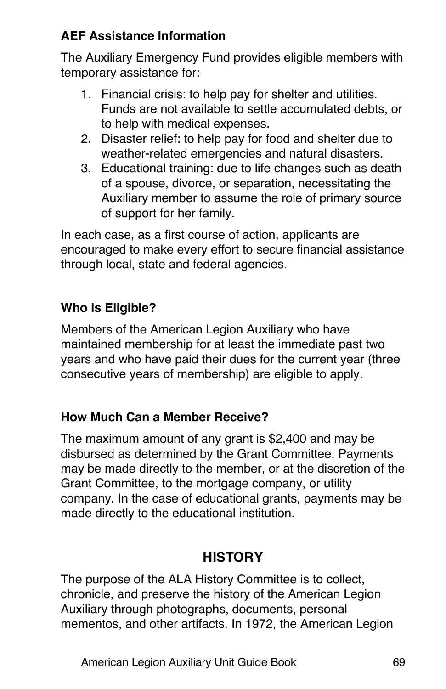#### **AEF Assistance Information**

The Auxiliary Emergency Fund provides eligible members with temporary assistance for:

- 1. Financial crisis: to help pay for shelter and utilities. Funds are not available to settle accumulated debts, or to help with medical expenses.
- 2. Disaster relief: to help pay for food and shelter due to weather-related emergencies and natural disasters.
- 3. Educational training: due to life changes such as death of a spouse, divorce, or separation, necessitating the Auxiliary member to assume the role of primary source of support for her family.

In each case, as a first course of action, applicants are encouraged to make every effort to secure financial assistance through local, state and federal agencies.

# **Who is Eligible?**

Members of the American Legion Auxiliary who have maintained membership for at least the immediate past two years and who have paid their dues for the current year (three consecutive years of membership) are eligible to apply.

#### **How Much Can a Member Receive?**

The maximum amount of any grant is \$2,400 and may be disbursed as determined by the Grant Committee. Payments may be made directly to the member, or at the discretion of the Grant Committee, to the mortgage company, or utility company. In the case of educational grants, payments may be made directly to the educational institution.

# **HISTORY**

The purpose of the ALA History Committee is to collect, chronicle, and preserve the history of the American Legion Auxiliary through photographs, documents, personal mementos, and other artifacts. In 1972, the American Legion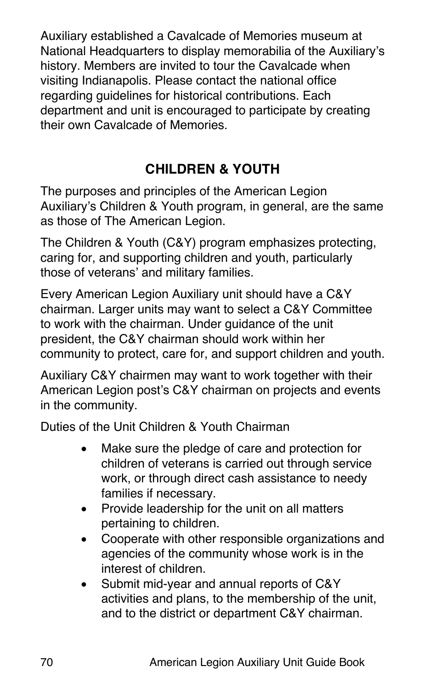Auxiliary established a Cavalcade of Memories museum at National Headquarters to display memorabilia of the Auxiliary's history. Members are invited to tour the Cavalcade when visiting Indianapolis. Please contact the national office regarding guidelines for historical contributions. Each department and unit is encouraged to participate by creating their own Cavalcade of Memories.

# **CHILDREN & YOUTH**

The purposes and principles of the American Legion Auxiliary's Children & Youth program, in general, are the same as those of The American Legion.

The Children & Youth (C&Y) program emphasizes protecting, caring for, and supporting children and youth, particularly those of veterans' and military families.

Every American Legion Auxiliary unit should have a C&Y chairman. Larger units may want to select a C&Y Committee to work with the chairman. Under guidance of the unit president, the C&Y chairman should work within her community to protect, care for, and support children and youth.

Auxiliary C&Y chairmen may want to work together with their American Legion post's C&Y chairman on projects and events in the community.

Duties of the Unit Children & Youth Chairman

- Make sure the pledge of care and protection for children of veterans is carried out through service work, or through direct cash assistance to needy families if necessary.
- Provide leadership for the unit on all matters pertaining to children.
- Cooperate with other responsible organizations and agencies of the community whose work is in the interest of children.
- Submit mid-year and annual reports of C&Y activities and plans, to the membership of the unit, and to the district or department C&Y chairman.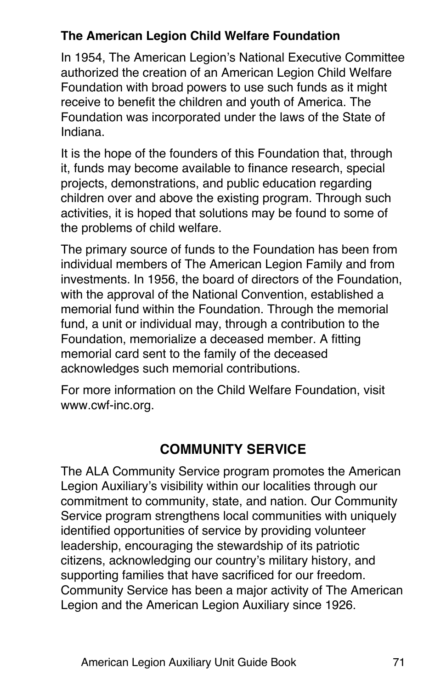# **The American Legion Child Welfare Foundation**

In 1954, The American Legion's National Executive Committee authorized the creation of an American Legion Child Welfare Foundation with broad powers to use such funds as it might receive to benefit the children and youth of America. The Foundation was incorporated under the laws of the State of Indiana.

It is the hope of the founders of this Foundation that, through it, funds may become available to finance research, special projects, demonstrations, and public education regarding children over and above the existing program. Through such activities, it is hoped that solutions may be found to some of the problems of child welfare.

The primary source of funds to the Foundation has been from individual members of The American Legion Family and from investments. In 1956, the board of directors of the Foundation, with the approval of the National Convention, established a memorial fund within the Foundation. Through the memorial fund, a unit or individual may, through a contribution to the Foundation, memorialize a deceased member. A fitting memorial card sent to the family of the deceased acknowledges such memorial contributions.

For more information on the Child Welfare Foundation, visit www.cwf-inc.org.

# **COMMUNITY SERVICE**

The ALA Community Service program promotes the American Legion Auxiliary's visibility within our localities through our commitment to community, state, and nation. Our Community Service program strengthens local communities with uniquely identified opportunities of service by providing volunteer leadership, encouraging the stewardship of its patriotic citizens, acknowledging our country's military history, and supporting families that have sacrificed for our freedom. Community Service has been a major activity of The American Legion and the American Legion Auxiliary since 1926.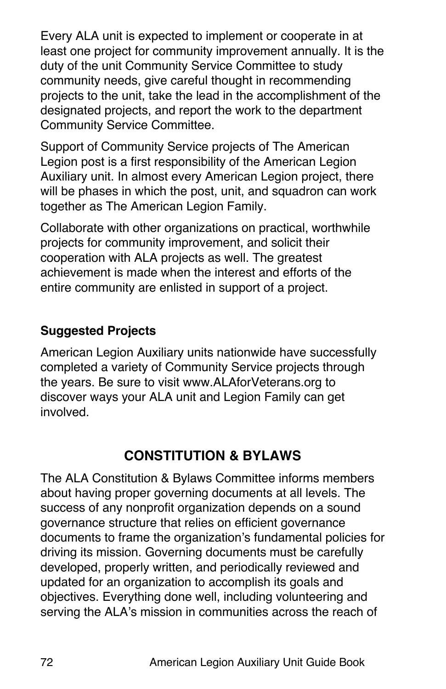Every ALA unit is expected to implement or cooperate in at least one project for community improvement annually. It is the duty of the unit Community Service Committee to study community needs, give careful thought in recommending projects to the unit, take the lead in the accomplishment of the designated projects, and report the work to the department Community Service Committee.

Support of Community Service projects of The American Legion post is a first responsibility of the American Legion Auxiliary unit. In almost every American Legion project, there will be phases in which the post, unit, and squadron can work together as The American Legion Family.

Collaborate with other organizations on practical, worthwhile projects for community improvement, and solicit their cooperation with ALA projects as well. The greatest achievement is made when the interest and efforts of the entire community are enlisted in support of a project.

# **Suggested Projects**

American Legion Auxiliary units nationwide have successfully completed a variety of Community Service projects through the years. Be sure to visit www.ALAforVeterans.org to discover ways your ALA unit and Legion Family can get involved.

# **CONSTITUTION & BYLAWS**

The ALA Constitution & Bylaws Committee informs members about having proper governing documents at all levels. The success of any nonprofit organization depends on a sound governance structure that relies on efficient governance documents to frame the organization's fundamental policies for driving its mission. Governing documents must be carefully developed, properly written, and periodically reviewed and updated for an organization to accomplish its goals and objectives. Everything done well, including volunteering and serving the ALA's mission in communities across the reach of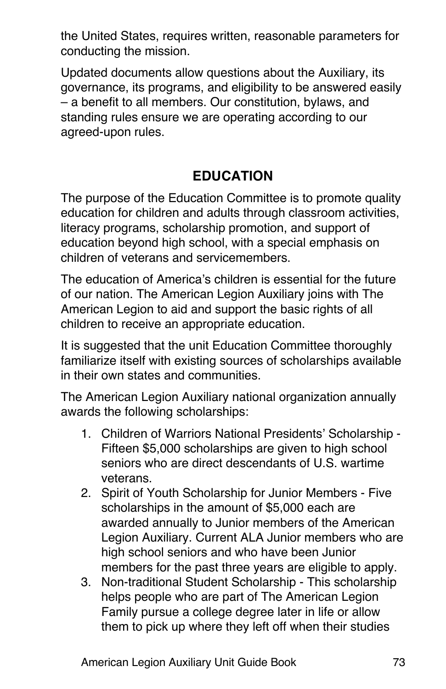the United States, requires written, reasonable parameters for conducting the mission.

Updated documents allow questions about the Auxiliary, its governance, its programs, and eligibility to be answered easily – a benefit to all members. Our constitution, bylaws, and standing rules ensure we are operating according to our agreed-upon rules.

# **EDUCATION**

The purpose of the Education Committee is to promote quality education for children and adults through classroom activities, literacy programs, scholarship promotion, and support of education beyond high school, with a special emphasis on children of veterans and servicemembers.

The education of America's children is essential for the future of our nation. The American Legion Auxiliary joins with The American Legion to aid and support the basic rights of all children to receive an appropriate education.

It is suggested that the unit Education Committee thoroughly familiarize itself with existing sources of scholarships available in their own states and communities.

The American Legion Auxiliary national organization annually awards the following scholarships:

- 1. Children of Warriors National Presidents' Scholarship Fifteen \$5,000 scholarships are given to high school seniors who are direct descendants of U.S. wartime veterans.
- 2. Spirit of Youth Scholarship for Junior Members Five scholarships in the amount of \$5,000 each are awarded annually to Junior members of the American Legion Auxiliary. Current ALA Junior members who are high school seniors and who have been Junior members for the past three years are eligible to apply.
- 3. Non-traditional Student Scholarship This scholarship helps people who are part of The American Legion Family pursue a college degree later in life or allow them to pick up where they left off when their studies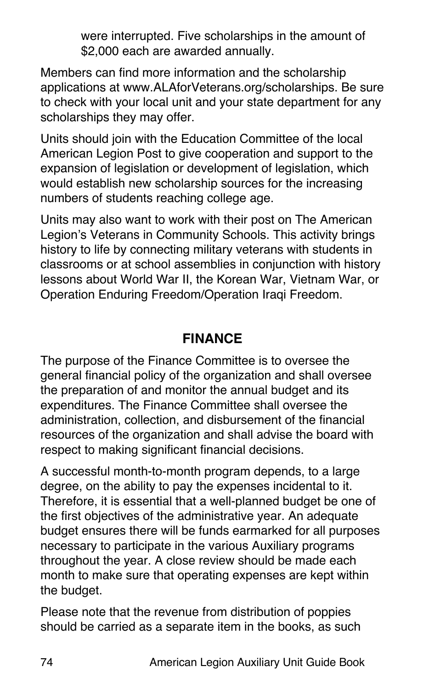were interrupted. Five scholarships in the amount of \$2,000 each are awarded annually.

Members can find more information and the scholarship applications at www.ALAforVeterans.org/scholarships. Be sure to check with your local unit and your state department for any scholarships they may offer.

Units should join with the Education Committee of the local American Legion Post to give cooperation and support to the expansion of legislation or development of legislation, which would establish new scholarship sources for the increasing numbers of students reaching college age.

Units may also want to work with their post on The American Legion's Veterans in Community Schools. This activity brings history to life by connecting military veterans with students in classrooms or at school assemblies in conjunction with history lessons about World War II, the Korean War, Vietnam War, or Operation Enduring Freedom/Operation Iraqi Freedom.

### **FINANCE**

The purpose of the Finance Committee is to oversee the general financial policy of the organization and shall oversee the preparation of and monitor the annual budget and its expenditures. The Finance Committee shall oversee the administration, collection, and disbursement of the financial resources of the organization and shall advise the board with respect to making significant financial decisions.

A successful month-to-month program depends, to a large degree, on the ability to pay the expenses incidental to it. Therefore, it is essential that a well-planned budget be one of the first objectives of the administrative year. An adequate budget ensures there will be funds earmarked for all purposes necessary to participate in the various Auxiliary programs throughout the year. A close review should be made each month to make sure that operating expenses are kept within the budget.

Please note that the revenue from distribution of poppies should be carried as a separate item in the books, as such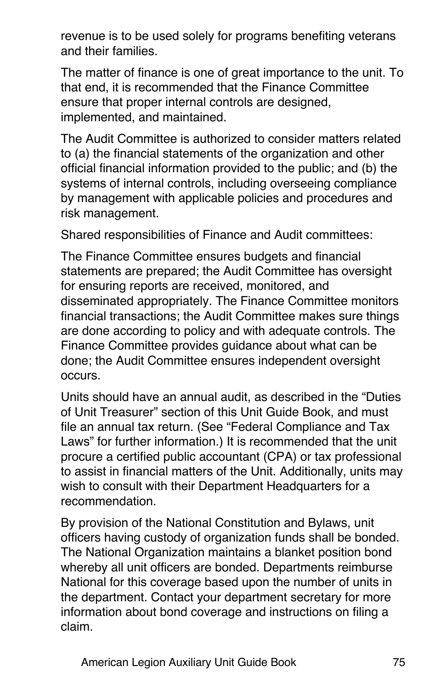revenue is to be used solely for programs benefiting veterans and their families.

The matter of finance is one of great importance to the unit. To that end, it is recommended that the Finance Committee ensure that proper internal controls are designed, implemented, and maintained.

The Audit Committee is authorized to consider matters related to (a) the financial statements of the organization and other official financial information provided to the public; and (b) the systems of internal controls, including overseeing compliance by management with applicable policies and procedures and risk management.

Shared responsibilities of Finance and Audit committees:

The Finance Committee ensures budgets and financial statements are prepared; the Audit Committee has oversight for ensuring reports are received, monitored, and disseminated appropriately. The Finance Committee monitors financial transactions; the Audit Committee makes sure things are done according to policy and with adequate controls. The Finance Committee provides guidance about what can be done; the Audit Committee ensures independent oversight occurs.

Units should have an annual audit, as described in the "Duties of Unit Treasurer" section of this Unit Guide Book, and must file an annual tax return. (See "Federal Compliance and Tax Laws" for further information.) It is recommended that the unit procure a certified public accountant (CPA) or tax professional to assist in financial matters of the Unit. Additionally, units may wish to consult with their Department Headquarters for a recommendation.

By provision of the National Constitution and Bylaws, unit officers having custody of organization funds shall be bonded. The National Organization maintains a blanket position bond whereby all unit officers are bonded. Departments reimburse National for this coverage based upon the number of units in the department. Contact your department secretary for more information about bond coverage and instructions on filing a claim.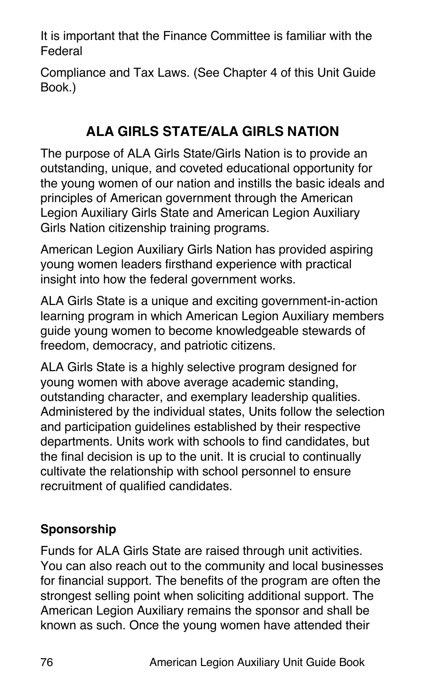It is important that the Finance Committee is familiar with the Federal

Compliance and Tax Laws. (See Chapter 4 of this Unit Guide Book.)

## **ALA GIRLS STATE/ALA GIRLS NATION**

The purpose of ALA Girls State/Girls Nation is to provide an outstanding, unique, and coveted educational opportunity for the young women of our nation and instills the basic ideals and principles of American government through the American Legion Auxiliary Girls State and American Legion Auxiliary Girls Nation citizenship training programs.

American Legion Auxiliary Girls Nation has provided aspiring young women leaders firsthand experience with practical insight into how the federal government works.

ALA Girls State is a unique and exciting government-in-action learning program in which American Legion Auxiliary members guide young women to become knowledgeable stewards of freedom, democracy, and patriotic citizens.

ALA Girls State is a highly selective program designed for young women with above average academic standing, outstanding character, and exemplary leadership qualities. Administered by the individual states, Units follow the selection and participation guidelines established by their respective departments. Units work with schools to find candidates, but the final decision is up to the unit. It is crucial to continually cultivate the relationship with school personnel to ensure recruitment of qualified candidates.

## **Sponsorship**

Funds for ALA Girls State are raised through unit activities. You can also reach out to the community and local businesses for financial support. The benefits of the program are often the strongest selling point when soliciting additional support. The American Legion Auxiliary remains the sponsor and shall be known as such. Once the young women have attended their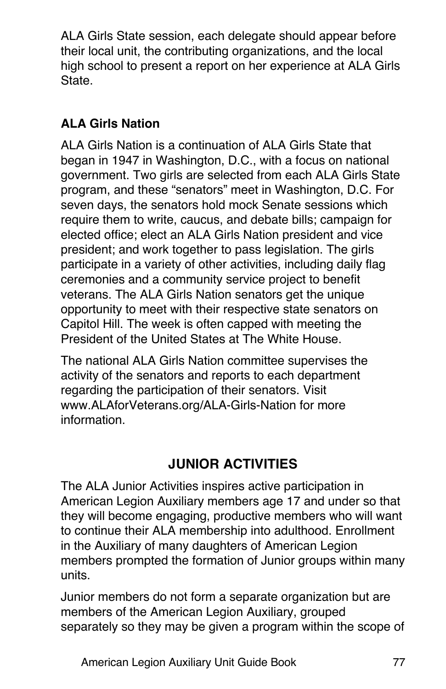ALA Girls State session, each delegate should appear before their local unit, the contributing organizations, and the local high school to present a report on her experience at ALA Girls **State** 

### **ALA Girls Nation**

ALA Girls Nation is a continuation of ALA Girls State that began in 1947 in Washington, D.C., with a focus on national government. Two girls are selected from each ALA Girls State program, and these "senators" meet in Washington, D.C. For seven days, the senators hold mock Senate sessions which require them to write, caucus, and debate bills; campaign for elected office; elect an ALA Girls Nation president and vice president; and work together to pass legislation. The girls participate in a variety of other activities, including daily flag ceremonies and a community service project to benefit veterans. The ALA Girls Nation senators get the unique opportunity to meet with their respective state senators on Capitol Hill. The week is often capped with meeting the President of the United States at The White House.

The national ALA Girls Nation committee supervises the activity of the senators and reports to each department regarding the participation of their senators. Visit www.ALAforVeterans.org/ALA-Girls-Nation for more information.

# **JUNIOR ACTIVITIES**

The ALA Junior Activities inspires active participation in American Legion Auxiliary members age 17 and under so that they will become engaging, productive members who will want to continue their ALA membership into adulthood. Enrollment in the Auxiliary of many daughters of American Legion members prompted the formation of Junior groups within many units.

Junior members do not form a separate organization but are members of the American Legion Auxiliary, grouped separately so they may be given a program within the scope of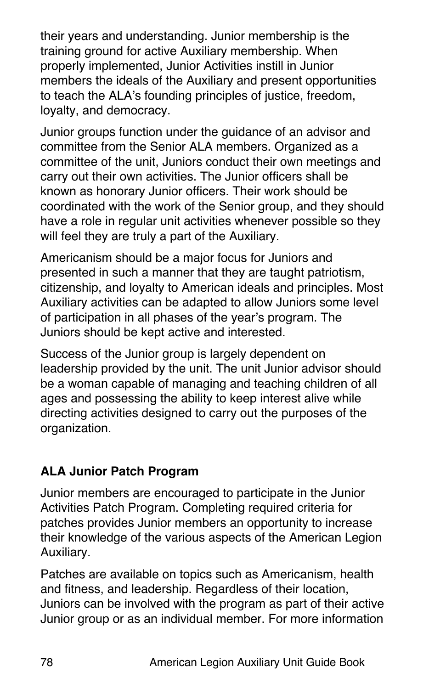their years and understanding. Junior membership is the training ground for active Auxiliary membership. When properly implemented, Junior Activities instill in Junior members the ideals of the Auxiliary and present opportunities to teach the ALA's founding principles of justice, freedom, loyalty, and democracy.

Junior groups function under the guidance of an advisor and committee from the Senior ALA members. Organized as a committee of the unit, Juniors conduct their own meetings and carry out their own activities. The Junior officers shall be known as honorary Junior officers. Their work should be coordinated with the work of the Senior group, and they should have a role in regular unit activities whenever possible so they will feel they are truly a part of the Auxiliary.

Americanism should be a major focus for Juniors and presented in such a manner that they are taught patriotism, citizenship, and loyalty to American ideals and principles. Most Auxiliary activities can be adapted to allow Juniors some level of participation in all phases of the year's program. The Juniors should be kept active and interested.

Success of the Junior group is largely dependent on leadership provided by the unit. The unit Junior advisor should be a woman capable of managing and teaching children of all ages and possessing the ability to keep interest alive while directing activities designed to carry out the purposes of the organization.

## **ALA Junior Patch Program**

Junior members are encouraged to participate in the Junior Activities Patch Program. Completing required criteria for patches provides Junior members an opportunity to increase their knowledge of the various aspects of the American Legion Auxiliary.

Patches are available on topics such as Americanism, health and fitness, and leadership. Regardless of their location, Juniors can be involved with the program as part of their active Junior group or as an individual member. For more information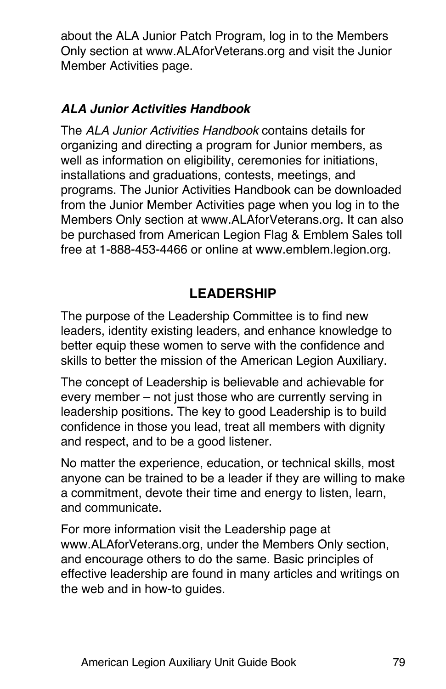about the ALA Junior Patch Program, log in to the Members Only section at www.ALAforVeterans.org and visit the Junior Member Activities page.

### *ALA Junior Activities Handbook*

The *ALA Junior Activities Handbook* contains details for organizing and directing a program for Junior members, as well as information on eligibility, ceremonies for initiations, installations and graduations, contests, meetings, and programs. The Junior Activities Handbook can be downloaded from the Junior Member Activities page when you log in to the Members Only section at www.ALAforVeterans.org. It can also be purchased from American Legion Flag & Emblem Sales toll free at 1-888-453-4466 or online at www.emblem.legion.org.

## **LEADERSHIP**

The purpose of the Leadership Committee is to find new leaders, identity existing leaders, and enhance knowledge to better equip these women to serve with the confidence and skills to better the mission of the American Legion Auxiliary.

The concept of Leadership is believable and achievable for every member – not just those who are currently serving in leadership positions. The key to good Leadership is to build confidence in those you lead, treat all members with dignity and respect, and to be a good listener.

No matter the experience, education, or technical skills, most anyone can be trained to be a leader if they are willing to make a commitment, devote their time and energy to listen, learn, and communicate.

For more information visit the Leadership page at www.ALAforVeterans.org, under the Members Only section, and encourage others to do the same. Basic principles of effective leadership are found in many articles and writings on the web and in how-to guides.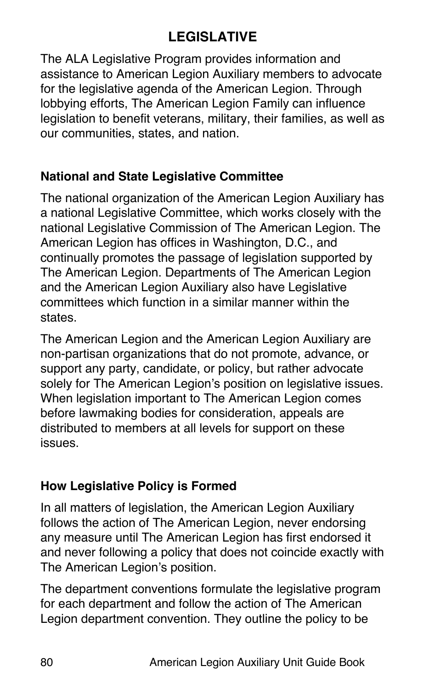# **LEGISLATIVE**

The ALA Legislative Program provides information and assistance to American Legion Auxiliary members to advocate for the legislative agenda of the American Legion. Through lobbying efforts, The American Legion Family can influence legislation to benefit veterans, military, their families, as well as our communities, states, and nation.

## **National and State Legislative Committee**

The national organization of the American Legion Auxiliary has a national Legislative Committee, which works closely with the national Legislative Commission of The American Legion. The American Legion has offices in Washington, D.C., and continually promotes the passage of legislation supported by The American Legion. Departments of The American Legion and the American Legion Auxiliary also have Legislative committees which function in a similar manner within the states.

The American Legion and the American Legion Auxiliary are non-partisan organizations that do not promote, advance, or support any party, candidate, or policy, but rather advocate solely for The American Legion's position on legislative issues. When legislation important to The American Legion comes before lawmaking bodies for consideration, appeals are distributed to members at all levels for support on these issues.

## **How Legislative Policy is Formed**

In all matters of legislation, the American Legion Auxiliary follows the action of The American Legion, never endorsing any measure until The American Legion has first endorsed it and never following a policy that does not coincide exactly with The American Legion's position.

The department conventions formulate the legislative program for each department and follow the action of The American Legion department convention. They outline the policy to be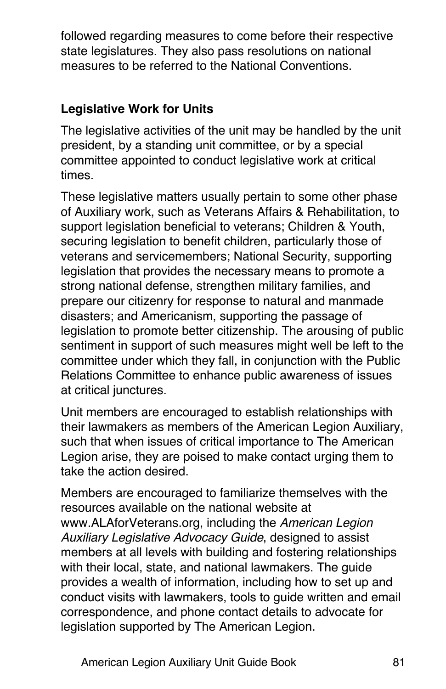followed regarding measures to come before their respective state legislatures. They also pass resolutions on national measures to be referred to the National Conventions.

### **Legislative Work for Units**

The legislative activities of the unit may be handled by the unit president, by a standing unit committee, or by a special committee appointed to conduct legislative work at critical times.

These legislative matters usually pertain to some other phase of Auxiliary work, such as Veterans Affairs & Rehabilitation, to support legislation beneficial to veterans; Children & Youth, securing legislation to benefit children, particularly those of veterans and servicemembers; National Security, supporting legislation that provides the necessary means to promote a strong national defense, strengthen military families, and prepare our citizenry for response to natural and manmade disasters; and Americanism, supporting the passage of legislation to promote better citizenship. The arousing of public sentiment in support of such measures might well be left to the committee under which they fall, in conjunction with the Public Relations Committee to enhance public awareness of issues at critical junctures.

Unit members are encouraged to establish relationships with their lawmakers as members of the American Legion Auxiliary, such that when issues of critical importance to The American Legion arise, they are poised to make contact urging them to take the action desired.

Members are encouraged to familiarize themselves with the resources available on the national website at www.ALAforVeterans.org, including the *American Legion Auxiliary Legislative Advocacy Guide*, designed to assist members at all levels with building and fostering relationships with their local, state, and national lawmakers. The guide provides a wealth of information, including how to set up and conduct visits with lawmakers, tools to guide written and email correspondence, and phone contact details to advocate for legislation supported by The American Legion.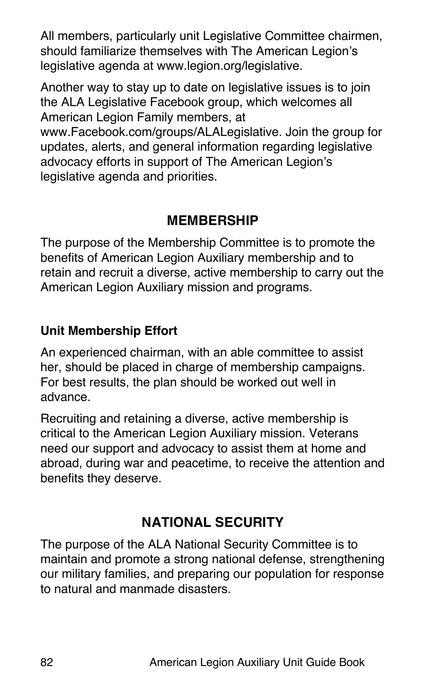All members, particularly unit Legislative Committee chairmen, should familiarize themselves with The American Legion's legislative agenda at www.legion.org/legislative.

Another way to stay up to date on legislative issues is to join the ALA Legislative Facebook group, which welcomes all American Legion Family members, at

www.Facebook.com/groups/ALALegislative. Join the group for updates, alerts, and general information regarding legislative advocacy efforts in support of The American Legion's legislative agenda and priorities.

## **MEMBERSHIP**

The purpose of the Membership Committee is to promote the benefits of American Legion Auxiliary membership and to retain and recruit a diverse, active membership to carry out the American Legion Auxiliary mission and programs.

## **Unit Membership Effort**

An experienced chairman, with an able committee to assist her, should be placed in charge of membership campaigns. For best results, the plan should be worked out well in advance.

Recruiting and retaining a diverse, active membership is critical to the American Legion Auxiliary mission. Veterans need our support and advocacy to assist them at home and abroad, during war and peacetime, to receive the attention and benefits they deserve.

# **NATIONAL SECURITY**

The purpose of the ALA National Security Committee is to maintain and promote a strong national defense, strengthening our military families, and preparing our population for response to natural and manmade disasters.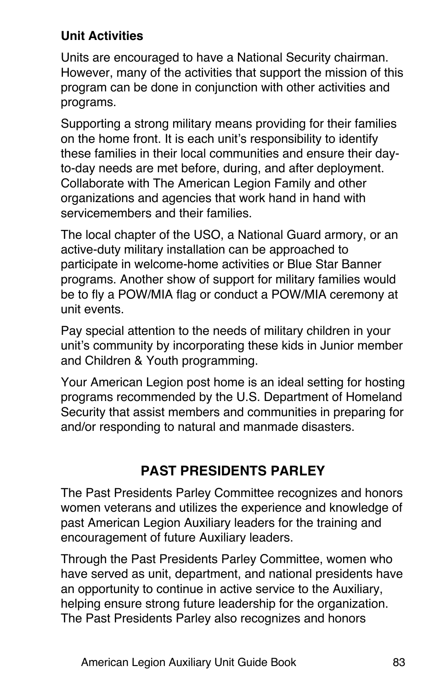## **Unit Activities**

Units are encouraged to have a National Security chairman. However, many of the activities that support the mission of this program can be done in conjunction with other activities and programs.

Supporting a strong military means providing for their families on the home front. It is each unit's responsibility to identify these families in their local communities and ensure their dayto-day needs are met before, during, and after deployment. Collaborate with The American Legion Family and other organizations and agencies that work hand in hand with servicemembers and their families.

The local chapter of the USO, a National Guard armory, or an active-duty military installation can be approached to participate in welcome-home activities or Blue Star Banner programs. Another show of support for military families would be to fly a POW/MIA flag or conduct a POW/MIA ceremony at unit events.

Pay special attention to the needs of military children in your unit's community by incorporating these kids in Junior member and Children & Youth programming.

Your American Legion post home is an ideal setting for hosting programs recommended by the U.S. Department of Homeland Security that assist members and communities in preparing for and/or responding to natural and manmade disasters.

## **PAST PRESIDENTS PARLEY**

The Past Presidents Parley Committee recognizes and honors women veterans and utilizes the experience and knowledge of past American Legion Auxiliary leaders for the training and encouragement of future Auxiliary leaders.

Through the Past Presidents Parley Committee, women who have served as unit, department, and national presidents have an opportunity to continue in active service to the Auxiliary, helping ensure strong future leadership for the organization. The Past Presidents Parley also recognizes and honors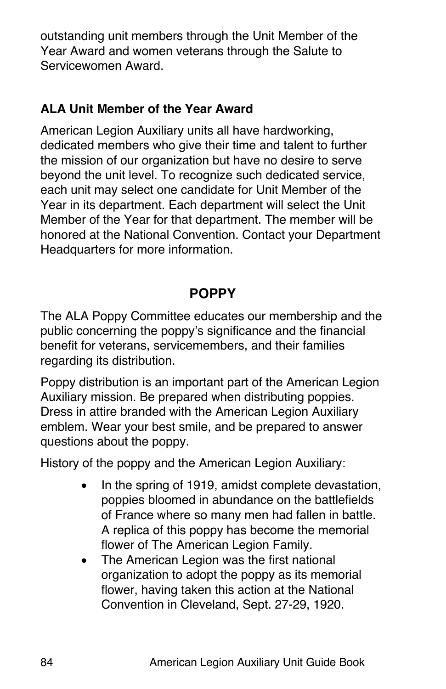outstanding unit members through the Unit Member of the Year Award and women veterans through the Salute to Servicewomen Award.

### **ALA Unit Member of the Year Award**

American Legion Auxiliary units all have hardworking, dedicated members who give their time and talent to further the mission of our organization but have no desire to serve beyond the unit level. To recognize such dedicated service, each unit may select one candidate for Unit Member of the Year in its department. Each department will select the Unit Member of the Year for that department. The member will be honored at the National Convention. Contact your Department Headquarters for more information.

# **POPPY**

The ALA Poppy Committee educates our membership and the public concerning the poppy's significance and the financial benefit for veterans, servicemembers, and their families regarding its distribution.

Poppy distribution is an important part of the American Legion Auxiliary mission. Be prepared when distributing poppies. Dress in attire branded with the American Legion Auxiliary emblem. Wear your best smile, and be prepared to answer questions about the poppy.

History of the poppy and the American Legion Auxiliary:

- In the spring of 1919, amidst complete devastation, poppies bloomed in abundance on the battlefields of France where so many men had fallen in battle. A replica of this poppy has become the memorial flower of The American Legion Family.
- The American Legion was the first national organization to adopt the poppy as its memorial flower, having taken this action at the National Convention in Cleveland, Sept. 27-29, 1920.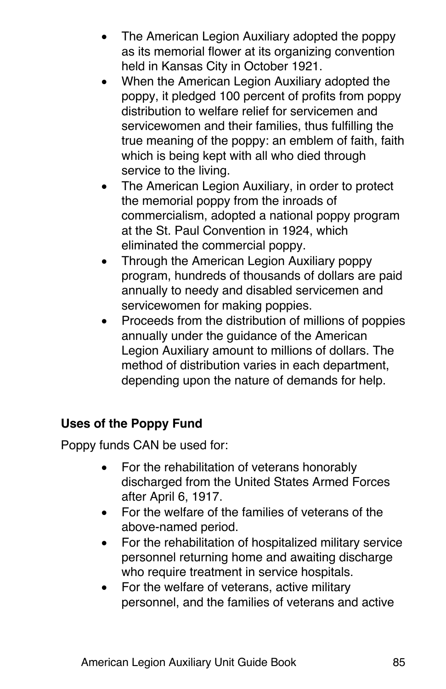- The American Legion Auxiliary adopted the poppy as its memorial flower at its organizing convention held in Kansas City in October 1921.
- When the American Legion Auxiliary adopted the poppy, it pledged 100 percent of profits from poppy distribution to welfare relief for servicemen and servicewomen and their families, thus fulfilling the true meaning of the poppy: an emblem of faith, faith which is being kept with all who died through service to the living.
- The American Legion Auxiliary, in order to protect the memorial poppy from the inroads of commercialism, adopted a national poppy program at the St. Paul Convention in 1924, which eliminated the commercial poppy.
- Through the American Legion Auxiliary poppy program, hundreds of thousands of dollars are paid annually to needy and disabled servicemen and servicewomen for making poppies.
- Proceeds from the distribution of millions of poppies annually under the guidance of the American Legion Auxiliary amount to millions of dollars. The method of distribution varies in each department, depending upon the nature of demands for help.

### **Uses of the Poppy Fund**

Poppy funds CAN be used for:

- For the rehabilitation of veterans honorably discharged from the United States Armed Forces after April 6, 1917.
- For the welfare of the families of veterans of the above-named period.
- For the rehabilitation of hospitalized military service personnel returning home and awaiting discharge who require treatment in service hospitals.
- For the welfare of veterans, active military personnel, and the families of veterans and active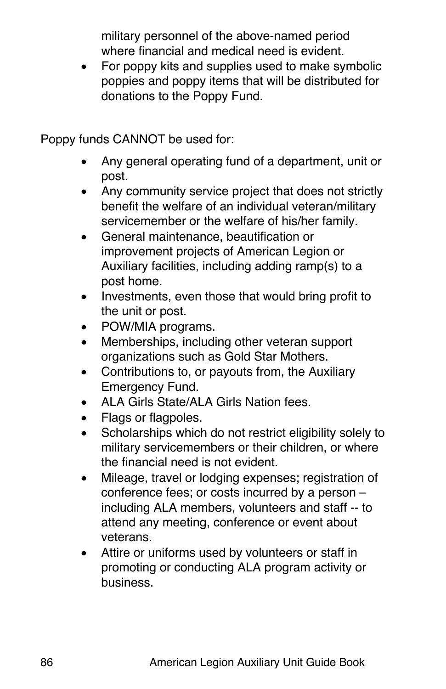military personnel of the above-named period where financial and medical need is evident.

• For poppy kits and supplies used to make symbolic poppies and poppy items that will be distributed for donations to the Poppy Fund.

Poppy funds CANNOT be used for:

- Any general operating fund of a department, unit or post.
- Any community service project that does not strictly benefit the welfare of an individual veteran/military servicemember or the welfare of his/her family.
- General maintenance, beautification or improvement projects of American Legion or Auxiliary facilities, including adding ramp(s) to a post home.
- Investments, even those that would bring profit to the unit or post.
- POW/MIA programs.
- Memberships, including other veteran support organizations such as Gold Star Mothers.
- Contributions to, or payouts from, the Auxiliary Emergency Fund.
- ALA Girls State/ALA Girls Nation fees.
- Flags or flagpoles.
- Scholarships which do not restrict eligibility solely to military servicemembers or their children, or where the financial need is not evident.
- Mileage, travel or lodging expenses; registration of conference fees; or costs incurred by a person – including ALA members, volunteers and staff -- to attend any meeting, conference or event about veterans.
- Attire or uniforms used by volunteers or staff in promoting or conducting ALA program activity or business.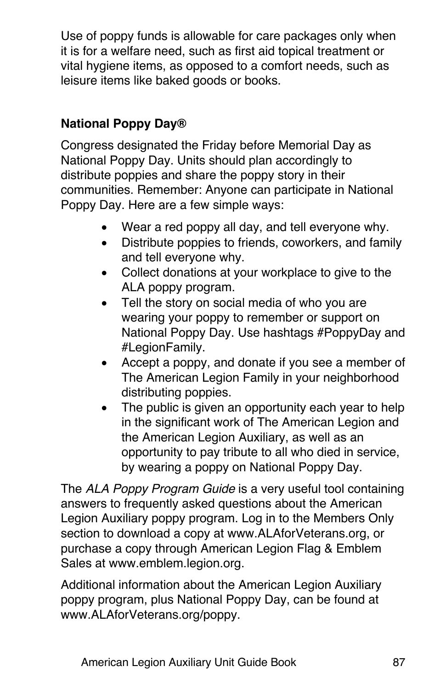Use of poppy funds is allowable for care packages only when it is for a welfare need, such as first aid topical treatment or vital hygiene items, as opposed to a comfort needs, such as leisure items like baked goods or books.

### **National Poppy Day®**

Congress designated the Friday before Memorial Day as National Poppy Day. Units should plan accordingly to distribute poppies and share the poppy story in their communities. Remember: Anyone can participate in National Poppy Day. Here are a few simple ways:

- Wear a red poppy all day, and tell everyone why.
- Distribute poppies to friends, coworkers, and family and tell everyone why.
- Collect donations at your workplace to give to the ALA poppy program.
- Tell the story on social media of who you are wearing your poppy to remember or support on National Poppy Day. Use hashtags #PoppyDay and #LegionFamily.
- Accept a poppy, and donate if you see a member of The American Legion Family in your neighborhood distributing poppies.
- The public is given an opportunity each year to help in the significant work of The American Legion and the American Legion Auxiliary, as well as an opportunity to pay tribute to all who died in service, by wearing a poppy on National Poppy Day.

The *ALA Poppy Program Guide* is a very useful tool containing answers to frequently asked questions about the American Legion Auxiliary poppy program. Log in to the Members Only section to download a copy at www.ALAforVeterans.org, or purchase a copy through American Legion Flag & Emblem Sales at www.emblem.legion.org.

Additional information about the American Legion Auxiliary poppy program, plus National Poppy Day, can be found at www.ALAforVeterans.org/poppy.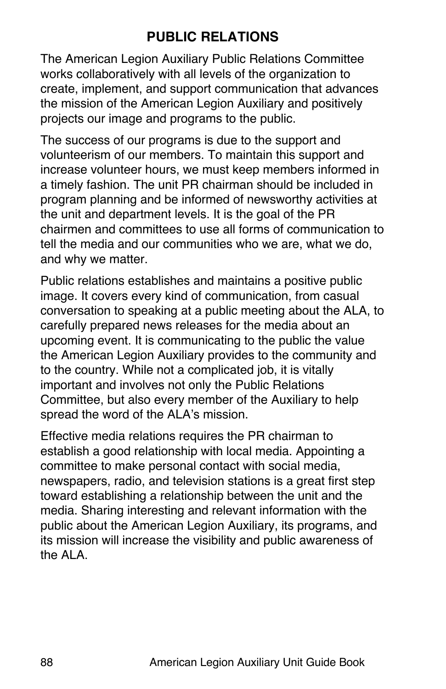## **PUBLIC RELATIONS**

The American Legion Auxiliary Public Relations Committee works collaboratively with all levels of the organization to create, implement, and support communication that advances the mission of the American Legion Auxiliary and positively projects our image and programs to the public.

The success of our programs is due to the support and volunteerism of our members. To maintain this support and increase volunteer hours, we must keep members informed in a timely fashion. The unit PR chairman should be included in program planning and be informed of newsworthy activities at the unit and department levels. It is the goal of the PR chairmen and committees to use all forms of communication to tell the media and our communities who we are, what we do, and why we matter.

Public relations establishes and maintains a positive public image. It covers every kind of communication, from casual conversation to speaking at a public meeting about the ALA, to carefully prepared news releases for the media about an upcoming event. It is communicating to the public the value the American Legion Auxiliary provides to the community and to the country. While not a complicated job, it is vitally important and involves not only the Public Relations Committee, but also every member of the Auxiliary to help spread the word of the ALA's mission.

Effective media relations requires the PR chairman to establish a good relationship with local media. Appointing a committee to make personal contact with social media, newspapers, radio, and television stations is a great first step toward establishing a relationship between the unit and the media. Sharing interesting and relevant information with the public about the American Legion Auxiliary, its programs, and its mission will increase the visibility and public awareness of the ALA.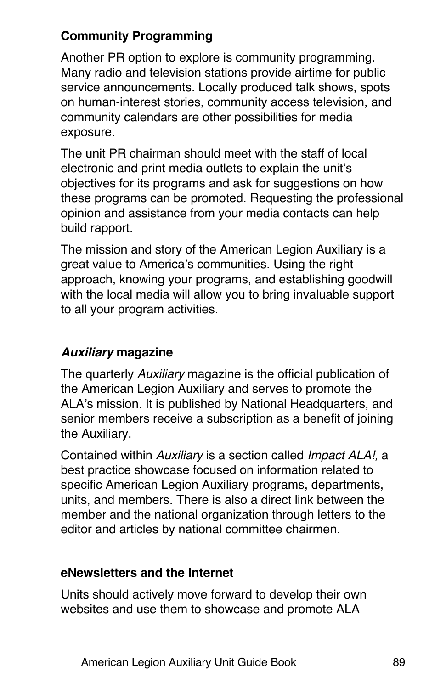### **Community Programming**

Another PR option to explore is community programming. Many radio and television stations provide airtime for public service announcements. Locally produced talk shows, spots on human-interest stories, community access television, and community calendars are other possibilities for media exposure.

The unit PR chairman should meet with the staff of local electronic and print media outlets to explain the unit's objectives for its programs and ask for suggestions on how these programs can be promoted. Requesting the professional opinion and assistance from your media contacts can help build rapport.

The mission and story of the American Legion Auxiliary is a great value to America's communities. Using the right approach, knowing your programs, and establishing goodwill with the local media will allow you to bring invaluable support to all your program activities.

### *Auxiliary* **magazine**

The quarterly *Auxiliary* magazine is the official publication of the American Legion Auxiliary and serves to promote the ALA's mission. It is published by National Headquarters, and senior members receive a subscription as a benefit of joining the Auxiliary.

Contained within *Auxiliary* is a section called *Impact ALA!,* a best practice showcase focused on information related to specific American Legion Auxiliary programs, departments, units, and members. There is also a direct link between the member and the national organization through letters to the editor and articles by national committee chairmen.

### **eNewsletters and the Internet**

Units should actively move forward to develop their own websites and use them to showcase and promote ALA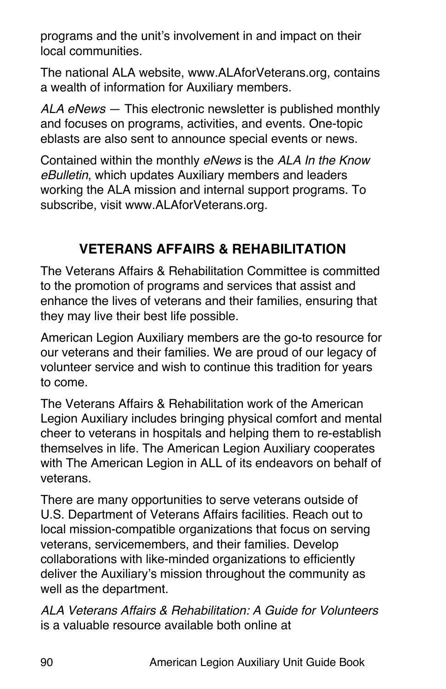programs and the unit's involvement in and impact on their local communities.

The national ALA website, www.ALAforVeterans.org, contains a wealth of information for Auxiliary members.

*ALA eNews* — This electronic newsletter is published monthly and focuses on programs, activities, and events. One-topic eblasts are also sent to announce special events or news.

Contained within the monthly *eNews* is the *ALA In the Know eBulletin*, which updates Auxiliary members and leaders working the ALA mission and internal support programs. To subscribe, visit www.ALAforVeterans.org.

# **VETERANS AFFAIRS & REHABILITATION**

The Veterans Affairs & Rehabilitation Committee is committed to the promotion of programs and services that assist and enhance the lives of veterans and their families, ensuring that they may live their best life possible.

American Legion Auxiliary members are the go-to resource for our veterans and their families. We are proud of our legacy of volunteer service and wish to continue this tradition for years to come.

The Veterans Affairs & Rehabilitation work of the American Legion Auxiliary includes bringing physical comfort and mental cheer to veterans in hospitals and helping them to re-establish themselves in life. The American Legion Auxiliary cooperates with The American Legion in ALL of its endeavors on behalf of veterans.

There are many opportunities to serve veterans outside of U.S. Department of Veterans Affairs facilities. Reach out to local mission-compatible organizations that focus on serving veterans, servicemembers, and their families. Develop collaborations with like-minded organizations to efficiently deliver the Auxiliary's mission throughout the community as well as the department.

*ALA Veterans Affairs & Rehabilitation: A Guide for Volunteers* is a valuable resource available both online at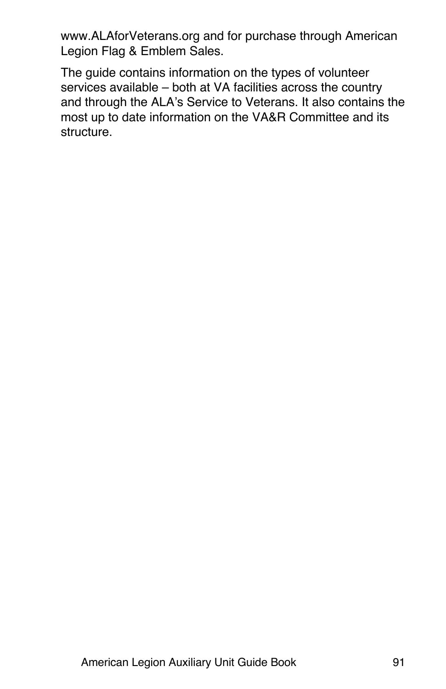www.ALAforVeterans.org and for purchase through American Legion Flag & Emblem Sales.

The guide contains information on the types of volunteer services available – both at VA facilities across the country and through the ALA's Service to Veterans. It also contains the most up to date information on the VA&R Committee and its structure.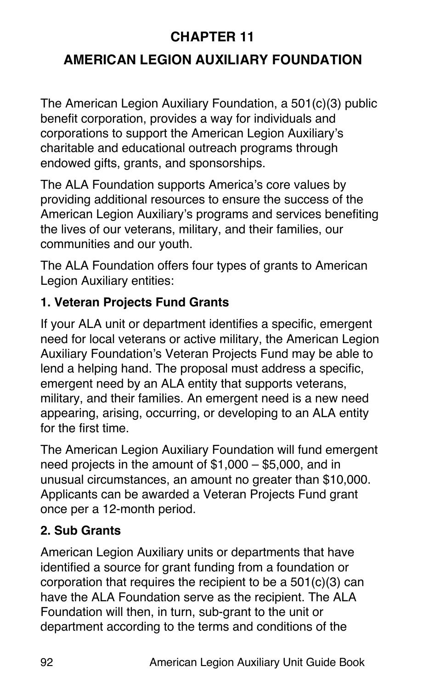## **CHAPTER 11**

## **AMERICAN LEGION AUXILIARY FOUNDATION**

The American Legion Auxiliary Foundation, a 501(c)(3) public benefit corporation, provides a way for individuals and corporations to support the American Legion Auxiliary's charitable and educational outreach programs through endowed gifts, grants, and sponsorships.

The ALA Foundation supports America's core values by providing additional resources to ensure the success of the American Legion Auxiliary's programs and services benefiting the lives of our veterans, military, and their families, our communities and our youth.

The ALA Foundation offers four types of grants to American Legion Auxiliary entities:

## **1. Veteran Projects Fund Grants**

If your ALA unit or department identifies a specific, emergent need for local veterans or active military, the American Legion Auxiliary Foundation's Veteran Projects Fund may be able to lend a helping hand. The proposal must address a specific, emergent need by an ALA entity that supports veterans, military, and their families. An emergent need is a new need appearing, arising, occurring, or developing to an ALA entity for the first time.

The American Legion Auxiliary Foundation will fund emergent need projects in the amount of \$1,000 – \$5,000, and in unusual circumstances, an amount no greater than \$10,000. Applicants can be awarded a Veteran Projects Fund grant once per a 12-month period.

## **2. Sub Grants**

American Legion Auxiliary units or departments that have identified a source for grant funding from a foundation or corporation that requires the recipient to be a 501(c)(3) can have the ALA Foundation serve as the recipient. The ALA Foundation will then, in turn, sub-grant to the unit or department according to the terms and conditions of the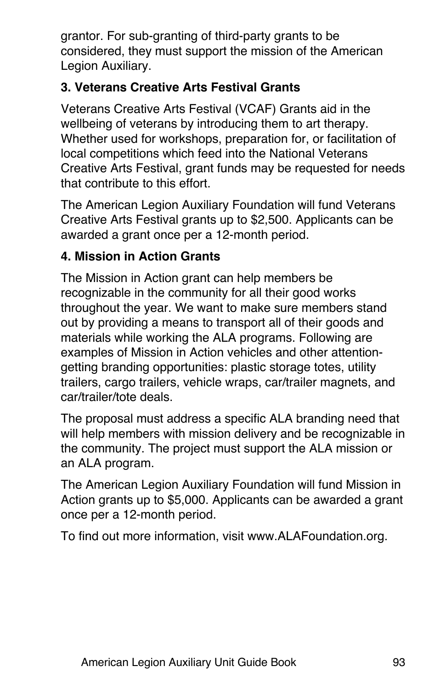grantor. For sub-granting of third-party grants to be considered, they must support the mission of the American Legion Auxiliary.

## **3. Veterans Creative Arts Festival Grants**

Veterans Creative Arts Festival (VCAF) Grants aid in the wellbeing of veterans by introducing them to art therapy. Whether used for workshops, preparation for, or facilitation of local competitions which feed into the National Veterans Creative Arts Festival, grant funds may be requested for needs that contribute to this effort.

The American Legion Auxiliary Foundation will fund Veterans Creative Arts Festival grants up to \$2,500. Applicants can be awarded a grant once per a 12-month period.

## **4. Mission in Action Grants**

The Mission in Action grant can help members be recognizable in the community for all their good works throughout the year. We want to make sure members stand out by providing a means to transport all of their goods and materials while working the ALA programs. Following are examples of Mission in Action vehicles and other attentiongetting branding opportunities: plastic storage totes, utility trailers, cargo trailers, vehicle wraps, car/trailer magnets, and car/trailer/tote deals.

The proposal must address a specific ALA branding need that will help members with mission delivery and be recognizable in the community. The project must support the ALA mission or an ALA program.

The American Legion Auxiliary Foundation will fund Mission in Action grants up to \$5,000. Applicants can be awarded a grant once per a 12-month period.

To find out more information, visit www.ALAFoundation.org.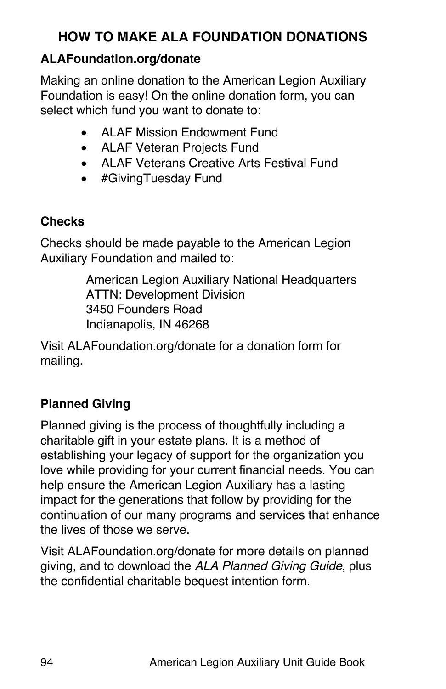## **HOW TO MAKE ALA FOUNDATION DONATIONS**

### **ALAFoundation.org/donate**

Making an online donation to the American Legion Auxiliary Foundation is easy! On the online donation form, you can select which fund you want to donate to:

- ALAF Mission Endowment Fund
- ALAF Veteran Projects Fund
- ALAF Veterans Creative Arts Festival Fund
- #GivingTuesday Fund

### **Checks**

Checks should be made payable to the American Legion Auxiliary Foundation and mailed to:

> American Legion Auxiliary National Headquarters ATTN: Development Division 3450 Founders Road Indianapolis, IN 46268

Visit ALAFoundation.org/donate for a donation form for mailing.

## **Planned Giving**

Planned giving is the process of thoughtfully including a charitable gift in your estate plans. It is a method of establishing your legacy of support for the organization you love while providing for your current financial needs. You can help ensure the American Legion Auxiliary has a lasting impact for the generations that follow by providing for the continuation of our many programs and services that enhance the lives of those we serve.

Visit ALAFoundation.org/donate for more details on planned giving, and to download the *ALA Planned Giving Guide*, plus the confidential charitable bequest intention form.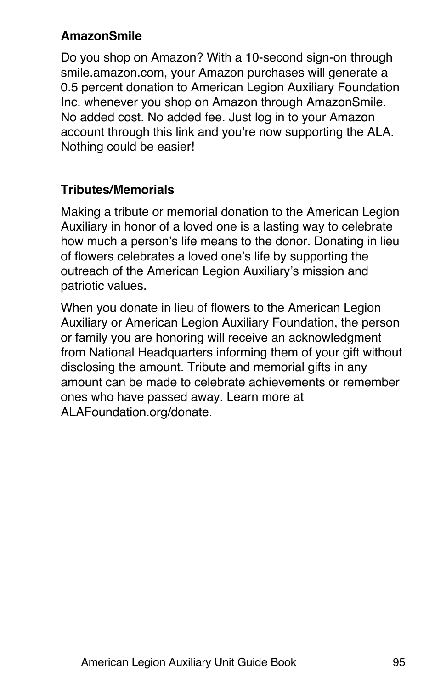### **AmazonSmile**

Do you shop on Amazon? With a 10-second sign-on through smile.amazon.com, your Amazon purchases will generate a 0.5 percent donation to American Legion Auxiliary Foundation Inc. whenever you shop on Amazon through AmazonSmile. No added cost. No added fee. Just log in to your Amazon account through this link and you're now supporting the ALA. Nothing could be easier!

### **Tributes/Memorials**

Making a tribute or memorial donation to the American Legion Auxiliary in honor of a loved one is a lasting way to celebrate how much a person's life means to the donor. Donating in lieu of flowers celebrates a loved one's life by supporting the outreach of the American Legion Auxiliary's mission and patriotic values.

When you donate in lieu of flowers to the American Legion Auxiliary or American Legion Auxiliary Foundation, the person or family you are honoring will receive an acknowledgment from National Headquarters informing them of your gift without disclosing the amount. Tribute and memorial gifts in any amount can be made to celebrate achievements or remember ones who have passed away. Learn more at ALAFoundation.org/donate.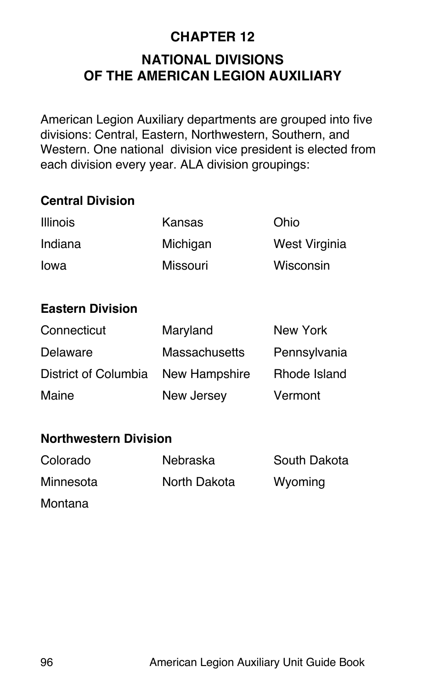# **CHAPTER 12 NATIONAL DIVISIONS OF THE AMERICAN LEGION AUXILIARY**

American Legion Auxiliary departments are grouped into five divisions: Central, Eastern, Northwestern, Southern, and Western. One national division vice president is elected from each division every year. ALA division groupings:

### **Central Division**

| <b>Illinois</b> | Kansas   | Ohio          |
|-----------------|----------|---------------|
| Indiana         | Michigan | West Virginia |
| lowa            | Missouri | Wisconsin     |

#### **Eastern Division**

| Connecticut          | Maryland             | New York     |
|----------------------|----------------------|--------------|
| Delaware             | <b>Massachusetts</b> | Pennsylvania |
| District of Columbia | New Hampshire        | Rhode Island |
| Maine                | New Jersey           | Vermont      |

#### **Northwestern Division**

| Colorado  | Nebraska     | South Dakota |
|-----------|--------------|--------------|
| Minnesota | North Dakota | Wyoming      |
| Montana   |              |              |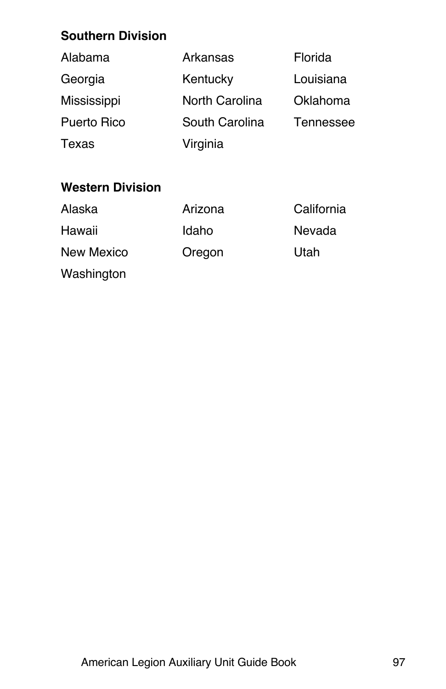### **Southern Division**

| Alabama            | Arkansas       | Florida          |
|--------------------|----------------|------------------|
| Georgia            | Kentucky       | Louisiana        |
| Mississippi        | North Carolina | Oklahoma         |
| <b>Puerto Rico</b> | South Carolina | <b>Tennessee</b> |
| Texas              | Virginia       |                  |

## **Western Division**

| Alaska            | Arizona | California |
|-------------------|---------|------------|
| Hawaii            | Idaho   | Nevada     |
| <b>New Mexico</b> | Oregon  | Utah       |
| Washington        |         |            |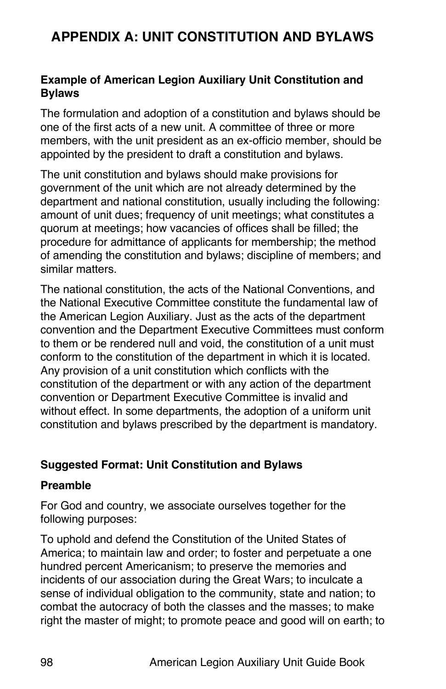## **APPENDIX A: UNIT CONSTITUTION AND BYLAWS**

#### **Example of American Legion Auxiliary Unit Constitution and Bylaws**

The formulation and adoption of a constitution and bylaws should be one of the first acts of a new unit. A committee of three or more members, with the unit president as an ex-officio member, should be appointed by the president to draft a constitution and bylaws.

The unit constitution and bylaws should make provisions for government of the unit which are not already determined by the department and national constitution, usually including the following: amount of unit dues; frequency of unit meetings; what constitutes a quorum at meetings; how vacancies of offices shall be filled; the procedure for admittance of applicants for membership; the method of amending the constitution and bylaws; discipline of members; and similar matters.

The national constitution, the acts of the National Conventions, and the National Executive Committee constitute the fundamental law of the American Legion Auxiliary. Just as the acts of the department convention and the Department Executive Committees must conform to them or be rendered null and void, the constitution of a unit must conform to the constitution of the department in which it is located. Any provision of a unit constitution which conflicts with the constitution of the department or with any action of the department convention or Department Executive Committee is invalid and without effect. In some departments, the adoption of a uniform unit constitution and bylaws prescribed by the department is mandatory.

#### **Suggested Format: Unit Constitution and Bylaws**

#### **Preamble**

For God and country, we associate ourselves together for the following purposes:

To uphold and defend the Constitution of the United States of America; to maintain law and order; to foster and perpetuate a one hundred percent Americanism; to preserve the memories and incidents of our association during the Great Wars; to inculcate a sense of individual obligation to the community, state and nation; to combat the autocracy of both the classes and the masses; to make right the master of might; to promote peace and good will on earth; to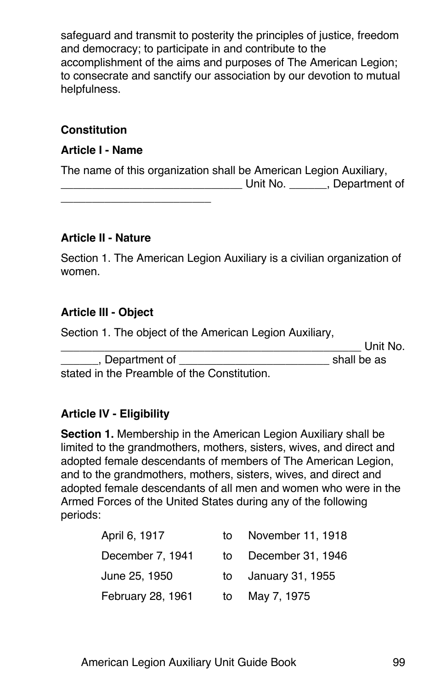safeguard and transmit to posterity the principles of justice, freedom and democracy; to participate in and contribute to the accomplishment of the aims and purposes of The American Legion; to consecrate and sanctify our association by our devotion to mutual helpfulness.

#### **Constitution**

#### **Article I - Name**

| The name of this organization shall be American Legion Auxiliary, |          |                 |
|-------------------------------------------------------------------|----------|-----------------|
|                                                                   | Unit No. | . Department of |
|                                                                   |          |                 |

#### **Article II - Nature**

Section 1. The American Legion Auxiliary is a civilian organization of women.

#### **Article III - Object**

Section 1. The object of the American Legion Auxiliary,

\_\_\_\_\_\_\_\_\_\_\_\_\_\_\_\_\_\_\_\_\_\_\_\_\_\_\_\_\_\_\_\_\_\_\_\_\_\_\_\_\_\_\_\_\_\_\_\_ Unit No. Letter Letter School and School and School and School and School and School and School and School and School and School and School and School and School and School and School and School and School and School and School and stated in the Preamble of the Constitution.

#### **Article IV - Eligibility**

**Section 1.** Membership in the American Legion Auxiliary shall be limited to the grandmothers, mothers, sisters, wives, and direct and adopted female descendants of members of The American Legion, and to the grandmothers, mothers, sisters, wives, and direct and adopted female descendants of all men and women who were in the Armed Forces of the United States during any of the following periods:

| April 6, 1917     | to | November 11, 1918 |
|-------------------|----|-------------------|
| December 7, 1941  | t∩ | December 31, 1946 |
| June 25, 1950     | to | January 31, 1955  |
| February 28, 1961 | to | May 7, 1975       |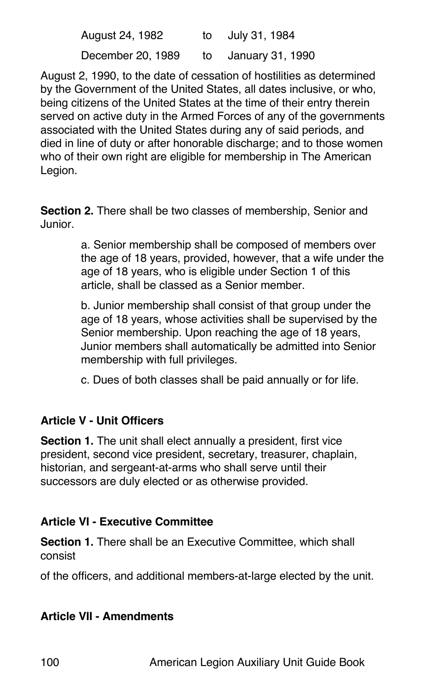| August 24, 1982   | to July 31, 1984    |
|-------------------|---------------------|
| December 20, 1989 | to January 31, 1990 |

August 2, 1990, to the date of cessation of hostilities as determined by the Government of the United States, all dates inclusive, or who, being citizens of the United States at the time of their entry therein served on active duty in the Armed Forces of any of the governments associated with the United States during any of said periods, and died in line of duty or after honorable discharge; and to those women who of their own right are eligible for membership in The American Legion.

**Section 2.** There shall be two classes of membership, Senior and Junior.

> a. Senior membership shall be composed of members over the age of 18 years, provided, however, that a wife under the age of 18 years, who is eligible under Section 1 of this article, shall be classed as a Senior member.

b. Junior membership shall consist of that group under the age of 18 years, whose activities shall be supervised by the Senior membership. Upon reaching the age of 18 years, Junior members shall automatically be admitted into Senior membership with full privileges.

c. Dues of both classes shall be paid annually or for life.

### **Article V - Unit Officers**

**Section 1.** The unit shall elect annually a president, first vice president, second vice president, secretary, treasurer, chaplain, historian, and sergeant-at-arms who shall serve until their successors are duly elected or as otherwise provided.

### **Article VI - Executive Committee**

**Section 1.** There shall be an Executive Committee, which shall consist

of the officers, and additional members-at-large elected by the unit.

### **Article VII - Amendments**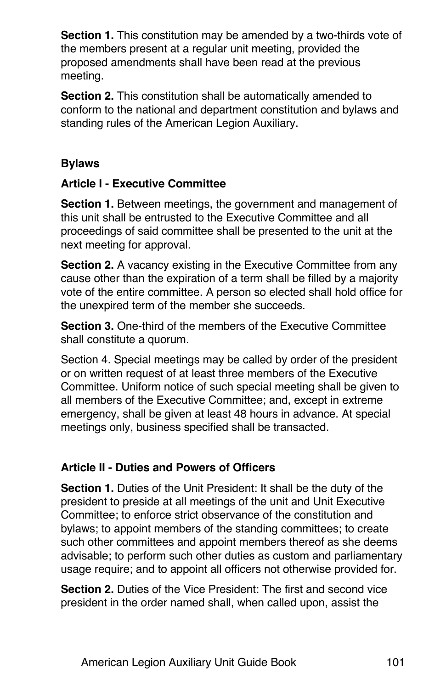**Section 1.** This constitution may be amended by a two-thirds vote of the members present at a regular unit meeting, provided the proposed amendments shall have been read at the previous meeting.

**Section 2.** This constitution shall be automatically amended to conform to the national and department constitution and bylaws and standing rules of the American Legion Auxiliary.

#### **Bylaws**

#### **Article I - Executive Committee**

**Section 1.** Between meetings, the government and management of this unit shall be entrusted to the Executive Committee and all proceedings of said committee shall be presented to the unit at the next meeting for approval.

**Section 2.** A vacancy existing in the Executive Committee from any cause other than the expiration of a term shall be filled by a majority vote of the entire committee. A person so elected shall hold office for the unexpired term of the member she succeeds.

**Section 3.** One-third of the members of the Executive Committee shall constitute a quorum.

Section 4. Special meetings may be called by order of the president or on written request of at least three members of the Executive Committee. Uniform notice of such special meeting shall be given to all members of the Executive Committee; and, except in extreme emergency, shall be given at least 48 hours in advance. At special meetings only, business specified shall be transacted.

#### **Article II - Duties and Powers of Officers**

**Section 1.** Duties of the Unit President: It shall be the duty of the president to preside at all meetings of the unit and Unit Executive Committee; to enforce strict observance of the constitution and bylaws; to appoint members of the standing committees; to create such other committees and appoint members thereof as she deems advisable; to perform such other duties as custom and parliamentary usage require; and to appoint all officers not otherwise provided for.

**Section 2.** Duties of the Vice President: The first and second vice president in the order named shall, when called upon, assist the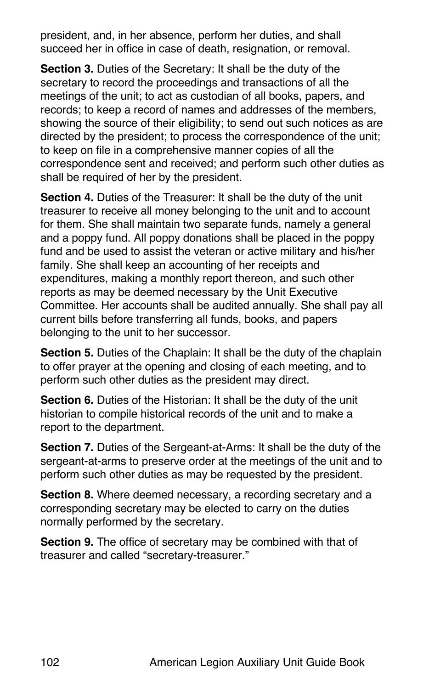president, and, in her absence, perform her duties, and shall succeed her in office in case of death, resignation, or removal.

**Section 3.** Duties of the Secretary: It shall be the duty of the secretary to record the proceedings and transactions of all the meetings of the unit; to act as custodian of all books, papers, and records; to keep a record of names and addresses of the members, showing the source of their eligibility; to send out such notices as are directed by the president; to process the correspondence of the unit; to keep on file in a comprehensive manner copies of all the correspondence sent and received; and perform such other duties as shall be required of her by the president.

**Section 4.** Duties of the Treasurer: It shall be the duty of the unit treasurer to receive all money belonging to the unit and to account for them. She shall maintain two separate funds, namely a general and a poppy fund. All poppy donations shall be placed in the poppy fund and be used to assist the veteran or active military and his/her family. She shall keep an accounting of her receipts and expenditures, making a monthly report thereon, and such other reports as may be deemed necessary by the Unit Executive Committee. Her accounts shall be audited annually. She shall pay all current bills before transferring all funds, books, and papers belonging to the unit to her successor.

**Section 5.** Duties of the Chaplain: It shall be the duty of the chaplain to offer prayer at the opening and closing of each meeting, and to perform such other duties as the president may direct.

**Section 6.** Duties of the Historian: It shall be the duty of the unit historian to compile historical records of the unit and to make a report to the department.

**Section 7.** Duties of the Sergeant-at-Arms: It shall be the duty of the sergeant-at-arms to preserve order at the meetings of the unit and to perform such other duties as may be requested by the president.

**Section 8.** Where deemed necessary, a recording secretary and a corresponding secretary may be elected to carry on the duties normally performed by the secretary.

**Section 9.** The office of secretary may be combined with that of treasurer and called "secretary-treasurer."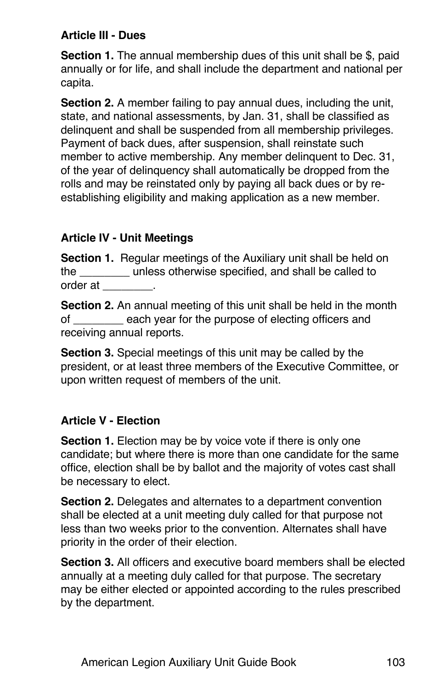#### **Article III - Dues**

**Section 1.** The annual membership dues of this unit shall be \$, paid annually or for life, and shall include the department and national per capita.

**Section 2.** A member failing to pay annual dues, including the unit, state, and national assessments, by Jan. 31, shall be classified as delinquent and shall be suspended from all membership privileges. Payment of back dues, after suspension, shall reinstate such member to active membership. Any member delinquent to Dec. 31, of the year of delinquency shall automatically be dropped from the rolls and may be reinstated only by paying all back dues or by reestablishing eligibility and making application as a new member.

#### **Article IV - Unit Meetings**

**Section 1.** Regular meetings of the Auxiliary unit shall be held on the \_\_\_\_\_\_\_\_ unless otherwise specified, and shall be called to order at  $\qquad \qquad$ .

**Section 2.** An annual meeting of this unit shall be held in the month of \_\_\_\_\_\_\_\_ each year for the purpose of electing officers and receiving annual reports.

**Section 3.** Special meetings of this unit may be called by the president, or at least three members of the Executive Committee, or upon written request of members of the unit.

#### **Article V - Election**

**Section 1.** Election may be by voice vote if there is only one candidate; but where there is more than one candidate for the same office, election shall be by ballot and the majority of votes cast shall be necessary to elect.

**Section 2.** Delegates and alternates to a department convention shall be elected at a unit meeting duly called for that purpose not less than two weeks prior to the convention. Alternates shall have priority in the order of their election.

**Section 3.** All officers and executive board members shall be elected annually at a meeting duly called for that purpose. The secretary may be either elected or appointed according to the rules prescribed by the department.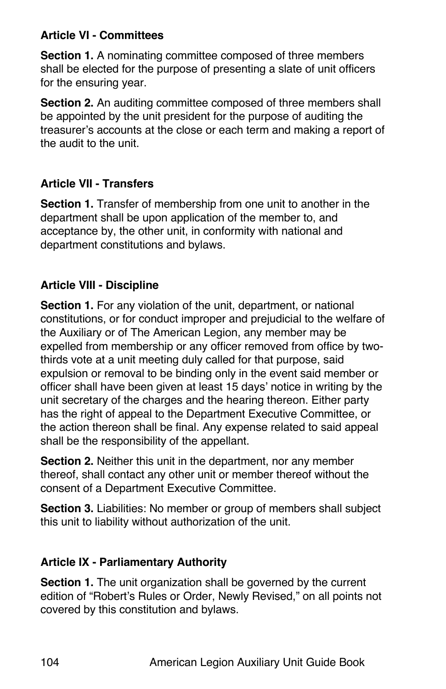#### **Article VI - Committees**

**Section 1.** A nominating committee composed of three members shall be elected for the purpose of presenting a slate of unit officers for the ensuring year.

**Section 2.** An auditing committee composed of three members shall be appointed by the unit president for the purpose of auditing the treasurer's accounts at the close or each term and making a report of the audit to the unit.

#### **Article VII - Transfers**

**Section 1.** Transfer of membership from one unit to another in the department shall be upon application of the member to, and acceptance by, the other unit, in conformity with national and department constitutions and bylaws.

#### **Article VIII - Discipline**

**Section 1.** For any violation of the unit, department, or national constitutions, or for conduct improper and prejudicial to the welfare of the Auxiliary or of The American Legion, any member may be expelled from membership or any officer removed from office by twothirds vote at a unit meeting duly called for that purpose, said expulsion or removal to be binding only in the event said member or officer shall have been given at least 15 days' notice in writing by the unit secretary of the charges and the hearing thereon. Either party has the right of appeal to the Department Executive Committee, or the action thereon shall be final. Any expense related to said appeal shall be the responsibility of the appellant.

**Section 2.** Neither this unit in the department, nor any member thereof, shall contact any other unit or member thereof without the consent of a Department Executive Committee.

**Section 3.** Liabilities: No member or group of members shall subject this unit to liability without authorization of the unit.

#### **Article IX - Parliamentary Authority**

**Section 1.** The unit organization shall be governed by the current edition of "Robert's Rules or Order, Newly Revised," on all points not covered by this constitution and bylaws.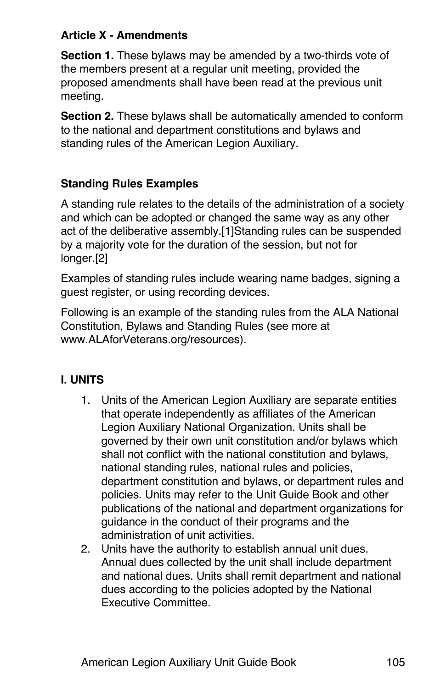#### **Article X - Amendments**

**Section 1.** These bylaws may be amended by a two-thirds vote of the members present at a regular unit meeting, provided the proposed amendments shall have been read at the previous unit meeting.

**Section 2.** These bylaws shall be automatically amended to conform to the national and department constitutions and bylaws and standing rules of the American Legion Auxiliary.

#### **Standing Rules Examples**

A standing rule relates to the details of the administration of a society and which can be adopted or changed the same way as any other act of the deliberative assembly.[1]Standing rules can be suspended by a majority vote for the duration of the session, but not for longer.[2]

Examples of standing rules include wearing name badges, signing a guest register, or using recording devices.

Following is an example of the standing rules from the ALA National Constitution, Bylaws and Standing Rules (see more at www.ALAforVeterans.org/resources).

#### **I. UNITS**

- 1. Units of the American Legion Auxiliary are separate entities that operate independently as affiliates of the American Legion Auxiliary National Organization. Units shall be governed by their own unit constitution and/or bylaws which shall not conflict with the national constitution and bylaws, national standing rules, national rules and policies, department constitution and bylaws, or department rules and policies. Units may refer to the Unit Guide Book and other publications of the national and department organizations for guidance in the conduct of their programs and the administration of unit activities.
- 2. Units have the authority to establish annual unit dues. Annual dues collected by the unit shall include department and national dues. Units shall remit department and national dues according to the policies adopted by the National Executive Committee.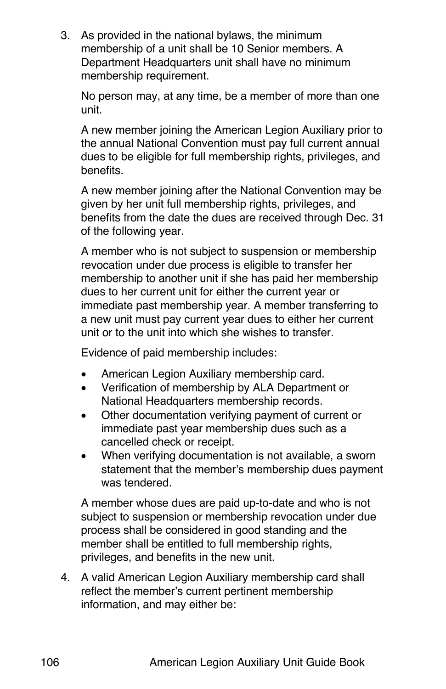3. As provided in the national bylaws, the minimum membership of a unit shall be 10 Senior members. A Department Headquarters unit shall have no minimum membership requirement.

No person may, at any time, be a member of more than one unit.

A new member joining the American Legion Auxiliary prior to the annual National Convention must pay full current annual dues to be eligible for full membership rights, privileges, and benefits.

A new member joining after the National Convention may be given by her unit full membership rights, privileges, and benefits from the date the dues are received through Dec. 31 of the following year.

A member who is not subject to suspension or membership revocation under due process is eligible to transfer her membership to another unit if she has paid her membership dues to her current unit for either the current year or immediate past membership year. A member transferring to a new unit must pay current year dues to either her current unit or to the unit into which she wishes to transfer.

Evidence of paid membership includes:

- American Legion Auxiliary membership card.
- Verification of membership by ALA Department or National Headquarters membership records.
- Other documentation verifying payment of current or immediate past year membership dues such as a cancelled check or receipt.
- When verifying documentation is not available, a sworn statement that the member's membership dues payment was tendered.

A member whose dues are paid up-to-date and who is not subject to suspension or membership revocation under due process shall be considered in good standing and the member shall be entitled to full membership rights, privileges, and benefits in the new unit.

4. A valid American Legion Auxiliary membership card shall reflect the member's current pertinent membership information, and may either be: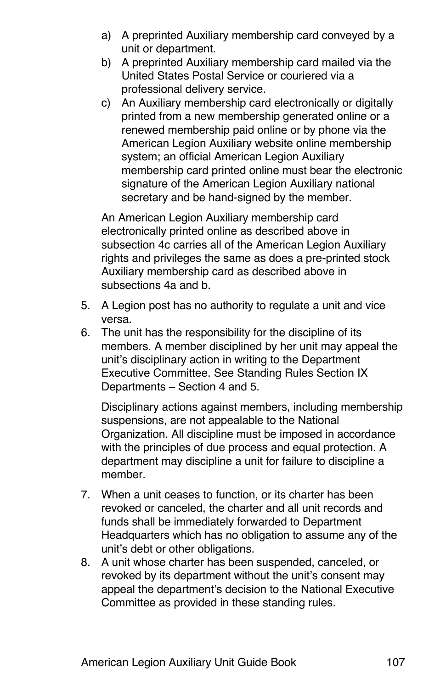- a) A preprinted Auxiliary membership card conveyed by a unit or department.
- b) A preprinted Auxiliary membership card mailed via the United States Postal Service or couriered via a professional delivery service.
- c) An Auxiliary membership card electronically or digitally printed from a new membership generated online or a renewed membership paid online or by phone via the American Legion Auxiliary website online membership system; an official American Legion Auxiliary membership card printed online must bear the electronic signature of the American Legion Auxiliary national secretary and be hand-signed by the member.

An American Legion Auxiliary membership card electronically printed online as described above in subsection 4c carries all of the American Legion Auxiliary rights and privileges the same as does a pre-printed stock Auxiliary membership card as described above in subsections 4a and b.

- 5. A Legion post has no authority to regulate a unit and vice versa.
- 6. The unit has the responsibility for the discipline of its members. A member disciplined by her unit may appeal the unit's disciplinary action in writing to the Department Executive Committee. See Standing Rules Section IX Departments – Section 4 and 5.

Disciplinary actions against members, including membership suspensions, are not appealable to the National Organization. All discipline must be imposed in accordance with the principles of due process and equal protection. A department may discipline a unit for failure to discipline a member.

- 7. When a unit ceases to function, or its charter has been revoked or canceled, the charter and all unit records and funds shall be immediately forwarded to Department Headquarters which has no obligation to assume any of the unit's debt or other obligations.
- 8. A unit whose charter has been suspended, canceled, or revoked by its department without the unit's consent may appeal the department's decision to the National Executive Committee as provided in these standing rules.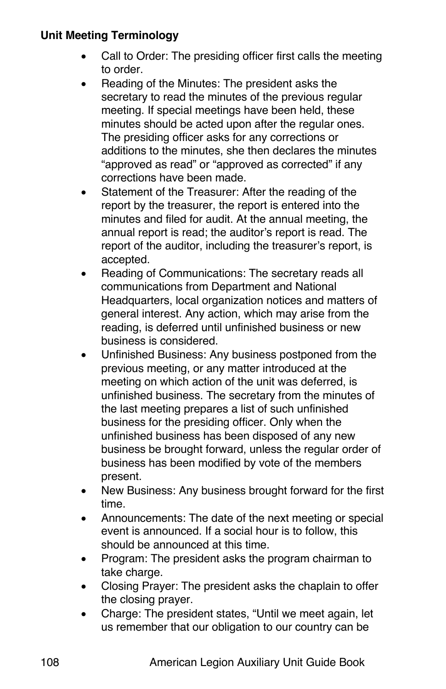#### **Unit Meeting Terminology**

- Call to Order: The presiding officer first calls the meeting to order.
- Reading of the Minutes: The president asks the secretary to read the minutes of the previous regular meeting. If special meetings have been held, these minutes should be acted upon after the regular ones. The presiding officer asks for any corrections or additions to the minutes, she then declares the minutes "approved as read" or "approved as corrected" if any corrections have been made.
- Statement of the Treasurer: After the reading of the report by the treasurer, the report is entered into the minutes and filed for audit. At the annual meeting, the annual report is read; the auditor's report is read. The report of the auditor, including the treasurer's report, is accepted.
- Reading of Communications: The secretary reads all communications from Department and National Headquarters, local organization notices and matters of general interest. Any action, which may arise from the reading, is deferred until unfinished business or new business is considered.
- Unfinished Business: Any business postponed from the previous meeting, or any matter introduced at the meeting on which action of the unit was deferred, is unfinished business. The secretary from the minutes of the last meeting prepares a list of such unfinished business for the presiding officer. Only when the unfinished business has been disposed of any new business be brought forward, unless the regular order of business has been modified by vote of the members present.
- New Business: Any business brought forward for the first time.
- Announcements: The date of the next meeting or special event is announced. If a social hour is to follow, this should be announced at this time.
- Program: The president asks the program chairman to take charge.
- Closing Prayer: The president asks the chaplain to offer the closing prayer.
- Charge: The president states, "Until we meet again, let us remember that our obligation to our country can be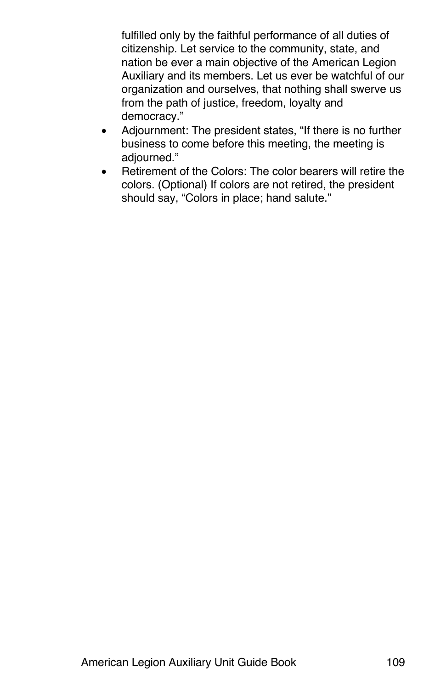fulfilled only by the faithful performance of all duties of citizenship. Let service to the community, state, and nation be ever a main objective of the American Legion Auxiliary and its members. Let us ever be watchful of our organization and ourselves, that nothing shall swerve us from the path of justice, freedom, loyalty and democracy."

- Adjournment: The president states, "If there is no further business to come before this meeting, the meeting is adiourned."
- Retirement of the Colors: The color bearers will retire the colors. (Optional) If colors are not retired, the president should say, "Colors in place; hand salute."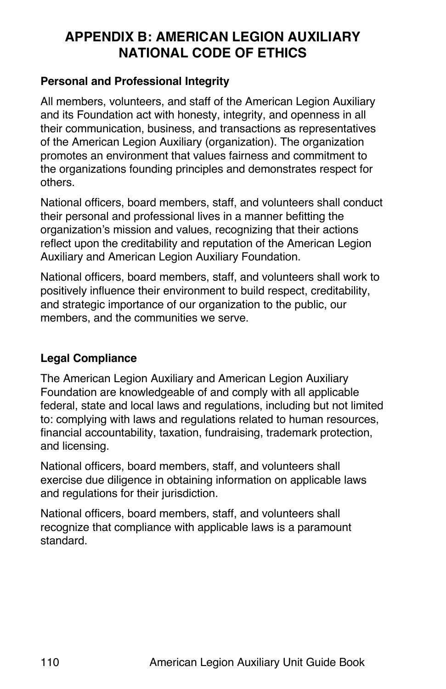# **APPENDIX B: AMERICAN LEGION AUXILIARY NATIONAL CODE OF ETHICS**

### **Personal and Professional Integrity**

All members, volunteers, and staff of the American Legion Auxiliary and its Foundation act with honesty, integrity, and openness in all their communication, business, and transactions as representatives of the American Legion Auxiliary (organization). The organization promotes an environment that values fairness and commitment to the organizations founding principles and demonstrates respect for others.

National officers, board members, staff, and volunteers shall conduct their personal and professional lives in a manner befitting the organization's mission and values, recognizing that their actions reflect upon the creditability and reputation of the American Legion Auxiliary and American Legion Auxiliary Foundation.

National officers, board members, staff, and volunteers shall work to positively influence their environment to build respect, creditability, and strategic importance of our organization to the public, our members, and the communities we serve.

### **Legal Compliance**

The American Legion Auxiliary and American Legion Auxiliary Foundation are knowledgeable of and comply with all applicable federal, state and local laws and regulations, including but not limited to: complying with laws and regulations related to human resources, financial accountability, taxation, fundraising, trademark protection, and licensing.

National officers, board members, staff, and volunteers shall exercise due diligence in obtaining information on applicable laws and regulations for their jurisdiction.

National officers, board members, staff, and volunteers shall recognize that compliance with applicable laws is a paramount standard.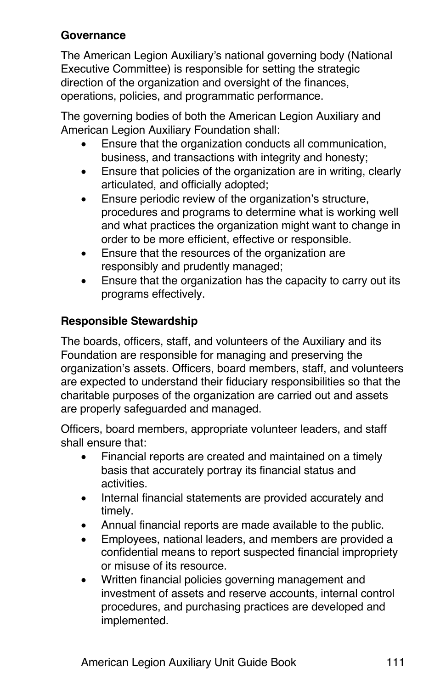### **Governance**

The American Legion Auxiliary's national governing body (National Executive Committee) is responsible for setting the strategic direction of the organization and oversight of the finances. operations, policies, and programmatic performance.

The governing bodies of both the American Legion Auxiliary and American Legion Auxiliary Foundation shall:

- Ensure that the organization conducts all communication, business, and transactions with integrity and honesty;
- Ensure that policies of the organization are in writing, clearly articulated, and officially adopted;
- Ensure periodic review of the organization's structure, procedures and programs to determine what is working well and what practices the organization might want to change in order to be more efficient, effective or responsible.
- Ensure that the resources of the organization are responsibly and prudently managed;
- Ensure that the organization has the capacity to carry out its programs effectively.

## **Responsible Stewardship**

The boards, officers, staff, and volunteers of the Auxiliary and its Foundation are responsible for managing and preserving the organization's assets. Officers, board members, staff, and volunteers are expected to understand their fiduciary responsibilities so that the charitable purposes of the organization are carried out and assets are properly safeguarded and managed.

Officers, board members, appropriate volunteer leaders, and staff shall ensure that:

- Financial reports are created and maintained on a timely basis that accurately portray its financial status and activities.
- Internal financial statements are provided accurately and timely.
- Annual financial reports are made available to the public.
- Employees, national leaders, and members are provided a confidential means to report suspected financial impropriety or misuse of its resource.
- Written financial policies governing management and investment of assets and reserve accounts, internal control procedures, and purchasing practices are developed and implemented.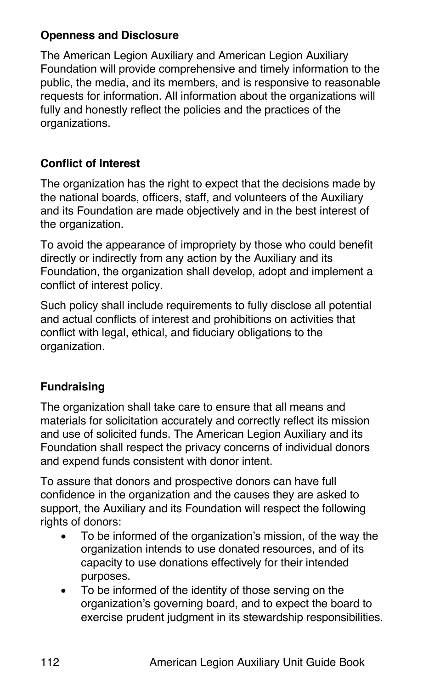### **Openness and Disclosure**

The American Legion Auxiliary and American Legion Auxiliary Foundation will provide comprehensive and timely information to the public, the media, and its members, and is responsive to reasonable requests for information. All information about the organizations will fully and honestly reflect the policies and the practices of the organizations.

## **Conflict of Interest**

The organization has the right to expect that the decisions made by the national boards, officers, staff, and volunteers of the Auxiliary and its Foundation are made objectively and in the best interest of the organization.

To avoid the appearance of impropriety by those who could benefit directly or indirectly from any action by the Auxiliary and its Foundation, the organization shall develop, adopt and implement a conflict of interest policy.

Such policy shall include requirements to fully disclose all potential and actual conflicts of interest and prohibitions on activities that conflict with legal, ethical, and fiduciary obligations to the organization.

## **Fundraising**

The organization shall take care to ensure that all means and materials for solicitation accurately and correctly reflect its mission and use of solicited funds. The American Legion Auxiliary and its Foundation shall respect the privacy concerns of individual donors and expend funds consistent with donor intent.

To assure that donors and prospective donors can have full confidence in the organization and the causes they are asked to support, the Auxiliary and its Foundation will respect the following rights of donors:

- To be informed of the organization's mission, of the way the organization intends to use donated resources, and of its capacity to use donations effectively for their intended purposes.
- To be informed of the identity of those serving on the organization's governing board, and to expect the board to exercise prudent judgment in its stewardship responsibilities.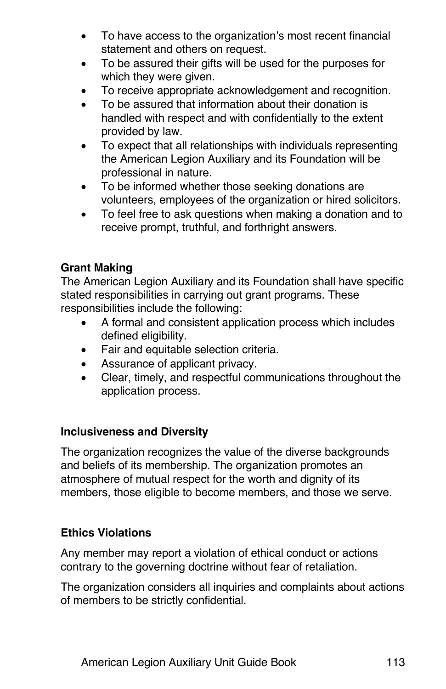- To have access to the organization's most recent financial statement and others on request.
- To be assured their gifts will be used for the purposes for which they were given.
- To receive appropriate acknowledgement and recognition.
- To be assured that information about their donation is handled with respect and with confidentially to the extent provided by law.
- To expect that all relationships with individuals representing the American Legion Auxiliary and its Foundation will be professional in nature.
- To be informed whether those seeking donations are volunteers, employees of the organization or hired solicitors.
- To feel free to ask questions when making a donation and to receive prompt, truthful, and forthright answers.

## **Grant Making**

The American Legion Auxiliary and its Foundation shall have specific stated responsibilities in carrying out grant programs. These responsibilities include the following:

- A formal and consistent application process which includes defined eligibility.
- Fair and equitable selection criteria.
- Assurance of applicant privacy.
- Clear, timely, and respectful communications throughout the application process.

#### **Inclusiveness and Diversity**

The organization recognizes the value of the diverse backgrounds and beliefs of its membership. The organization promotes an atmosphere of mutual respect for the worth and dignity of its members, those eligible to become members, and those we serve.

### **Ethics Violations**

Any member may report a violation of ethical conduct or actions contrary to the governing doctrine without fear of retaliation.

The organization considers all inquiries and complaints about actions of members to be strictly confidential.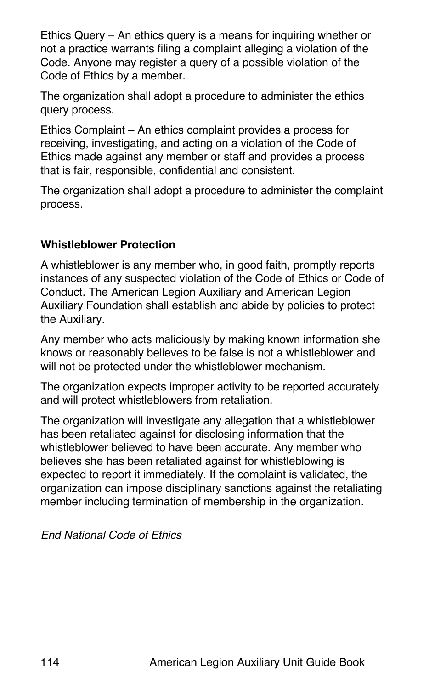Ethics Query – An ethics query is a means for inquiring whether or not a practice warrants filing a complaint alleging a violation of the Code. Anyone may register a query of a possible violation of the Code of Ethics by a member.

The organization shall adopt a procedure to administer the ethics query process.

Ethics Complaint – An ethics complaint provides a process for receiving, investigating, and acting on a violation of the Code of Ethics made against any member or staff and provides a process that is fair, responsible, confidential and consistent.

The organization shall adopt a procedure to administer the complaint process.

## **Whistleblower Protection**

A whistleblower is any member who, in good faith, promptly reports instances of any suspected violation of the Code of Ethics or Code of Conduct. The American Legion Auxiliary and American Legion Auxiliary Foundation shall establish and abide by policies to protect the Auxiliary.

Any member who acts maliciously by making known information she knows or reasonably believes to be false is not a whistleblower and will not be protected under the whistleblower mechanism.

The organization expects improper activity to be reported accurately and will protect whistleblowers from retaliation.

The organization will investigate any allegation that a whistleblower has been retaliated against for disclosing information that the whistleblower believed to have been accurate. Any member who believes she has been retaliated against for whistleblowing is expected to report it immediately. If the complaint is validated, the organization can impose disciplinary sanctions against the retaliating member including termination of membership in the organization.

*End National Code of Ethics*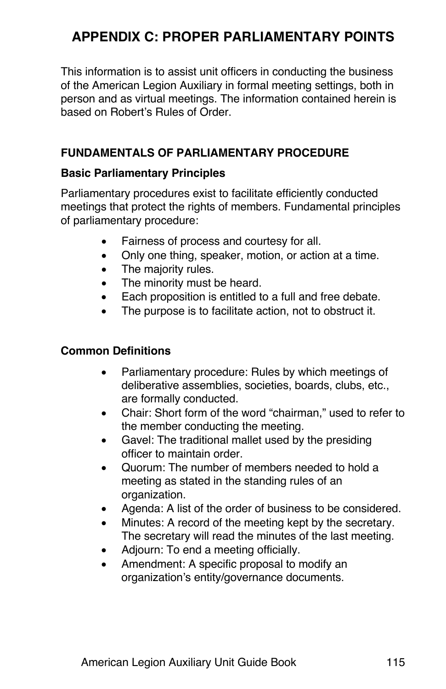# **APPENDIX C: PROPER PARLIAMENTARY POINTS**

This information is to assist unit officers in conducting the business of the American Legion Auxiliary in formal meeting settings, both in person and as virtual meetings. The information contained herein is based on Robert's Rules of Order.

### **FUNDAMENTALS OF PARLIAMENTARY PROCEDURE**

#### **Basic Parliamentary Principles**

Parliamentary procedures exist to facilitate efficiently conducted meetings that protect the rights of members. Fundamental principles of parliamentary procedure:

- Fairness of process and courtesy for all.
- Only one thing, speaker, motion, or action at a time.
- The majority rules.
- The minority must be heard.
- Each proposition is entitled to a full and free debate.
- The purpose is to facilitate action, not to obstruct it.

#### **Common Definitions**

- Parliamentary procedure: Rules by which meetings of deliberative assemblies, societies, boards, clubs, etc., are formally conducted.
- Chair: Short form of the word "chairman," used to refer to the member conducting the meeting.
- Gavel: The traditional mallet used by the presiding officer to maintain order.
- Quorum: The number of members needed to hold a meeting as stated in the standing rules of an organization.
- Agenda: A list of the order of business to be considered.
- Minutes: A record of the meeting kept by the secretary. The secretary will read the minutes of the last meeting.
- Adjourn: To end a meeting officially.
- Amendment: A specific proposal to modify an organization's entity/governance documents.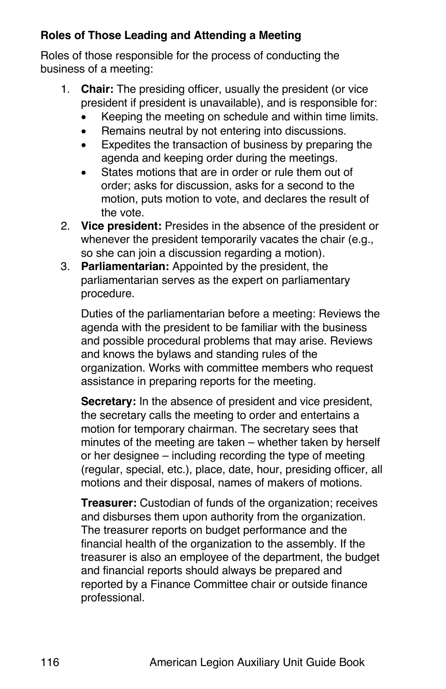## **Roles of Those Leading and Attending a Meeting**

Roles of those responsible for the process of conducting the business of a meeting:

- 1. **Chair:** The presiding officer, usually the president (or vice president if president is unavailable), and is responsible for:
	- Keeping the meeting on schedule and within time limits.
	- Remains neutral by not entering into discussions.
	- Expedites the transaction of business by preparing the agenda and keeping order during the meetings.
	- States motions that are in order or rule them out of order; asks for discussion, asks for a second to the motion, puts motion to vote, and declares the result of the vote.
- 2. **Vice president:** Presides in the absence of the president or whenever the president temporarily vacates the chair (e.g., so she can join a discussion regarding a motion).
- 3. **Parliamentarian:** Appointed by the president, the parliamentarian serves as the expert on parliamentary procedure.

Duties of the parliamentarian before a meeting: Reviews the agenda with the president to be familiar with the business and possible procedural problems that may arise. Reviews and knows the bylaws and standing rules of the organization. Works with committee members who request assistance in preparing reports for the meeting.

**Secretary:** In the absence of president and vice president, the secretary calls the meeting to order and entertains a motion for temporary chairman. The secretary sees that minutes of the meeting are taken – whether taken by herself or her designee – including recording the type of meeting (regular, special, etc.), place, date, hour, presiding officer, all motions and their disposal, names of makers of motions.

**Treasurer:** Custodian of funds of the organization; receives and disburses them upon authority from the organization. The treasurer reports on budget performance and the financial health of the organization to the assembly. If the treasurer is also an employee of the department, the budget and financial reports should always be prepared and reported by a Finance Committee chair or outside finance professional.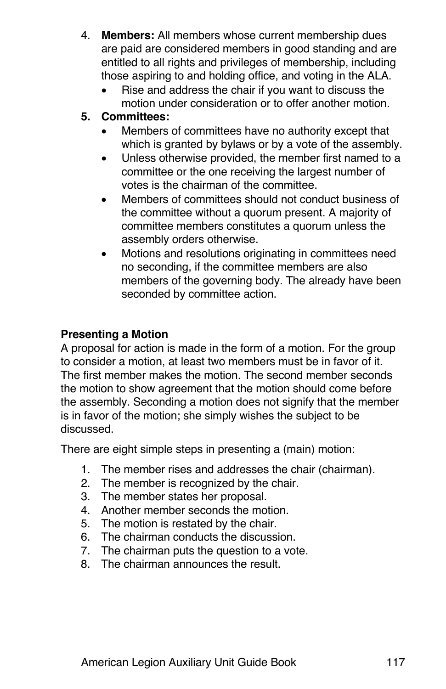- 4. **Members:** All members whose current membership dues are paid are considered members in good standing and are entitled to all rights and privileges of membership, including those aspiring to and holding office, and voting in the ALA.
	- Rise and address the chair if you want to discuss the motion under consideration or to offer another motion.
- **5. Committees:**
	- Members of committees have no authority except that which is granted by bylaws or by a vote of the assembly.
	- Unless otherwise provided, the member first named to a committee or the one receiving the largest number of votes is the chairman of the committee.
	- Members of committees should not conduct business of the committee without a quorum present. A majority of committee members constitutes a quorum unless the assembly orders otherwise.
	- Motions and resolutions originating in committees need no seconding, if the committee members are also members of the governing body. The already have been seconded by committee action.

## **Presenting a Motion**

A proposal for action is made in the form of a motion. For the group to consider a motion, at least two members must be in favor of it. The first member makes the motion. The second member seconds the motion to show agreement that the motion should come before the assembly. Seconding a motion does not signify that the member is in favor of the motion; she simply wishes the subject to be discussed.

There are eight simple steps in presenting a (main) motion:

- 1. The member rises and addresses the chair (chairman).
- 2. The member is recognized by the chair.
- 3. The member states her proposal.
- 4. Another member seconds the motion.
- 5. The motion is restated by the chair.
- 6. The chairman conducts the discussion.
- 7. The chairman puts the question to a vote.
- 8. The chairman announces the result.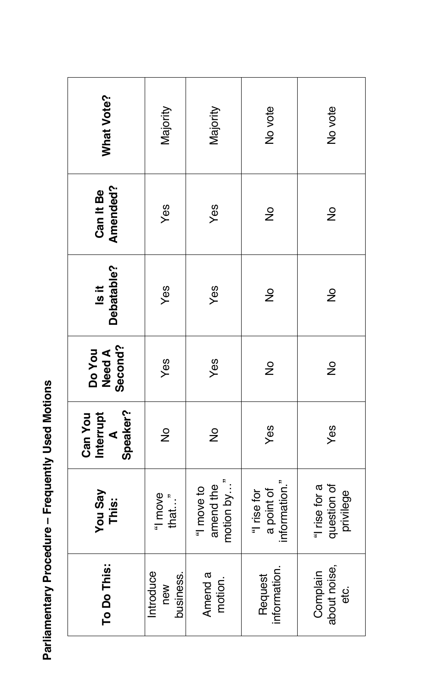| <b>What Vote?</b>                     | Majority                      | Majority                              | No vote                                    | No vote                                   |
|---------------------------------------|-------------------------------|---------------------------------------|--------------------------------------------|-------------------------------------------|
| Amended?<br>Can It Be                 | Yes                           | Yes                                   | ş                                          | $\frac{1}{2}$                             |
| Debatable?<br>$\frac{1}{2}$           | Yes                           | Yes                                   | $\frac{1}{2}$                              | ş                                         |
| Second?<br>Do You<br>Need A           | Yes                           | Yes                                   | $\frac{1}{2}$                              | ş                                         |
| Speaker?<br>Can You<br>Interrupt<br>A | ş                             | ş                                     | Yes                                        | Yes                                       |
| You Say<br>This:                      | evoul,<br>that"               | motion by"<br>amend the<br>"I move to | information."<br>a point of<br>"I rise for | "I rise for a<br>question of<br>privilege |
| To Do This:                           | Introduce<br>business.<br>new | Amend a<br>motion.                    | information.<br>Request                    | about noise,<br>Complain<br>er.<br>To     |

Parliamentary Procedure - Frequently Used Motions **Parliamentary Procedure – Frequently Used Motions**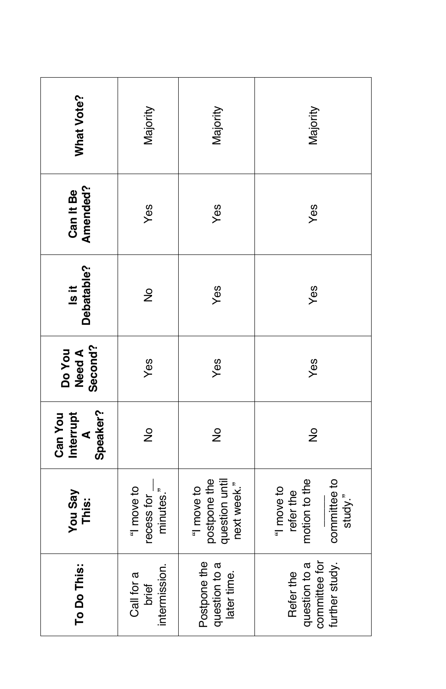| To Do This:                                                   | You Say<br>This:                                                    | Speaker?<br>Can You<br>Interrupt<br>$\triangleleft$ | Second?<br>Do You<br>Need A | Debatable?<br>$\frac{1}{2}$ | Amended?<br>Can It Be | <b>What Vote?</b> |
|---------------------------------------------------------------|---------------------------------------------------------------------|-----------------------------------------------------|-----------------------------|-----------------------------|-----------------------|-------------------|
| intermission.<br>Call for a                                   | recess for __<br>"I move to<br>minutes."                            | $\frac{1}{2}$                                       | Yes                         | $\frac{1}{2}$               | Yes                   | Majority          |
| Postpone the<br>question to a<br>later time.                  | postpone the<br>question until<br>next week."<br>d move to          | ş                                                   | Yes                         | Yes                         | Yes                   | Majority          |
| committee for<br>question to a<br>further study.<br>Refer the | committee to<br>motion to the<br>"I move to<br>refer the<br>study." | $\frac{1}{2}$                                       | Yes                         | Yes                         | Yes                   | Majority          |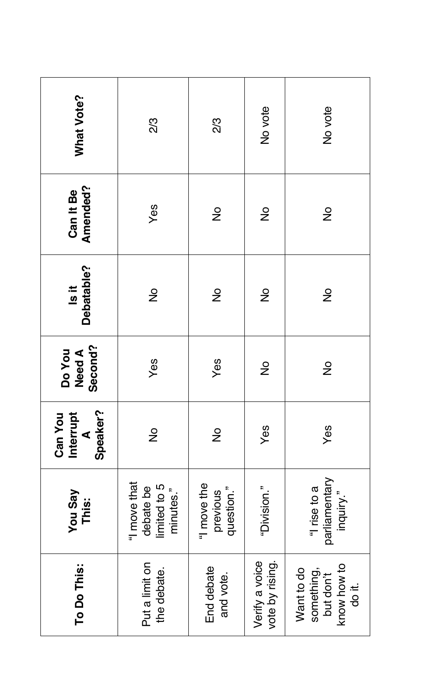| To Do This:                                                    | <b>You Say</b><br>This:                               | Speaker?<br>Can You<br>Interrupt<br>$\triangleleft$ | Second?<br>Do You<br>Need A | Debatable?<br>$\frac{1}{2}$ | Amended?<br>Can It Be | <b>What Vote?</b> |
|----------------------------------------------------------------|-------------------------------------------------------|-----------------------------------------------------|-----------------------------|-----------------------------|-----------------------|-------------------|
| Put a limit on<br>the debate.                                  | I move that<br>debate be<br>limited to 5<br>minutes." | Ş                                                   | Yes                         | ş                           | Yes                   | 2/3               |
| End debate<br>and vote.                                        | "I move the<br>previous<br>question."                 | $\frac{1}{2}$                                       | Yes                         | ş                           | ş                     | 23                |
| vote by rising.<br>Verify a voice                              | "Division."                                           | Yes                                                 | $\frac{1}{2}$               | $\frac{1}{2}$               | ş                     | No vote           |
| know how to<br>Want to do<br>something,<br>but don't<br>do it. | parliamentary<br>inquiry."<br>"I rise to a            | Yes                                                 | ş                           | ş                           | ş                     | No vote           |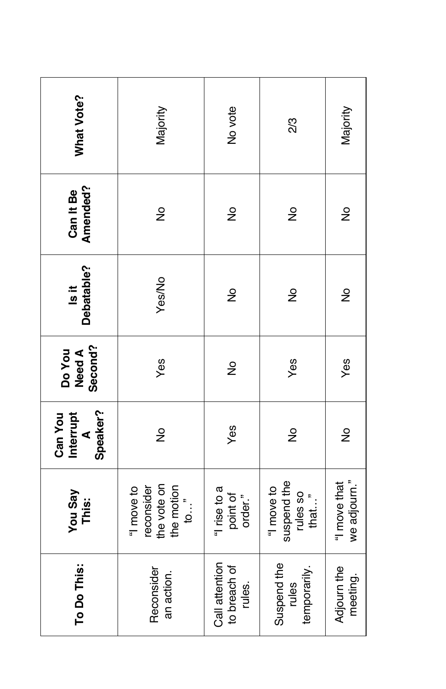| To Do This:                              | <b>You Say</b><br>This:                                      | Speaker?<br>Interrupt<br>A<br>Can You | Second?<br>Do You<br>Need A | Debatable?<br>$\frac{1}{2}$ | Amended?<br>Can It Be | <b>What Vote?</b> |
|------------------------------------------|--------------------------------------------------------------|---------------------------------------|-----------------------------|-----------------------------|-----------------------|-------------------|
| Reconsider<br>an action.                 | the vote on<br>"I move to<br>reconsider<br>the motion<br>to" | Ş                                     | Yes                         | Yes/No                      | ş                     | Majority          |
| Call attention<br>to breach of<br>rules. | f rise to a<br>point of<br>order."                           | Yes                                   | $\frac{1}{2}$               | $\frac{1}{2}$               | ş                     | No vote           |
| Suspend the<br>temporarily.<br>rules     | suspend the<br>d move to<br>rules so<br>that"                | ş                                     | Yes                         | ş                           | ş                     | 23                |
| Adjourn the<br>meeting.                  | we adjourn."<br>"I move that                                 | ş                                     | Yes                         | ž                           | ş                     | Majority          |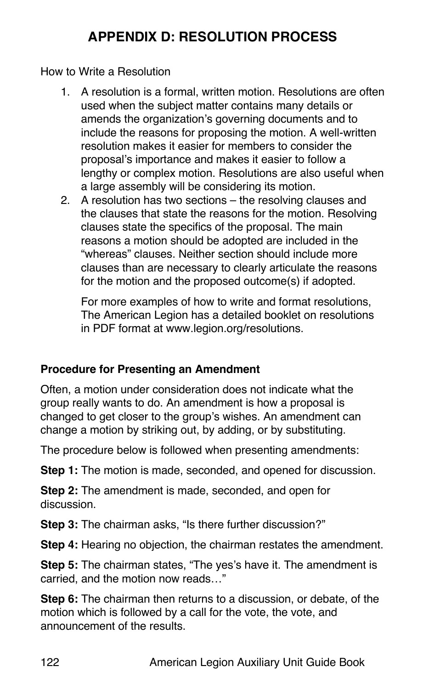# **APPENDIX D: RESOLUTION PROCESS**

How to Write a Resolution

- 1. A resolution is a formal, written motion. Resolutions are often used when the subject matter contains many details or amends the organization's governing documents and to include the reasons for proposing the motion. A well-written resolution makes it easier for members to consider the proposal's importance and makes it easier to follow a lengthy or complex motion. Resolutions are also useful when a large assembly will be considering its motion.
- 2. A resolution has two sections the resolving clauses and the clauses that state the reasons for the motion. Resolving clauses state the specifics of the proposal. The main reasons a motion should be adopted are included in the "whereas" clauses. Neither section should include more clauses than are necessary to clearly articulate the reasons for the motion and the proposed outcome(s) if adopted.

For more examples of how to write and format resolutions, The American Legion has a detailed booklet on resolutions in PDF format at www.legion.org/resolutions.

### **Procedure for Presenting an Amendment**

Often, a motion under consideration does not indicate what the group really wants to do. An amendment is how a proposal is changed to get closer to the group's wishes. An amendment can change a motion by striking out, by adding, or by substituting.

The procedure below is followed when presenting amendments:

**Step 1:** The motion is made, seconded, and opened for discussion.

**Step 2:** The amendment is made, seconded, and open for discussion.

**Step 3:** The chairman asks, "Is there further discussion?"

**Step 4:** Hearing no objection, the chairman restates the amendment.

**Step 5:** The chairman states, "The yes's have it. The amendment is carried, and the motion now reads…"

**Step 6:** The chairman then returns to a discussion, or debate, of the motion which is followed by a call for the vote, the vote, and announcement of the results.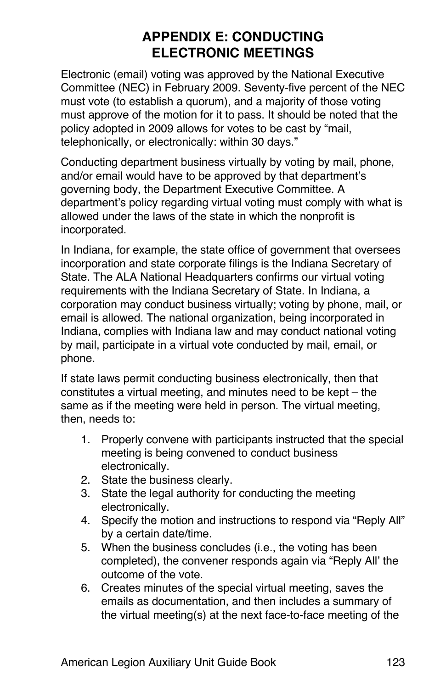# **APPENDIX E: CONDUCTING ELECTRONIC MEETINGS**

Electronic (email) voting was approved by the National Executive Committee (NEC) in February 2009. Seventy-five percent of the NEC must vote (to establish a quorum), and a majority of those voting must approve of the motion for it to pass. It should be noted that the policy adopted in 2009 allows for votes to be cast by "mail, telephonically, or electronically: within 30 days."

Conducting department business virtually by voting by mail, phone, and/or email would have to be approved by that department's governing body, the Department Executive Committee. A department's policy regarding virtual voting must comply with what is allowed under the laws of the state in which the nonprofit is incorporated.

In Indiana, for example, the state office of government that oversees incorporation and state corporate filings is the Indiana Secretary of State. The ALA National Headquarters confirms our virtual voting requirements with the Indiana Secretary of State. In Indiana, a corporation may conduct business virtually; voting by phone, mail, or email is allowed. The national organization, being incorporated in Indiana, complies with Indiana law and may conduct national voting by mail, participate in a virtual vote conducted by mail, email, or phone.

If state laws permit conducting business electronically, then that constitutes a virtual meeting, and minutes need to be kept – the same as if the meeting were held in person. The virtual meeting, then, needs to:

- 1. Properly convene with participants instructed that the special meeting is being convened to conduct business electronically.
- 2. State the business clearly.
- 3. State the legal authority for conducting the meeting electronically.
- 4. Specify the motion and instructions to respond via "Reply All" by a certain date/time.
- 5. When the business concludes (i.e., the voting has been completed), the convener responds again via "Reply All' the outcome of the vote.
- 6. Creates minutes of the special virtual meeting, saves the emails as documentation, and then includes a summary of the virtual meeting(s) at the next face-to-face meeting of the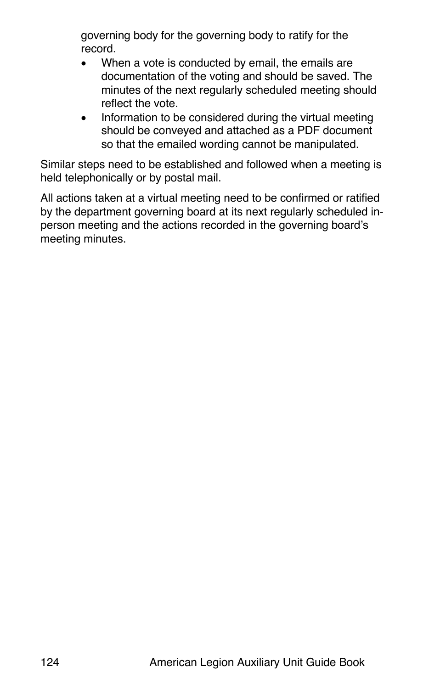governing body for the governing body to ratify for the record.

- When a vote is conducted by email, the emails are documentation of the voting and should be saved. The minutes of the next regularly scheduled meeting should reflect the vote.
- Information to be considered during the virtual meeting should be conveyed and attached as a PDF document so that the emailed wording cannot be manipulated.

Similar steps need to be established and followed when a meeting is held telephonically or by postal mail.

All actions taken at a virtual meeting need to be confirmed or ratified by the department governing board at its next regularly scheduled inperson meeting and the actions recorded in the governing board's meeting minutes.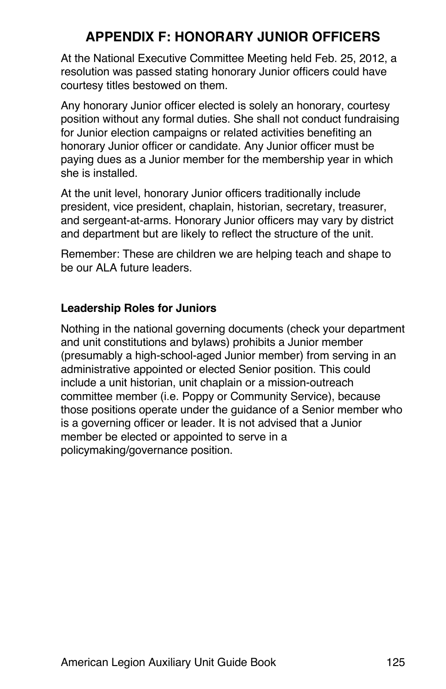# **APPENDIX F: HONORARY JUNIOR OFFICERS**

At the National Executive Committee Meeting held Feb. 25, 2012, a resolution was passed stating honorary Junior officers could have courtesy titles bestowed on them.

Any honorary Junior officer elected is solely an honorary, courtesy position without any formal duties. She shall not conduct fundraising for Junior election campaigns or related activities benefiting an honorary Junior officer or candidate. Any Junior officer must be paying dues as a Junior member for the membership year in which she is installed.

At the unit level, honorary Junior officers traditionally include president, vice president, chaplain, historian, secretary, treasurer, and sergeant-at-arms. Honorary Junior officers may vary by district and department but are likely to reflect the structure of the unit.

Remember: These are children we are helping teach and shape to be our ALA future leaders.

#### **Leadership Roles for Juniors**

Nothing in the national governing documents (check your department and unit constitutions and bylaws) prohibits a Junior member (presumably a high-school-aged Junior member) from serving in an administrative appointed or elected Senior position. This could include a unit historian, unit chaplain or a mission-outreach committee member (i.e. Poppy or Community Service), because those positions operate under the guidance of a Senior member who is a governing officer or leader. It is not advised that a Junior member be elected or appointed to serve in a policymaking/governance position.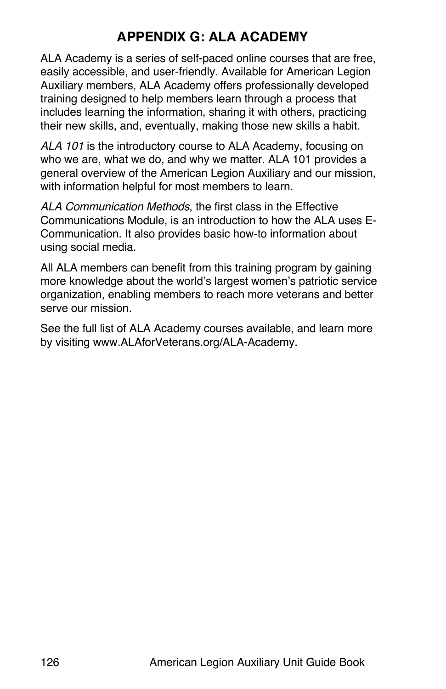# **APPENDIX G: ALA ACADEMY**

ALA Academy is a series of self-paced online courses that are free, easily accessible, and user-friendly. Available for American Legion Auxiliary members, ALA Academy offers professionally developed training designed to help members learn through a process that includes learning the information, sharing it with others, practicing their new skills, and, eventually, making those new skills a habit.

*ALA 101* is the introductory course to ALA Academy, focusing on who we are, what we do, and why we matter. ALA 101 provides a general overview of the American Legion Auxiliary and our mission, with information helpful for most members to learn.

*ALA Communication Methods*, the first class in the Effective Communications Module, is an introduction to how the ALA uses E-Communication. It also provides basic how-to information about using social media.

All ALA members can benefit from this training program by gaining more knowledge about the world's largest women's patriotic service organization, enabling members to reach more veterans and better serve our mission.

See the full list of ALA Academy courses available, and learn more by visiting www.ALAforVeterans.org/ALA-Academy.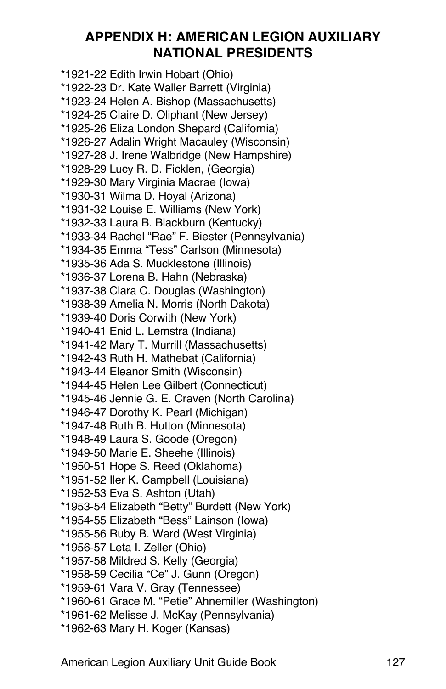## **APPENDIX H: AMERICAN LEGION AUXILIARY NATIONAL PRESIDENTS**

\*1921-22 Edith Irwin Hobart (Ohio) \*1922-23 Dr. Kate Waller Barrett (Virginia) \*1923-24 Helen A. Bishop (Massachusetts) \*1924-25 Claire D. Oliphant (New Jersey) \*1925-26 Eliza London Shepard (California) \*1926-27 Adalin Wright Macauley (Wisconsin) \*1927-28 J. Irene Walbridge (New Hampshire) \*1928-29 Lucy R. D. Ficklen, (Georgia) \*1929-30 Mary Virginia Macrae (Iowa) \*1930-31 Wilma D. Hoyal (Arizona) \*1931-32 Louise E. Williams (New York) \*1932-33 Laura B. Blackburn (Kentucky) \*1933-34 Rachel "Rae" F. Biester (Pennsylvania) \*1934-35 Emma "Tess" Carlson (Minnesota) \*1935-36 Ada S. Mucklestone (Illinois) \*1936-37 Lorena B. Hahn (Nebraska) \*1937-38 Clara C. Douglas (Washington) \*1938-39 Amelia N. Morris (North Dakota) \*1939-40 Doris Corwith (New York) \*1940-41 Enid L. Lemstra (Indiana) \*1941-42 Mary T. Murrill (Massachusetts) \*1942-43 Ruth H. Mathebat (California) \*1943-44 Eleanor Smith (Wisconsin) \*1944-45 Helen Lee Gilbert (Connecticut) \*1945-46 Jennie G. E. Craven (North Carolina) \*1946-47 Dorothy K. Pearl (Michigan) \*1947-48 Ruth B. Hutton (Minnesota) \*1948-49 Laura S. Goode (Oregon) \*1949-50 Marie E. Sheehe (Illinois) \*1950-51 Hope S. Reed (Oklahoma) \*1951-52 Iler K. Campbell (Louisiana) \*1952-53 Eva S. Ashton (Utah) \*1953-54 Elizabeth "Betty" Burdett (New York) \*1954-55 Elizabeth "Bess" Lainson (Iowa) \*1955-56 Ruby B. Ward (West Virginia) \*1956-57 Leta I. Zeller (Ohio) \*1957-58 Mildred S. Kelly (Georgia) \*1958-59 Cecilia "Ce" J. Gunn (Oregon) \*1959-61 Vara V. Gray (Tennessee) \*1960-61 Grace M. "Petie" Ahnemiller (Washington) \*1961-62 Melisse J. McKay (Pennsylvania) \*1962-63 Mary H. Koger (Kansas)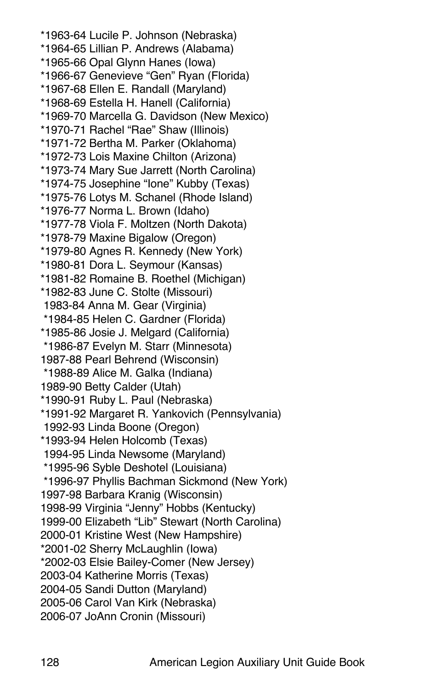\*1963-64 Lucile P. Johnson (Nebraska) \*1964-65 Lillian P. Andrews (Alabama) \*1965-66 Opal Glynn Hanes (Iowa) \*1966-67 Genevieve "Gen" Ryan (Florida) \*1967-68 Ellen E. Randall (Maryland) \*1968-69 Estella H. Hanell (California) \*1969-70 Marcella G. Davidson (New Mexico) \*1970-71 Rachel "Rae" Shaw (Illinois) \*1971-72 Bertha M. Parker (Oklahoma) \*1972-73 Lois Maxine Chilton (Arizona) \*1973-74 Mary Sue Jarrett (North Carolina) \*1974-75 Josephine "Ione" Kubby (Texas) \*1975-76 Lotys M. Schanel (Rhode Island) \*1976-77 Norma L. Brown (Idaho) \*1977-78 Viola F. Moltzen (North Dakota) \*1978-79 Maxine Bigalow (Oregon) \*1979-80 Agnes R. Kennedy (New York) \*1980-81 Dora L. Seymour (Kansas) \*1981-82 Romaine B. Roethel (Michigan) \*1982-83 June C. Stolte (Missouri) 1983-84 Anna M. Gear (Virginia) \*1984-85 Helen C. Gardner (Florida) \*1985-86 Josie J. Melgard (California) \*1986-87 Evelyn M. Starr (Minnesota) 1987-88 Pearl Behrend (Wisconsin) \*1988-89 Alice M. Galka (Indiana) 1989-90 Betty Calder (Utah) \*1990-91 Ruby L. Paul (Nebraska) \*1991-92 Margaret R. Yankovich (Pennsylvania) 1992-93 Linda Boone (Oregon) \*1993-94 Helen Holcomb (Texas) 1994-95 Linda Newsome (Maryland) \*1995-96 Syble Deshotel (Louisiana) \*1996-97 Phyllis Bachman Sickmond (New York) 1997-98 Barbara Kranig (Wisconsin) 1998-99 Virginia "Jenny" Hobbs (Kentucky) 1999-00 Elizabeth "Lib" Stewart (North Carolina) 2000-01 Kristine West (New Hampshire) \*2001-02 Sherry McLaughlin (Iowa) \*2002-03 Elsie Bailey-Comer (New Jersey) 2003-04 Katherine Morris (Texas) 2004-05 Sandi Dutton (Maryland) 2005-06 Carol Van Kirk (Nebraska) 2006-07 JoAnn Cronin (Missouri)